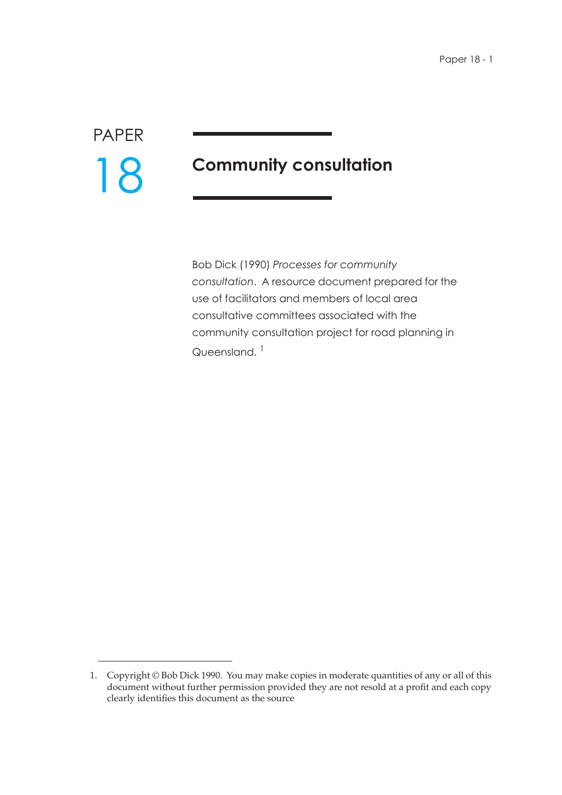PAPER 18

# **Community consultation**

Bob Dick (1990) *Processes for community consultation*. A resource document prepared for the use of facilitators and members of local area consultative committees associated with the community consultation project for road planning in Queensland.<sup>1</sup>

<sup>1.</sup> Copyright © Bob Dick 1990. You may make copies in moderate quantities of any or all of this document without further permission provided they are not resold at a profit and each copy clearly identifies this document as the source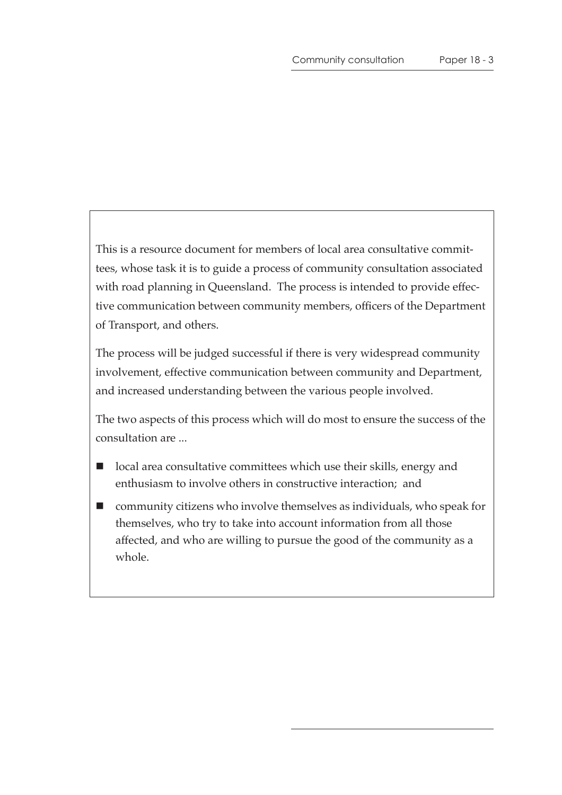This is a resource document for members of local area consultative committees, whose task it is to guide a process of community consultation associated with road planning in Queensland. The process is intended to provide effective communication between community members, officers of the Department of Transport, and others.

The process will be judged successful if there is very widespread community involvement, effective communication between community and Department, and increased understanding between the various people involved.

The two aspects of this process which will do most to ensure the success of the consultation are ...

- $\Box$  local area consultative committees which use their skills, energy and enthusiasm to involve others in constructive interaction; and
- community citizens who involve themselves as individuals, who speak for themselves, who try to take into account information from all those affected, and who are willing to pursue the good of the community as a whole.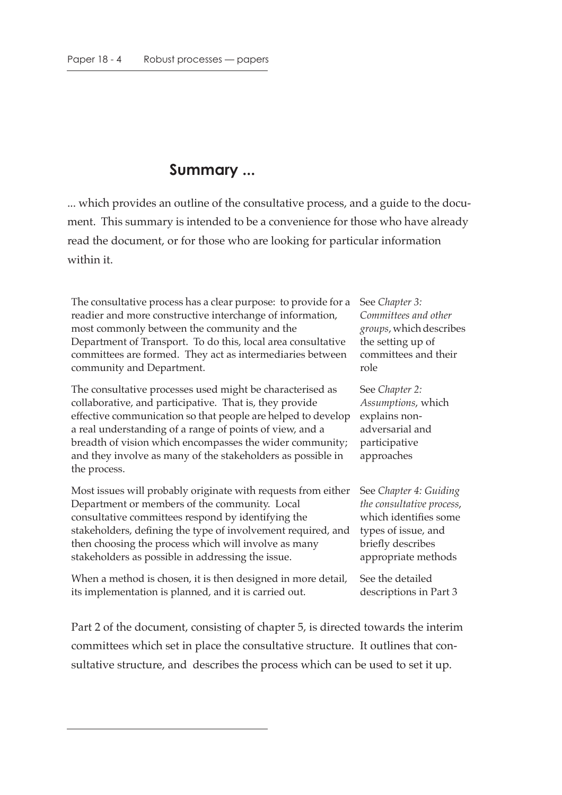#### **Summary ...**

... which provides an outline of the consultative process, and a guide to the document. This summary is intended to be a convenience for those who have already read the document, or for those who are looking for particular information within it.

The consultative process has a clear purpose: to provide for a readier and more constructive interchange of information, most commonly between the community and the Department of Transport. To do this, local area consultative committees are formed. They act as intermediaries between community and Department.

The consultative processes used might be characterised as collaborative, and participative. That is, they provide effective communication so that people are helped to develop a real understanding of a range of points of view, and a breadth of vision which encompasses the wider community; and they involve as many of the stakeholders as possible in the process.

Most issues will probably originate with requests from either Department or members of the community. Local consultative committees respond by identifying the stakeholders, defining the type of involvement required, and then choosing the process which will involve as many stakeholders as possible in addressing the issue.

When a method is chosen, it is then designed in more detail, its implementation is planned, and it is carried out.

See *Chapter 3: Committees and other groups*, which describes the setting up of committees and their role

See *Chapter 2: Assumptions*, which explains nonadversarial and participative approaches

See *Chapter 4: Guiding the consultative process*, which identifies some types of issue, and briefly describes appropriate methods

See the detailed descriptions in Part 3

Part 2 of the document, consisting of chapter 5, is directed towards the interim committees which set in place the consultative structure. It outlines that consultative structure, and describes the process which can be used to set it up.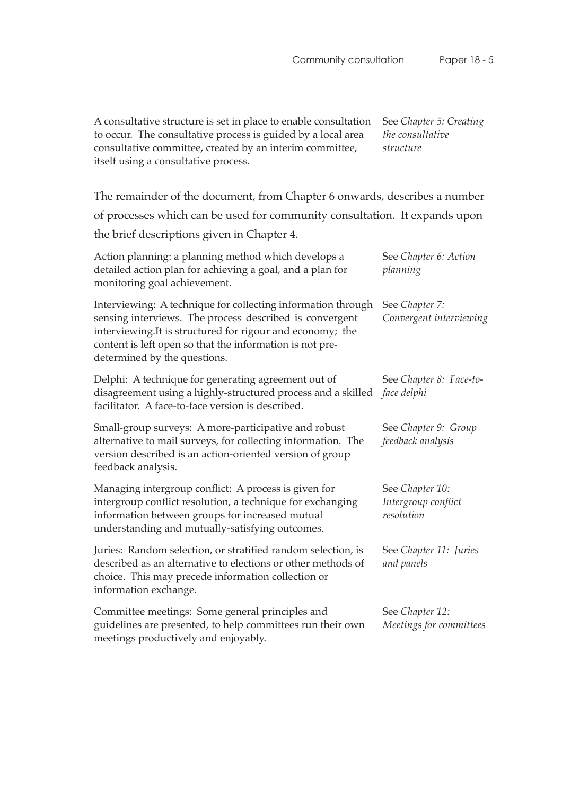A consultative structure is set in place to enable consultation to occur. The consultative process is guided by a local area consultative committee, created by an interim committee, itself using a consultative process.

See *Chapter 5: Creating the consultative structure*

The remainder of the document, from Chapter 6 onwards, describes a number of processes which can be used for community consultation. It expands upon the brief descriptions given in Chapter 4.

| Action planning: a planning method which develops a<br>detailed action plan for achieving a goal, and a plan for<br>monitoring goal achievement.                                                                                                                                  | See Chapter 6: Action<br>planning                    |
|-----------------------------------------------------------------------------------------------------------------------------------------------------------------------------------------------------------------------------------------------------------------------------------|------------------------------------------------------|
| Interviewing: A technique for collecting information through<br>sensing interviews. The process described is convergent<br>interviewing. It is structured for rigour and economy; the<br>content is left open so that the information is not pre-<br>determined by the questions. | See Chapter 7:<br>Convergent interviewing            |
| Delphi: A technique for generating agreement out of<br>disagreement using a highly-structured process and a skilled<br>facilitator. A face-to-face version is described.                                                                                                          | See Chapter 8: Face-to-<br>face delphi               |
| Small-group surveys: A more-participative and robust<br>alternative to mail surveys, for collecting information. The<br>version described is an action-oriented version of group<br>feedback analysis.                                                                            | See Chapter 9: Group<br>feedback analysis            |
| Managing intergroup conflict: A process is given for<br>intergroup conflict resolution, a technique for exchanging<br>information between groups for increased mutual<br>understanding and mutually-satisfying outcomes.                                                          | See Chapter 10:<br>Intergroup conflict<br>resolution |
| Juries: Random selection, or stratified random selection, is<br>described as an alternative to elections or other methods of<br>choice. This may precede information collection or<br>information exchange.                                                                       | See Chapter 11: Juries<br>and panels                 |
| Committee meetings: Some general principles and<br>guidelines are presented, to help committees run their own                                                                                                                                                                     | See Chapter 12:<br>Meetings for committees           |

meetings productively and enjoyably.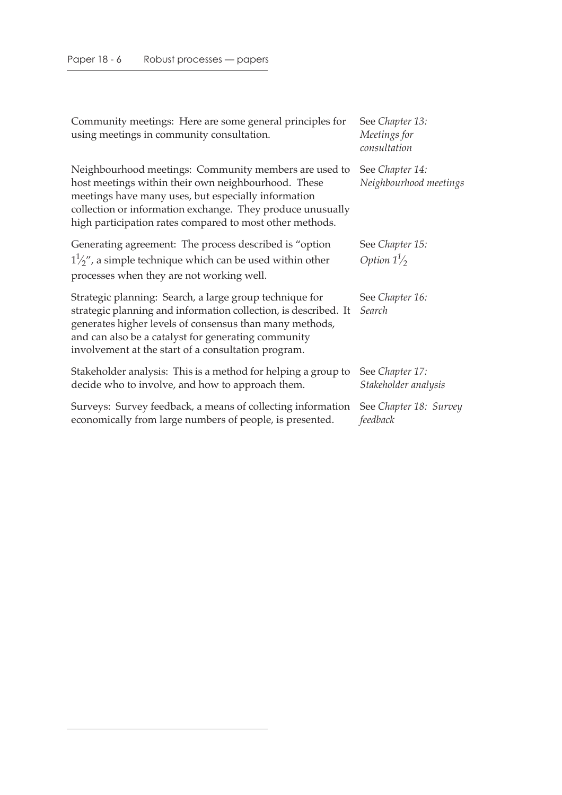| Community meetings: Here are some general principles for<br>using meetings in community consultation.                                                                                                                                                                                               | See Chapter 13:<br>Meetings for<br>consultation |
|-----------------------------------------------------------------------------------------------------------------------------------------------------------------------------------------------------------------------------------------------------------------------------------------------------|-------------------------------------------------|
| Neighbourhood meetings: Community members are used to<br>host meetings within their own neighbourhood. These<br>meetings have many uses, but especially information<br>collection or information exchange. They produce unusually<br>high participation rates compared to most other methods.       | See Chapter 14:<br>Neighbourhood meetings       |
| Generating agreement: The process described is "option<br>$1\frac{1}{2}$ , a simple technique which can be used within other<br>processes when they are not working well.                                                                                                                           | See Chapter 15:<br>Option $1\frac{1}{2}$        |
| Strategic planning: Search, a large group technique for<br>strategic planning and information collection, is described. It<br>generates higher levels of consensus than many methods,<br>and can also be a catalyst for generating community<br>involvement at the start of a consultation program. | See Chapter 16:<br>Search                       |
| Stakeholder analysis: This is a method for helping a group to<br>decide who to involve, and how to approach them.                                                                                                                                                                                   | See Chapter 17:<br>Stakeholder analysis         |
| Surveys: Survey feedback, a means of collecting information<br>economically from large numbers of people, is presented.                                                                                                                                                                             | See Chapter 18: Survey<br>feedback              |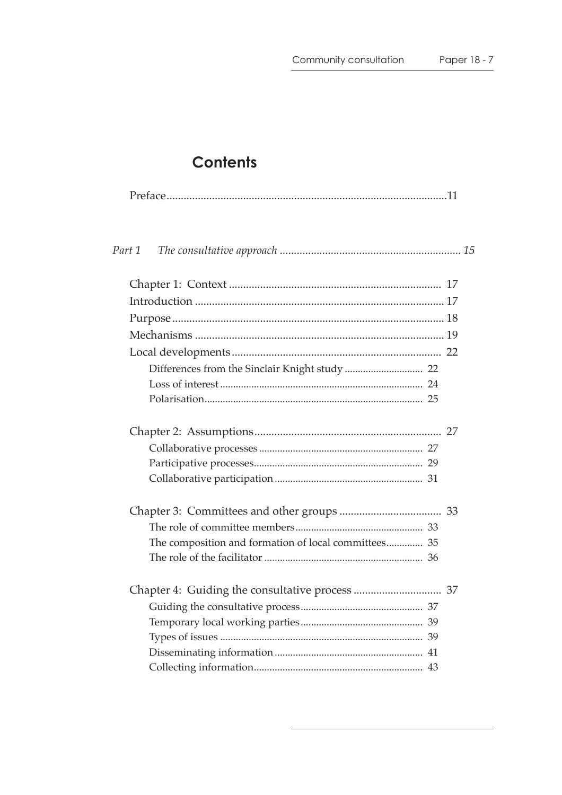# **Contents**

| Part 1                                               |  |
|------------------------------------------------------|--|
|                                                      |  |
|                                                      |  |
|                                                      |  |
|                                                      |  |
|                                                      |  |
|                                                      |  |
|                                                      |  |
|                                                      |  |
|                                                      |  |
|                                                      |  |
|                                                      |  |
|                                                      |  |
|                                                      |  |
|                                                      |  |
| The composition and formation of local committees 35 |  |
|                                                      |  |
|                                                      |  |
|                                                      |  |
|                                                      |  |
|                                                      |  |
|                                                      |  |
|                                                      |  |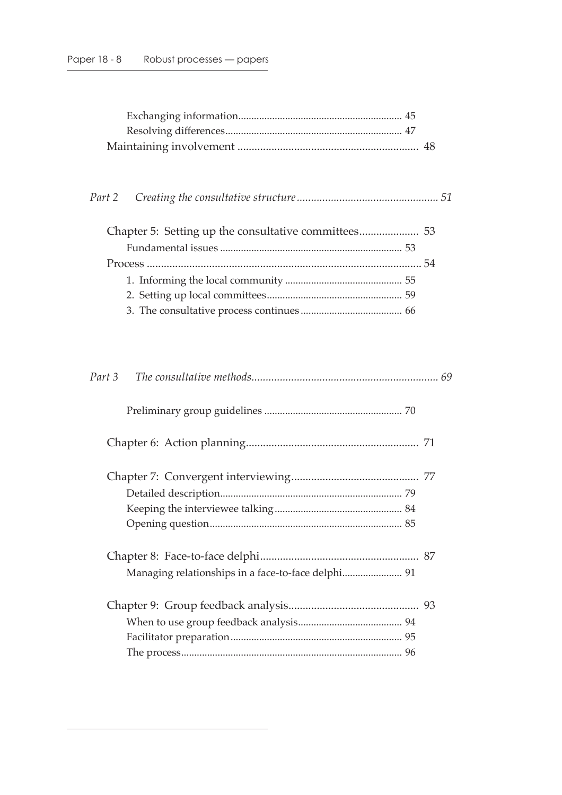| Part 2                                             |  |
|----------------------------------------------------|--|
|                                                    |  |
|                                                    |  |
|                                                    |  |
|                                                    |  |
|                                                    |  |
|                                                    |  |
| Part 3                                             |  |
|                                                    |  |
|                                                    |  |
|                                                    |  |
|                                                    |  |
|                                                    |  |
|                                                    |  |
|                                                    |  |
| Managing relationships in a face-to-face delphi 91 |  |
|                                                    |  |
|                                                    |  |
|                                                    |  |
|                                                    |  |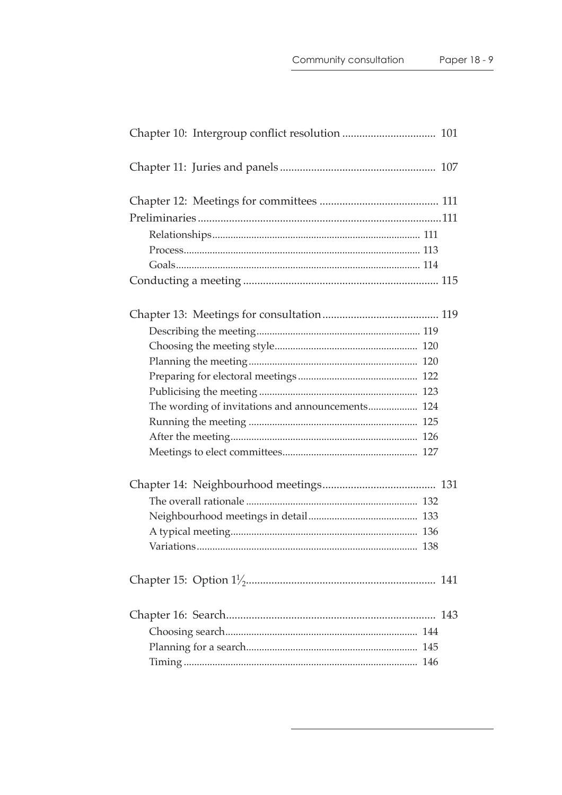| The wording of invitations and announcements 124 |  |
|--------------------------------------------------|--|
|                                                  |  |
|                                                  |  |
|                                                  |  |
|                                                  |  |
|                                                  |  |
|                                                  |  |
|                                                  |  |
| Variations.<br>-138                              |  |
|                                                  |  |
|                                                  |  |
|                                                  |  |
|                                                  |  |
|                                                  |  |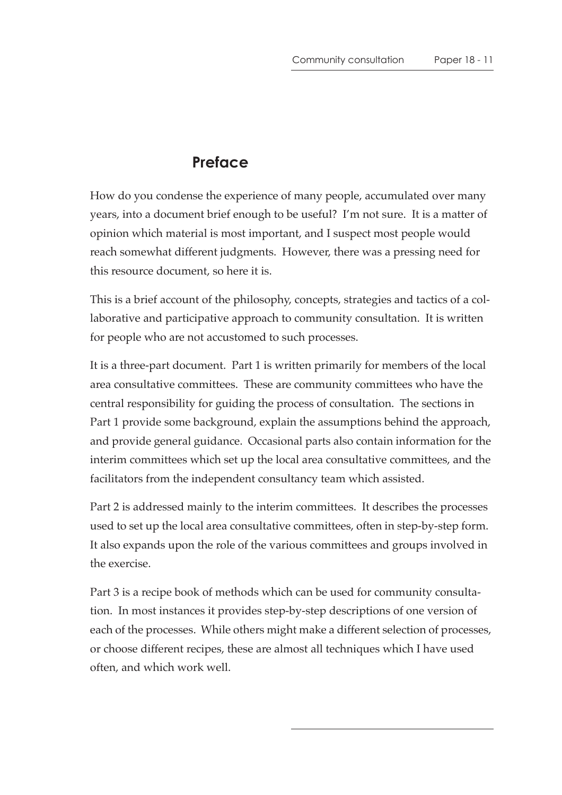### **Preface**

How do you condense the experience of many people, accumulated over many years, into a document brief enough to be useful? I'm not sure. It is a matter of opinion which material is most important, and I suspect most people would reach somewhat different judgments. However, there was a pressing need for this resource document, so here it is.

This is a brief account of the philosophy, concepts, strategies and tactics of a collaborative and participative approach to community consultation. It is written for people who are not accustomed to such processes.

It is a three-part document. Part 1 is written primarily for members of the local area consultative committees. These are community committees who have the central responsibility for guiding the process of consultation. The sections in Part 1 provide some background, explain the assumptions behind the approach, and provide general guidance. Occasional parts also contain information for the interim committees which set up the local area consultative committees, and the facilitators from the independent consultancy team which assisted.

Part 2 is addressed mainly to the interim committees. It describes the processes used to set up the local area consultative committees, often in step-by-step form. It also expands upon the role of the various committees and groups involved in the exercise.

Part 3 is a recipe book of methods which can be used for community consultation. In most instances it provides step-by-step descriptions of one version of each of the processes. While others might make a different selection of processes, or choose different recipes, these are almost all techniques which I have used often, and which work well.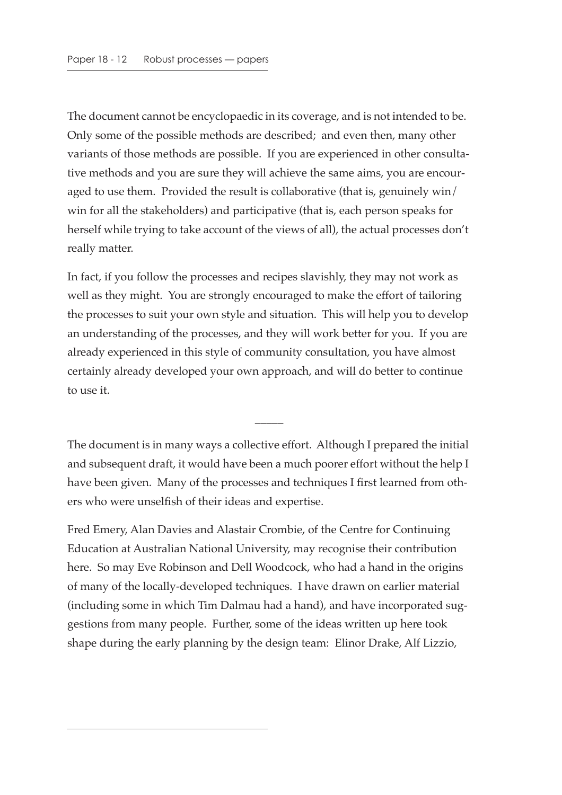The document cannot be encyclopaedic in its coverage, and is not intended to be. Only some of the possible methods are described; and even then, many other variants of those methods are possible. If you are experienced in other consultative methods and you are sure they will achieve the same aims, you are encouraged to use them. Provided the result is collaborative (that is, genuinely win/ win for all the stakeholders) and participative (that is, each person speaks for herself while trying to take account of the views of all), the actual processes don't really matter.

In fact, if you follow the processes and recipes slavishly, they may not work as well as they might. You are strongly encouraged to make the effort of tailoring the processes to suit your own style and situation. This will help you to develop an understanding of the processes, and they will work better for you. If you are already experienced in this style of community consultation, you have almost certainly already developed your own approach, and will do better to continue to use it.

The document is in many ways a collective effort. Although I prepared the initial and subsequent draft, it would have been a much poorer effort without the help I have been given. Many of the processes and techniques I first learned from others who were unselfish of their ideas and expertise.

 $\overline{\phantom{a}}$ 

Fred Emery, Alan Davies and Alastair Crombie, of the Centre for Continuing Education at Australian National University, may recognise their contribution here. So may Eve Robinson and Dell Woodcock, who had a hand in the origins of many of the locally-developed techniques. I have drawn on earlier material (including some in which Tim Dalmau had a hand), and have incorporated suggestions from many people. Further, some of the ideas written up here took shape during the early planning by the design team: Elinor Drake, Alf Lizzio,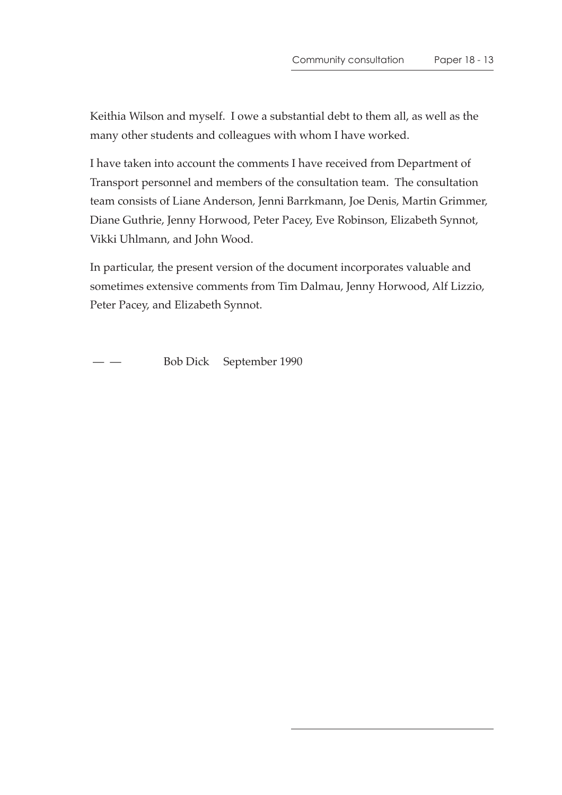Keithia Wilson and myself. I owe a substantial debt to them all, as well as the many other students and colleagues with whom I have worked.

I have taken into account the comments I have received from Department of Transport personnel and members of the consultation team. The consultation team consists of Liane Anderson, Jenni Barrkmann, Joe Denis, Martin Grimmer, Diane Guthrie, Jenny Horwood, Peter Pacey, Eve Robinson, Elizabeth Synnot, Vikki Uhlmann, and John Wood.

In particular, the present version of the document incorporates valuable and sometimes extensive comments from Tim Dalmau, Jenny Horwood, Alf Lizzio, Peter Pacey, and Elizabeth Synnot.

Bob Dick September 1990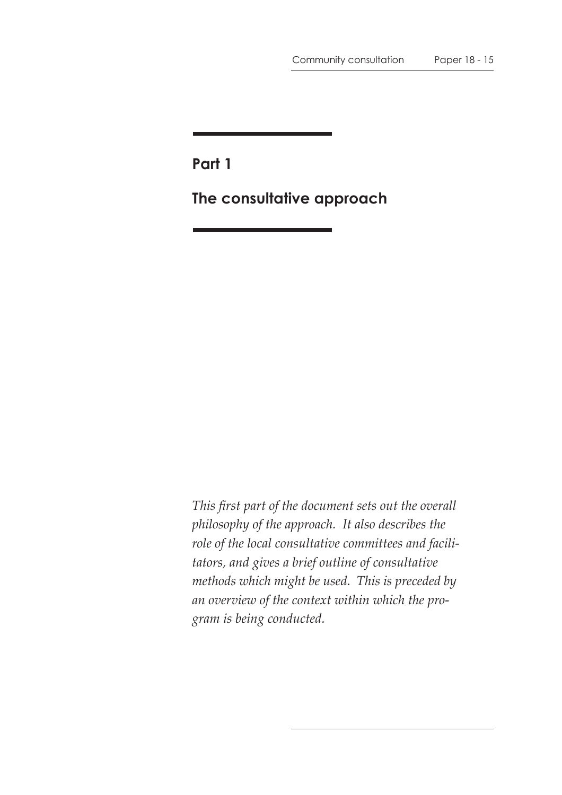**Part 1**

**The consultative approach**

*This first part of the document sets out the overall philosophy of the approach. It also describes the role of the local consultative committees and facilitators, and gives a brief outline of consultative methods which might be used. This is preceded by an overview of the context within which the program is being conducted.*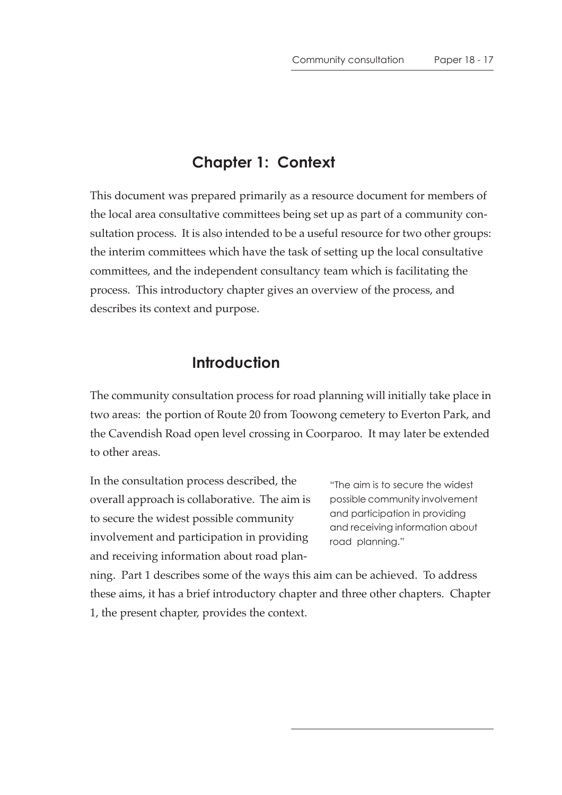# **Chapter 1: Context**

This document was prepared primarily as a resource document for members of the local area consultative committees being set up as part of a community consultation process. It is also intended to be a useful resource for two other groups: the interim committees which have the task of setting up the local consultative committees, and the independent consultancy team which is facilitating the process. This introductory chapter gives an overview of the process, and describes its context and purpose.

# **Introduction**

The community consultation process for road planning will initially take place in two areas: the portion of Route 20 from Toowong cemetery to Everton Park, and the Cavendish Road open level crossing in Coorparoo. It may later be extended to other areas.

In the consultation process described, the overall approach is collaborative. The aim is to secure the widest possible community involvement and participation in providing and receiving information about road plan-

"The aim is to secure the widest possible community involvement and participation in providing and receiving information about road planning."

ning. Part 1 describes some of the ways this aim can be achieved. To address these aims, it has a brief introductory chapter and three other chapters. Chapter 1, the present chapter, provides the context.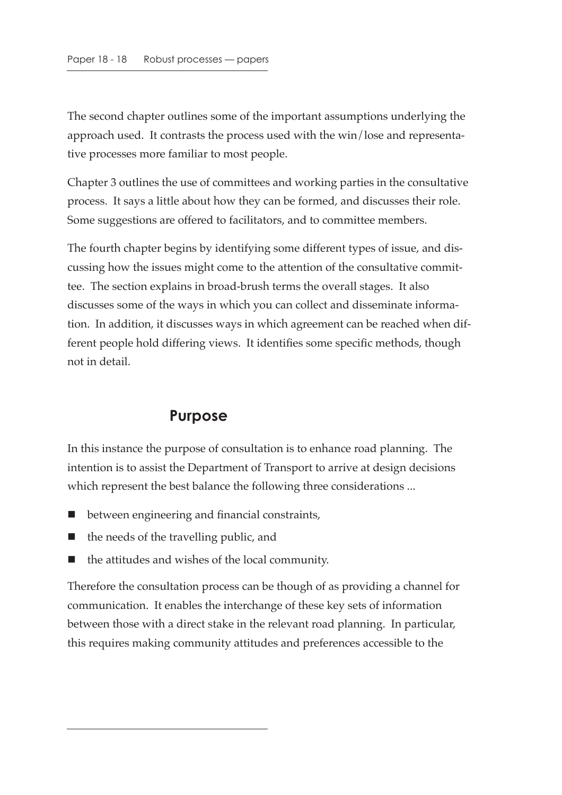The second chapter outlines some of the important assumptions underlying the approach used. It contrasts the process used with the win/lose and representative processes more familiar to most people.

Chapter 3 outlines the use of committees and working parties in the consultative process. It says a little about how they can be formed, and discusses their role. Some suggestions are offered to facilitators, and to committee members.

The fourth chapter begins by identifying some different types of issue, and discussing how the issues might come to the attention of the consultative committee. The section explains in broad-brush terms the overall stages. It also discusses some of the ways in which you can collect and disseminate information. In addition, it discusses ways in which agreement can be reached when different people hold differing views. It identifies some specific methods, though not in detail.

#### **Purpose**

In this instance the purpose of consultation is to enhance road planning. The intention is to assist the Department of Transport to arrive at design decisions which represent the best balance the following three considerations ...

- between engineering and financial constraints,
- $\blacksquare$  the needs of the travelling public, and
- $\blacksquare$  the attitudes and wishes of the local community.

Therefore the consultation process can be though of as providing a channel for communication. It enables the interchange of these key sets of information between those with a direct stake in the relevant road planning. In particular, this requires making community attitudes and preferences accessible to the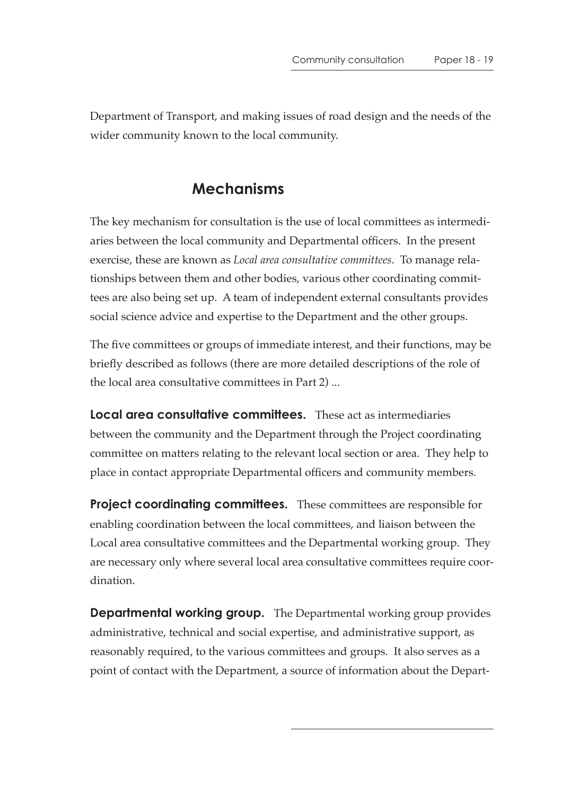Department of Transport, and making issues of road design and the needs of the wider community known to the local community.

# **Mechanisms**

The key mechanism for consultation is the use of local committees as intermediaries between the local community and Departmental officers. In the present exercise, these are known as *Local area consultative committees*. To manage relationships between them and other bodies, various other coordinating committees are also being set up. A team of independent external consultants provides social science advice and expertise to the Department and the other groups.

The five committees or groups of immediate interest, and their functions, may be briefly described as follows (there are more detailed descriptions of the role of the local area consultative committees in Part 2) ...

**Local area consultative committees.** These act as intermediaries between the community and the Department through the Project coordinating committee on matters relating to the relevant local section or area. They help to place in contact appropriate Departmental officers and community members.

**Project coordinating committees.** These committees are responsible for enabling coordination between the local committees, and liaison between the Local area consultative committees and the Departmental working group. They are necessary only where several local area consultative committees require coordination.

**Departmental working group.** The Departmental working group provides administrative, technical and social expertise, and administrative support, as reasonably required, to the various committees and groups. It also serves as a point of contact with the Department, a source of information about the Depart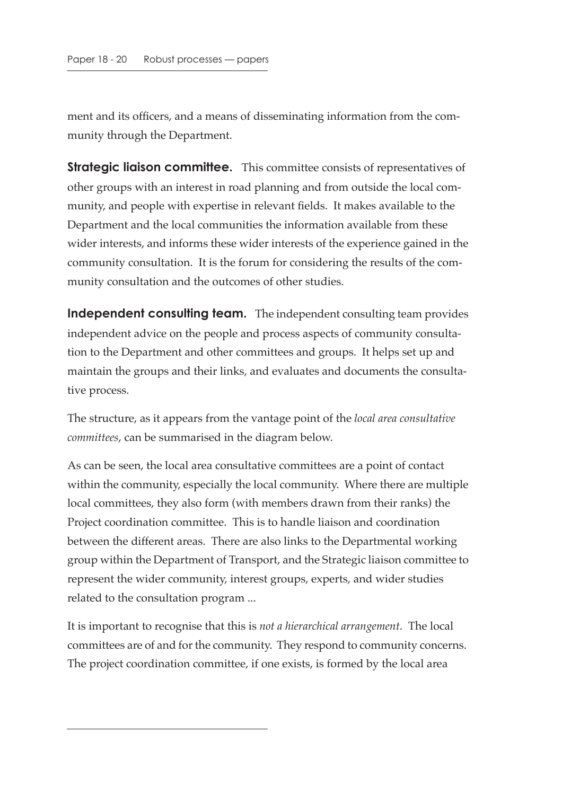ment and its officers, and a means of disseminating information from the community through the Department.

**Strategic liaison committee.** This committee consists of representatives of other groups with an interest in road planning and from outside the local community, and people with expertise in relevant fields. It makes available to the Department and the local communities the information available from these wider interests, and informs these wider interests of the experience gained in the community consultation. It is the forum for considering the results of the community consultation and the outcomes of other studies.

**Independent consulting team.** The independent consulting team provides independent advice on the people and process aspects of community consultation to the Department and other committees and groups. It helps set up and maintain the groups and their links, and evaluates and documents the consultative process.

The structure, as it appears from the vantage point of the *local area consultative committees*, can be summarised in the diagram below.

As can be seen, the local area consultative committees are a point of contact within the community, especially the local community. Where there are multiple local committees, they also form (with members drawn from their ranks) the Project coordination committee. This is to handle liaison and coordination between the different areas. There are also links to the Departmental working group within the Department of Transport, and the Strategic liaison committee to represent the wider community, interest groups, experts, and wider studies related to the consultation program ...

It is important to recognise that this is *not a hierarchical arrangement*. The local committees are of and for the community. They respond to community concerns. The project coordination committee, if one exists, is formed by the local area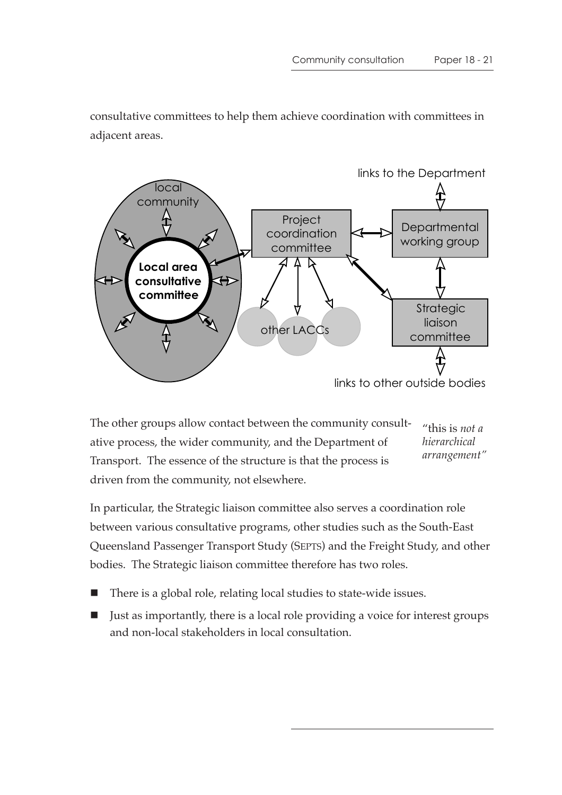consultative committees to help them achieve coordination with committees in adjacent areas.



The other groups allow contact between the community consultative process, the wider community, and the Department of Transport. The essence of the structure is that the process is driven from the community, not elsewhere. "this is *not a hierarchical arrangement"*

In particular, the Strategic liaison committee also serves a coordination role between various consultative programs, other studies such as the South-East Queensland Passenger Transport Study (SEPTS) and the Freight Study, and other bodies. The Strategic liaison committee therefore has two roles.

- There is a global role, relating local studies to state-wide issues.
- $\blacksquare$  Just as importantly, there is a local role providing a voice for interest groups and non-local stakeholders in local consultation.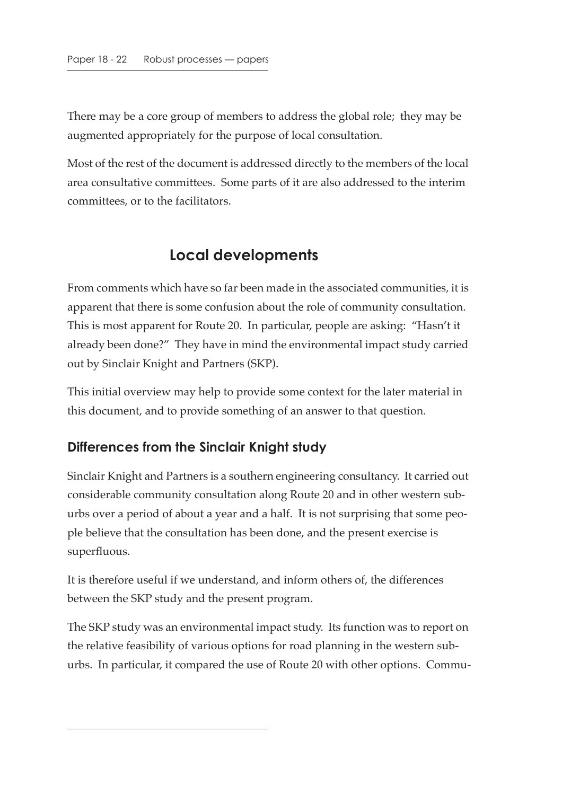There may be a core group of members to address the global role; they may be augmented appropriately for the purpose of local consultation.

Most of the rest of the document is addressed directly to the members of the local area consultative committees. Some parts of it are also addressed to the interim committees, or to the facilitators.

# **Local developments**

From comments which have so far been made in the associated communities, it is apparent that there is some confusion about the role of community consultation. This is most apparent for Route 20. In particular, people are asking: "Hasn't it already been done?" They have in mind the environmental impact study carried out by Sinclair Knight and Partners (SKP).

This initial overview may help to provide some context for the later material in this document, and to provide something of an answer to that question.

#### **Differences from the Sinclair Knight study**

Sinclair Knight and Partners is a southern engineering consultancy. It carried out considerable community consultation along Route 20 and in other western suburbs over a period of about a year and a half. It is not surprising that some people believe that the consultation has been done, and the present exercise is superfluous.

It is therefore useful if we understand, and inform others of, the differences between the SKP study and the present program.

The SKP study was an environmental impact study. Its function was to report on the relative feasibility of various options for road planning in the western suburbs. In particular, it compared the use of Route 20 with other options. Commu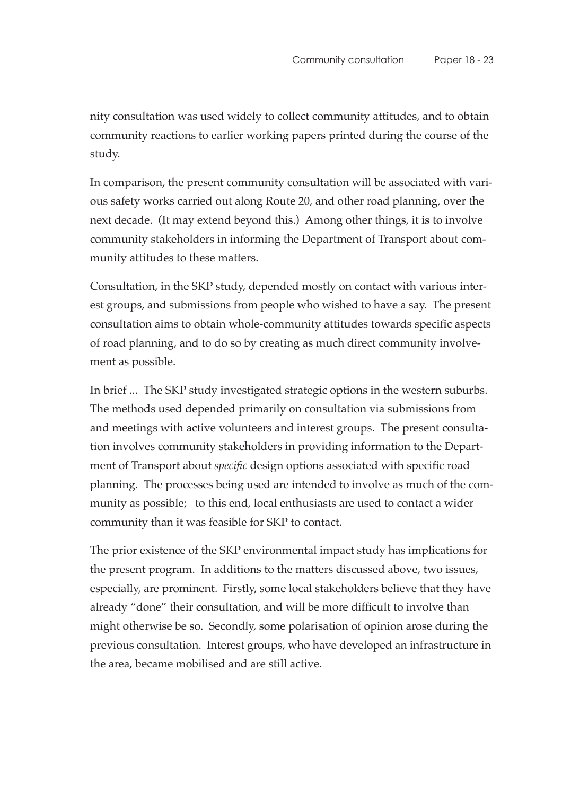nity consultation was used widely to collect community attitudes, and to obtain community reactions to earlier working papers printed during the course of the study.

In comparison, the present community consultation will be associated with various safety works carried out along Route 20, and other road planning, over the next decade. (It may extend beyond this.) Among other things, it is to involve community stakeholders in informing the Department of Transport about community attitudes to these matters.

Consultation, in the SKP study, depended mostly on contact with various interest groups, and submissions from people who wished to have a say. The present consultation aims to obtain whole-community attitudes towards specific aspects of road planning, and to do so by creating as much direct community involvement as possible.

In brief ... The SKP study investigated strategic options in the western suburbs. The methods used depended primarily on consultation via submissions from and meetings with active volunteers and interest groups. The present consultation involves community stakeholders in providing information to the Department of Transport about *specific* design options associated with specific road planning. The processes being used are intended to involve as much of the community as possible; to this end, local enthusiasts are used to contact a wider community than it was feasible for SKP to contact.

The prior existence of the SKP environmental impact study has implications for the present program. In additions to the matters discussed above, two issues, especially, are prominent. Firstly, some local stakeholders believe that they have already "done" their consultation, and will be more difficult to involve than might otherwise be so. Secondly, some polarisation of opinion arose during the previous consultation. Interest groups, who have developed an infrastructure in the area, became mobilised and are still active.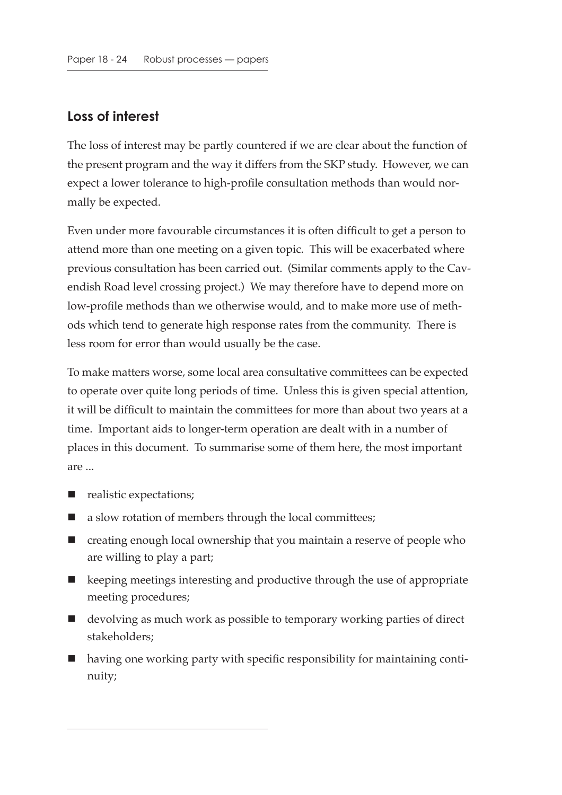#### **Loss of interest**

The loss of interest may be partly countered if we are clear about the function of the present program and the way it differs from the SKP study. However, we can expect a lower tolerance to high-profile consultation methods than would normally be expected.

Even under more favourable circumstances it is often difficult to get a person to attend more than one meeting on a given topic. This will be exacerbated where previous consultation has been carried out. (Similar comments apply to the Cavendish Road level crossing project.) We may therefore have to depend more on low-profile methods than we otherwise would, and to make more use of methods which tend to generate high response rates from the community. There is less room for error than would usually be the case.

To make matters worse, some local area consultative committees can be expected to operate over quite long periods of time. Unless this is given special attention, it will be difficult to maintain the committees for more than about two years at a time. Important aids to longer-term operation are dealt with in a number of places in this document. To summarise some of them here, the most important are ...

- **n** realistic expectations;
- a slow rotation of members through the local committees;
- creating enough local ownership that you maintain a reserve of people who are willing to play a part;
- keeping meetings interesting and productive through the use of appropriate meeting procedures;
- devolving as much work as possible to temporary working parties of direct stakeholders;
- having one working party with specific responsibility for maintaining continuity;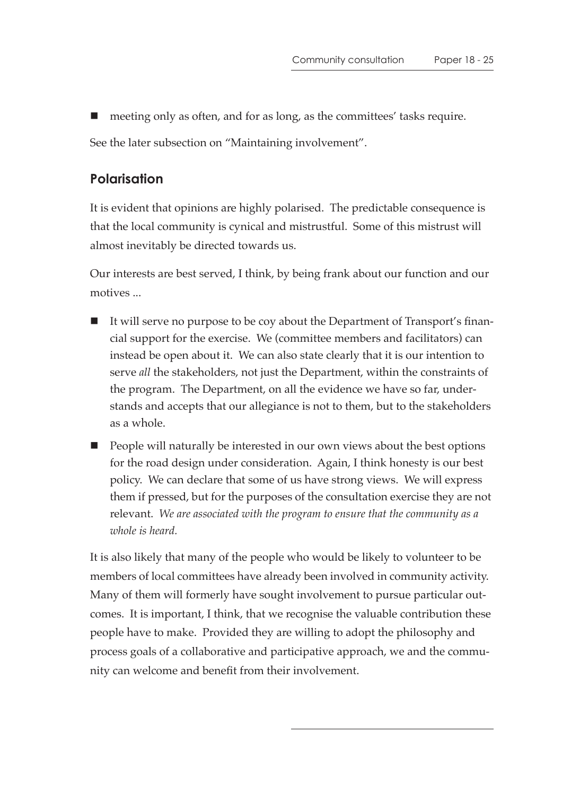■ meeting only as often, and for as long, as the committees' tasks require.

See the later subsection on "Maintaining involvement".

### **Polarisation**

It is evident that opinions are highly polarised. The predictable consequence is that the local community is cynical and mistrustful. Some of this mistrust will almost inevitably be directed towards us.

Our interests are best served, I think, by being frank about our function and our motives ...

- It will serve no purpose to be coy about the Department of Transport's financial support for the exercise. We (committee members and facilitators) can instead be open about it. We can also state clearly that it is our intention to serve *all* the stakeholders, not just the Department, within the constraints of the program. The Department, on all the evidence we have so far, understands and accepts that our allegiance is not to them, but to the stakeholders as a whole.
- People will naturally be interested in our own views about the best options for the road design under consideration. Again, I think honesty is our best policy. We can declare that some of us have strong views. We will express them if pressed, but for the purposes of the consultation exercise they are not relevant. *We are associated with the program to ensure that the community as a whole is heard.*

It is also likely that many of the people who would be likely to volunteer to be members of local committees have already been involved in community activity. Many of them will formerly have sought involvement to pursue particular outcomes. It is important, I think, that we recognise the valuable contribution these people have to make. Provided they are willing to adopt the philosophy and process goals of a collaborative and participative approach, we and the community can welcome and benefit from their involvement.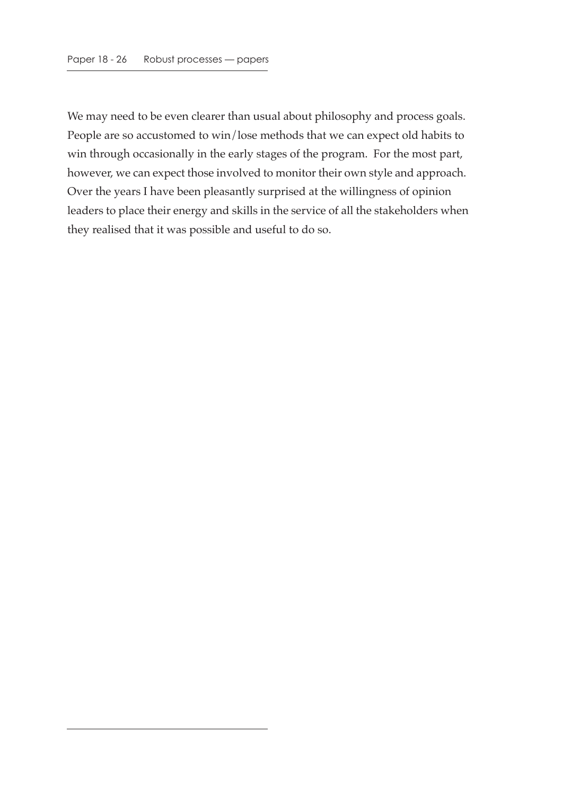We may need to be even clearer than usual about philosophy and process goals. People are so accustomed to win/lose methods that we can expect old habits to win through occasionally in the early stages of the program. For the most part, however, we can expect those involved to monitor their own style and approach. Over the years I have been pleasantly surprised at the willingness of opinion leaders to place their energy and skills in the service of all the stakeholders when they realised that it was possible and useful to do so.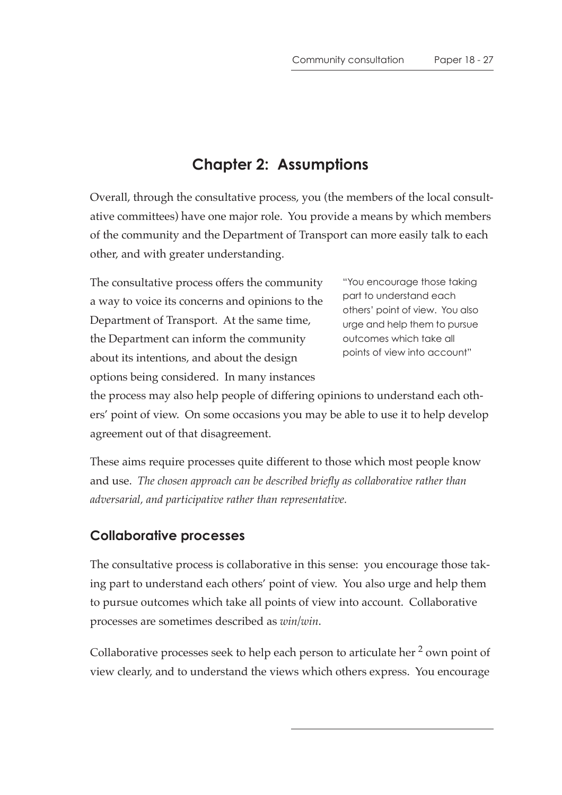# **Chapter 2: Assumptions**

Overall, through the consultative process, you (the members of the local consultative committees) have one major role. You provide a means by which members of the community and the Department of Transport can more easily talk to each other, and with greater understanding.

The consultative process offers the community a way to voice its concerns and opinions to the Department of Transport. At the same time, the Department can inform the community about its intentions, and about the design options being considered. In many instances

"You encourage those taking part to understand each others' point of view. You also urge and help them to pursue outcomes which take all points of view into account"

the process may also help people of differing opinions to understand each others' point of view. On some occasions you may be able to use it to help develop agreement out of that disagreement.

These aims require processes quite different to those which most people know and use. *The chosen approach can be described briefly as collaborative rather than adversarial, and participative rather than representative.*

#### **Collaborative processes**

The consultative process is collaborative in this sense: you encourage those taking part to understand each others' point of view. You also urge and help them to pursue outcomes which take all points of view into account. Collaborative processes are sometimes described as *win/win*.

Collaborative processes seek to help each person to articulate her  $2$  own point of view clearly, and to understand the views which others express. You encourage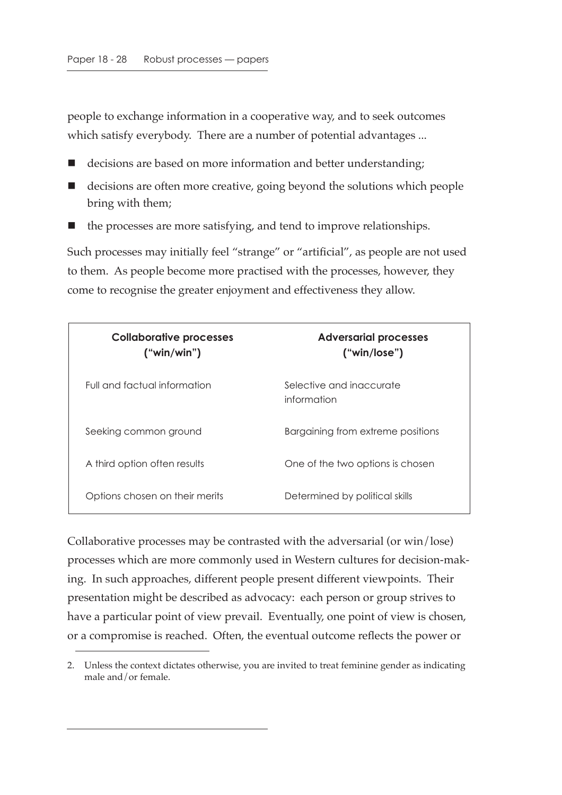people to exchange information in a cooperative way, and to seek outcomes which satisfy everybody. There are a number of potential advantages ...

- decisions are based on more information and better understanding;
- decisions are often more creative, going beyond the solutions which people bring with them;
- the processes are more satisfying, and tend to improve relationships.

Such processes may initially feel "strange" or "artificial", as people are not used to them. As people become more practised with the processes, however, they come to recognise the greater enjoyment and effectiveness they allow.

| <b>Collaborative processes</b><br>("win/win") | <b>Adversarial processes</b><br>("win/lose") |
|-----------------------------------------------|----------------------------------------------|
| Full and factual information                  | Selective and inaccurate<br>information      |
| Seeking common ground                         | Bargaining from extreme positions            |
| A third option often results                  | One of the two options is chosen             |
| Options chosen on their merits                | Determined by political skills               |

Collaborative processes may be contrasted with the adversarial (or win/lose) processes which are more commonly used in Western cultures for decision-making. In such approaches, different people present different viewpoints. Their presentation might be described as advocacy: each person or group strives to have a particular point of view prevail. Eventually, one point of view is chosen, or a compromise is reached. Often, the eventual outcome reflects the power or

<sup>2.</sup> Unless the context dictates otherwise, you are invited to treat feminine gender as indicating male and/or female.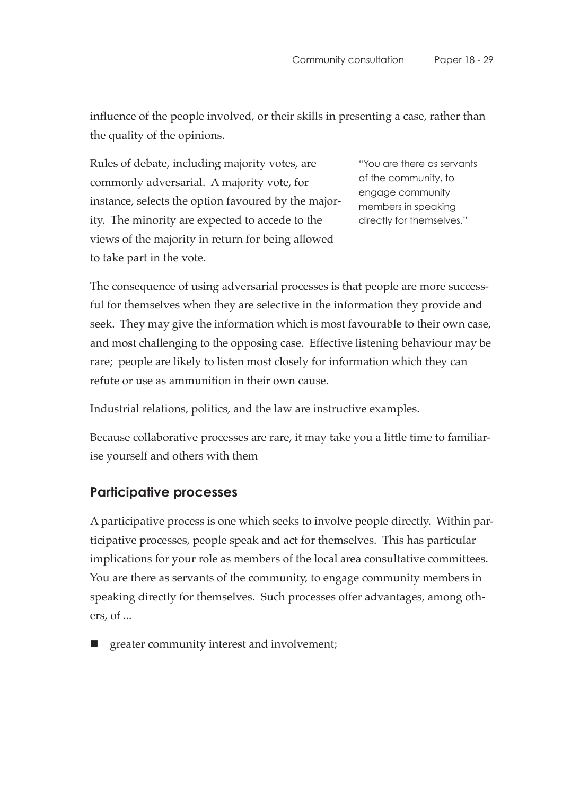influence of the people involved, or their skills in presenting a case, rather than the quality of the opinions.

Rules of debate, including majority votes, are commonly adversarial. A majority vote, for instance, selects the option favoured by the majority. The minority are expected to accede to the views of the majority in return for being allowed to take part in the vote.

"You are there as servants of the community, to engage community members in speaking directly for themselves."

The consequence of using adversarial processes is that people are more successful for themselves when they are selective in the information they provide and seek. They may give the information which is most favourable to their own case, and most challenging to the opposing case. Effective listening behaviour may be rare; people are likely to listen most closely for information which they can refute or use as ammunition in their own cause.

Industrial relations, politics, and the law are instructive examples.

Because collaborative processes are rare, it may take you a little time to familiarise yourself and others with them

#### **Participative processes**

A participative process is one which seeks to involve people directly. Within participative processes, people speak and act for themselves. This has particular implications for your role as members of the local area consultative committees. You are there as servants of the community, to engage community members in speaking directly for themselves. Such processes offer advantages, among others, of ...

greater community interest and involvement;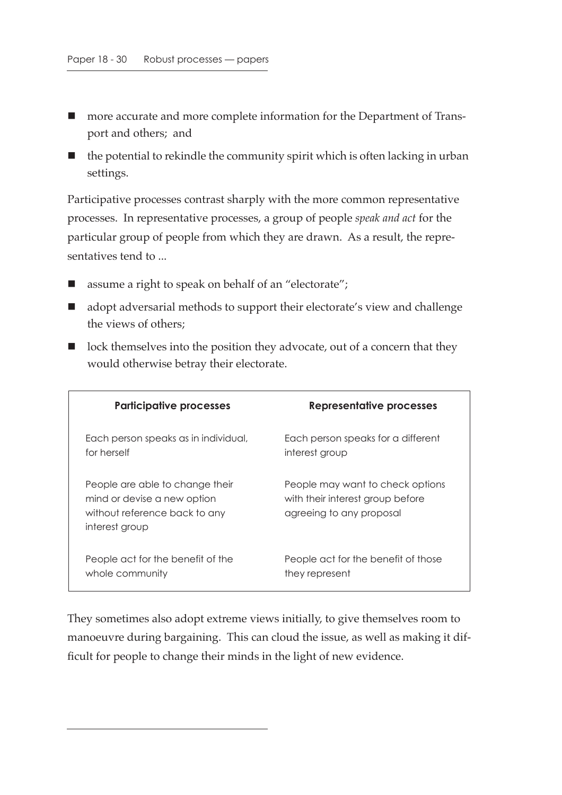- more accurate and more complete information for the Department of Transport and others; and
- $\blacksquare$  the potential to rekindle the community spirit which is often lacking in urban settings.

Participative processes contrast sharply with the more common representative processes. In representative processes, a group of people *speak and act* for the particular group of people from which they are drawn. As a result, the representatives tend to ...

- assume a right to speak on behalf of an "electorate";
- adopt adversarial methods to support their electorate's view and challenge the views of others;
- $\blacksquare$  lock themselves into the position they advocate, out of a concern that they would otherwise betray their electorate.

| <b>Participative processes</b>                                                                                    | <b>Representative processes</b>                                                                  |
|-------------------------------------------------------------------------------------------------------------------|--------------------------------------------------------------------------------------------------|
| Each person speaks as in individual,                                                                              | Each person speaks for a different                                                               |
| for herself                                                                                                       | interest group                                                                                   |
| People are able to change their<br>mind or devise a new option<br>without reference back to any<br>interest group | People may want to check options<br>with their interest group before<br>agreeing to any proposal |
| People act for the benefit of the                                                                                 | People act for the benefit of those                                                              |
| whole community                                                                                                   | they represent                                                                                   |

They sometimes also adopt extreme views initially, to give themselves room to manoeuvre during bargaining. This can cloud the issue, as well as making it difficult for people to change their minds in the light of new evidence.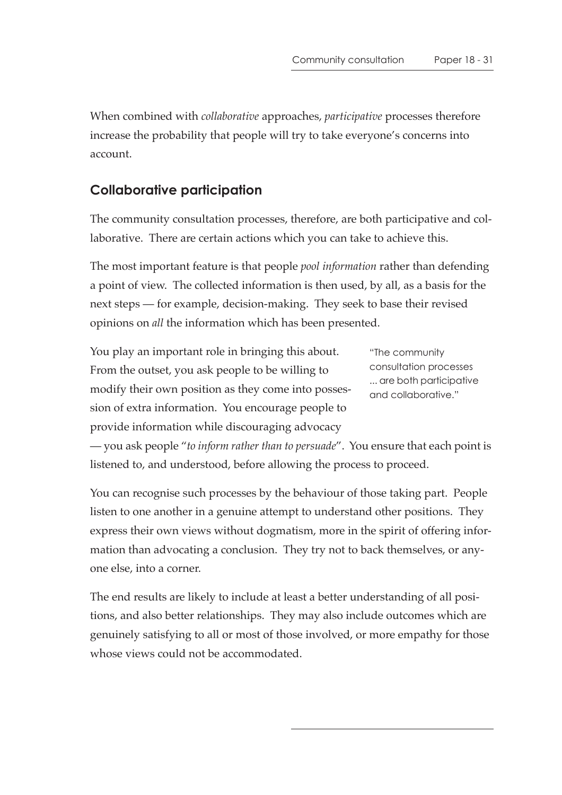When combined with *collaborative* approaches, *participative* processes therefore increase the probability that people will try to take everyone's concerns into account.

### **Collaborative participation**

The community consultation processes, therefore, are both participative and collaborative. There are certain actions which you can take to achieve this.

The most important feature is that people *pool information* rather than defending a point of view. The collected information is then used, by all, as a basis for the next steps — for example, decision-making. They seek to base their revised opinions on *all* the information which has been presented.

You play an important role in bringing this about. From the outset, you ask people to be willing to modify their own position as they come into possession of extra information. You encourage people to provide information while discouraging advocacy

"The community consultation processes ... are both participative and collaborative."

— you ask people "*to inform rather than to persuade*". You ensure that each point is listened to, and understood, before allowing the process to proceed.

You can recognise such processes by the behaviour of those taking part. People listen to one another in a genuine attempt to understand other positions. They express their own views without dogmatism, more in the spirit of offering information than advocating a conclusion. They try not to back themselves, or anyone else, into a corner.

The end results are likely to include at least a better understanding of all positions, and also better relationships. They may also include outcomes which are genuinely satisfying to all or most of those involved, or more empathy for those whose views could not be accommodated.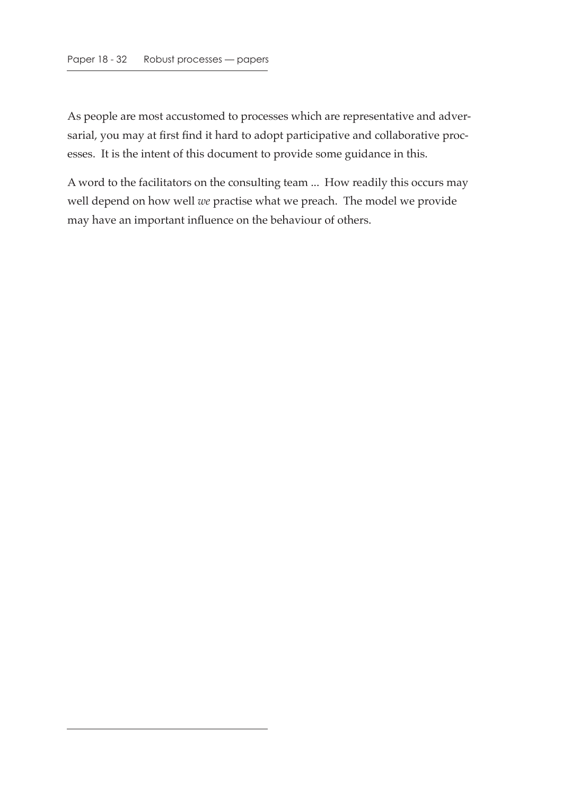As people are most accustomed to processes which are representative and adversarial, you may at first find it hard to adopt participative and collaborative processes. It is the intent of this document to provide some guidance in this.

A word to the facilitators on the consulting team ... How readily this occurs may well depend on how well *we* practise what we preach. The model we provide may have an important influence on the behaviour of others.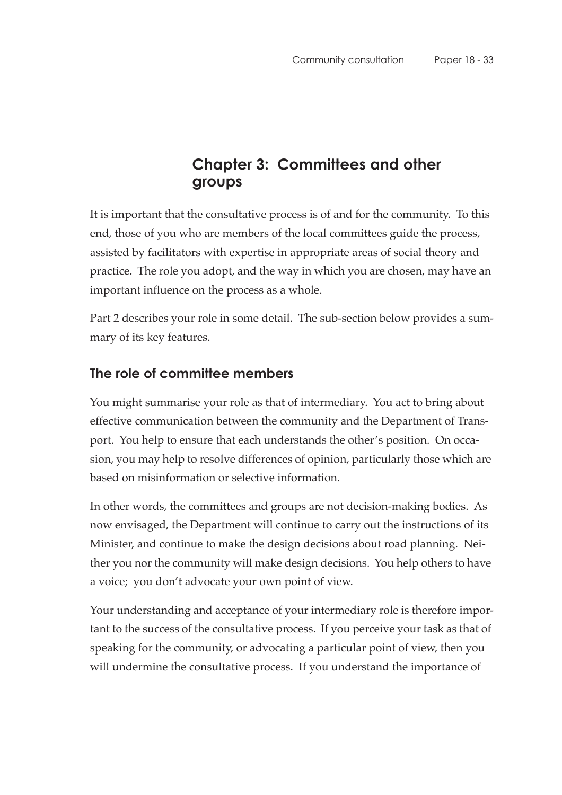# **Chapter 3: Committees and other groups**

It is important that the consultative process is of and for the community. To this end, those of you who are members of the local committees guide the process, assisted by facilitators with expertise in appropriate areas of social theory and practice. The role you adopt, and the way in which you are chosen, may have an important influence on the process as a whole.

Part 2 describes your role in some detail. The sub-section below provides a summary of its key features.

#### **The role of committee members**

You might summarise your role as that of intermediary. You act to bring about effective communication between the community and the Department of Transport. You help to ensure that each understands the other's position. On occasion, you may help to resolve differences of opinion, particularly those which are based on misinformation or selective information.

In other words, the committees and groups are not decision-making bodies. As now envisaged, the Department will continue to carry out the instructions of its Minister, and continue to make the design decisions about road planning. Neither you nor the community will make design decisions. You help others to have a voice; you don't advocate your own point of view.

Your understanding and acceptance of your intermediary role is therefore important to the success of the consultative process. If you perceive your task as that of speaking for the community, or advocating a particular point of view, then you will undermine the consultative process. If you understand the importance of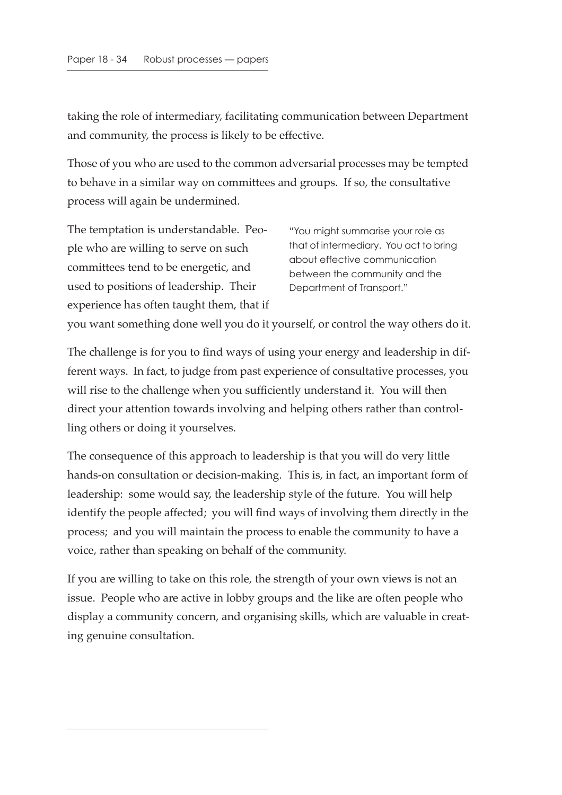taking the role of intermediary, facilitating communication between Department and community, the process is likely to be effective.

Those of you who are used to the common adversarial processes may be tempted to behave in a similar way on committees and groups. If so, the consultative process will again be undermined.

The temptation is understandable. People who are willing to serve on such committees tend to be energetic, and used to positions of leadership. Their experience has often taught them, that if "You might summarise your role as that of intermediary. You act to bring about effective communication between the community and the Department of Transport."

you want something done well you do it yourself, or control the way others do it.

The challenge is for you to find ways of using your energy and leadership in different ways. In fact, to judge from past experience of consultative processes, you will rise to the challenge when you sufficiently understand it. You will then direct your attention towards involving and helping others rather than controlling others or doing it yourselves.

The consequence of this approach to leadership is that you will do very little hands-on consultation or decision-making. This is, in fact, an important form of leadership: some would say, the leadership style of the future. You will help identify the people affected; you will find ways of involving them directly in the process; and you will maintain the process to enable the community to have a voice, rather than speaking on behalf of the community.

If you are willing to take on this role, the strength of your own views is not an issue. People who are active in lobby groups and the like are often people who display a community concern, and organising skills, which are valuable in creating genuine consultation.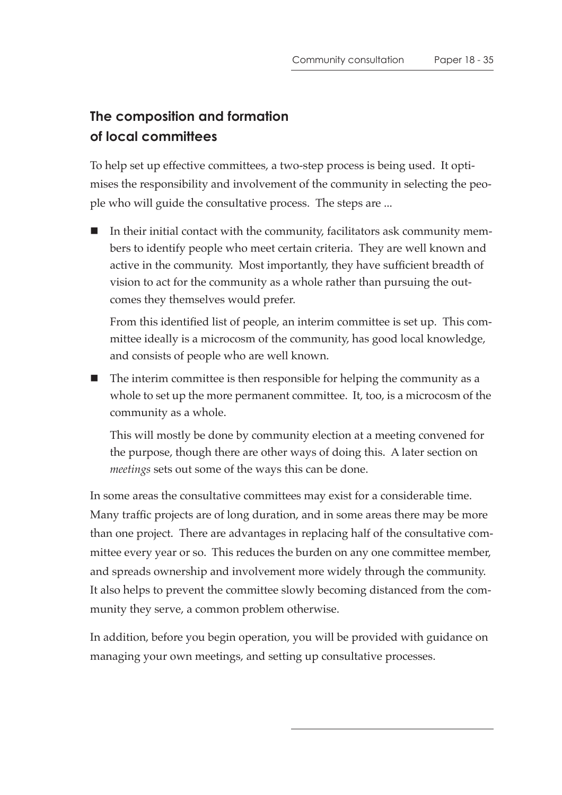# **The composition and formation of local committees**

To help set up effective committees, a two-step process is being used. It optimises the responsibility and involvement of the community in selecting the people who will guide the consultative process. The steps are ...

 In their initial contact with the community, facilitators ask community members to identify people who meet certain criteria. They are well known and active in the community. Most importantly, they have sufficient breadth of vision to act for the community as a whole rather than pursuing the outcomes they themselves would prefer.

From this identified list of people, an interim committee is set up. This committee ideally is a microcosm of the community, has good local knowledge, and consists of people who are well known.

 The interim committee is then responsible for helping the community as a whole to set up the more permanent committee. It, too, is a microcosm of the community as a whole.

This will mostly be done by community election at a meeting convened for the purpose, though there are other ways of doing this. A later section on *meetings* sets out some of the ways this can be done.

In some areas the consultative committees may exist for a considerable time. Many traffic projects are of long duration, and in some areas there may be more than one project. There are advantages in replacing half of the consultative committee every year or so. This reduces the burden on any one committee member, and spreads ownership and involvement more widely through the community. It also helps to prevent the committee slowly becoming distanced from the community they serve, a common problem otherwise.

In addition, before you begin operation, you will be provided with guidance on managing your own meetings, and setting up consultative processes.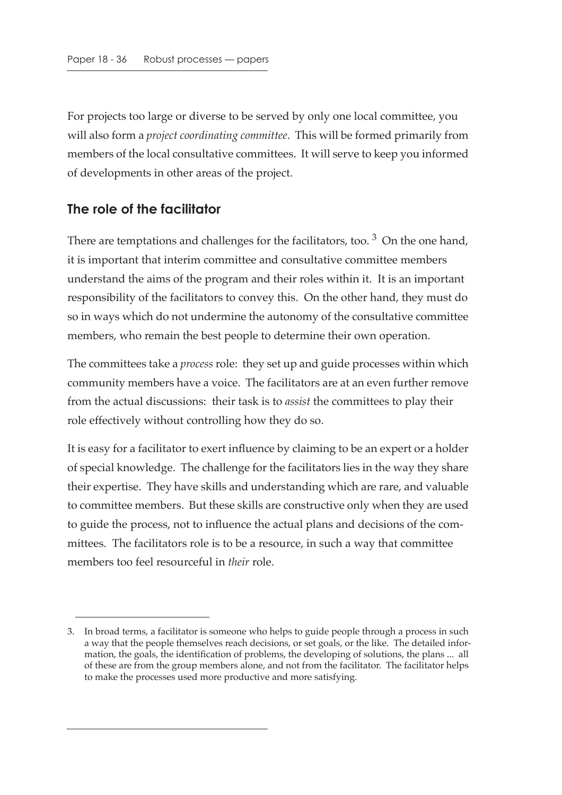For projects too large or diverse to be served by only one local committee, you will also form a *project coordinating committee*. This will be formed primarily from members of the local consultative committees. It will serve to keep you informed of developments in other areas of the project.

#### **The role of the facilitator**

There are temptations and challenges for the facilitators, too.<sup>3</sup> On the one hand, it is important that interim committee and consultative committee members understand the aims of the program and their roles within it. It is an important responsibility of the facilitators to convey this. On the other hand, they must do so in ways which do not undermine the autonomy of the consultative committee members, who remain the best people to determine their own operation.

The committees take a *process* role: they set up and guide processes within which community members have a voice. The facilitators are at an even further remove from the actual discussions: their task is to *assist* the committees to play their role effectively without controlling how they do so.

It is easy for a facilitator to exert influence by claiming to be an expert or a holder of special knowledge. The challenge for the facilitators lies in the way they share their expertise. They have skills and understanding which are rare, and valuable to committee members. But these skills are constructive only when they are used to guide the process, not to influence the actual plans and decisions of the committees. The facilitators role is to be a resource, in such a way that committee members too feel resourceful in *their* role.

<sup>3.</sup> In broad terms, a facilitator is someone who helps to guide people through a process in such a way that the people themselves reach decisions, or set goals, or the like. The detailed information, the goals, the identification of problems, the developing of solutions, the plans ... all of these are from the group members alone, and not from the facilitator. The facilitator helps to make the processes used more productive and more satisfying.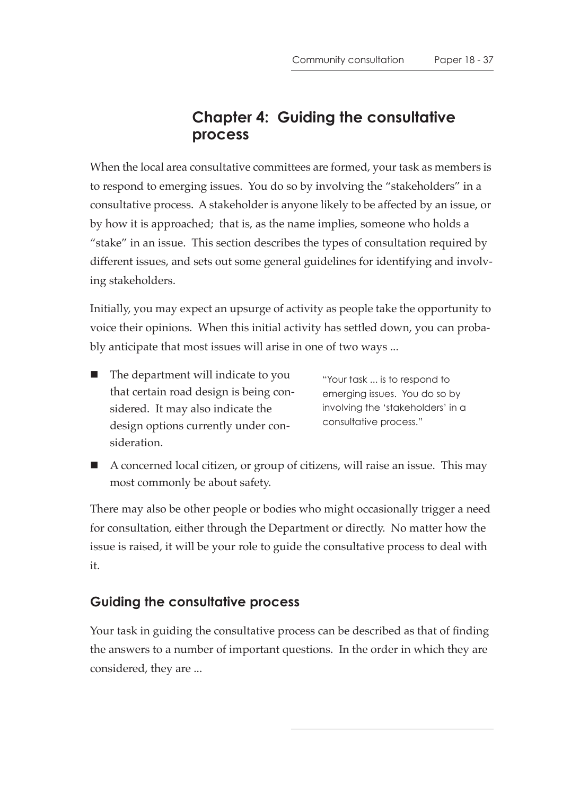# **Chapter 4: Guiding the consultative process**

When the local area consultative committees are formed, your task as members is to respond to emerging issues. You do so by involving the "stakeholders" in a consultative process. A stakeholder is anyone likely to be affected by an issue, or by how it is approached; that is, as the name implies, someone who holds a "stake" in an issue. This section describes the types of consultation required by different issues, and sets out some general guidelines for identifying and involving stakeholders.

Initially, you may expect an upsurge of activity as people take the opportunity to voice their opinions. When this initial activity has settled down, you can probably anticipate that most issues will arise in one of two ways ...

 $\blacksquare$  The department will indicate to you that certain road design is being considered. It may also indicate the design options currently under consideration.

"Your task ... is to respond to emerging issues. You do so by involving the 'stakeholders' in a consultative process."

 A concerned local citizen, or group of citizens, will raise an issue. This may most commonly be about safety.

There may also be other people or bodies who might occasionally trigger a need for consultation, either through the Department or directly. No matter how the issue is raised, it will be your role to guide the consultative process to deal with it.

#### **Guiding the consultative process**

Your task in guiding the consultative process can be described as that of finding the answers to a number of important questions. In the order in which they are considered, they are ...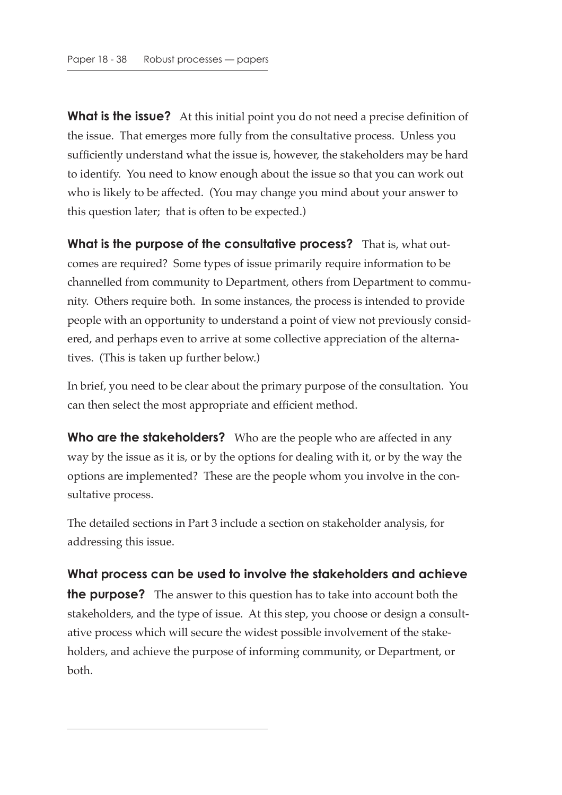**What is the issue?** At this initial point you do not need a precise definition of the issue. That emerges more fully from the consultative process. Unless you sufficiently understand what the issue is, however, the stakeholders may be hard to identify. You need to know enough about the issue so that you can work out who is likely to be affected. (You may change you mind about your answer to this question later; that is often to be expected.)

**What is the purpose of the consultative process?** That is, what outcomes are required? Some types of issue primarily require information to be channelled from community to Department, others from Department to community. Others require both. In some instances, the process is intended to provide people with an opportunity to understand a point of view not previously considered, and perhaps even to arrive at some collective appreciation of the alternatives. (This is taken up further below.)

In brief, you need to be clear about the primary purpose of the consultation. You can then select the most appropriate and efficient method.

**Who are the stakeholders?** Who are the people who are affected in any way by the issue as it is, or by the options for dealing with it, or by the way the options are implemented? These are the people whom you involve in the consultative process.

The detailed sections in Part 3 include a section on stakeholder analysis, for addressing this issue.

**What process can be used to involve the stakeholders and achieve the purpose?** The answer to this question has to take into account both the stakeholders, and the type of issue. At this step, you choose or design a consultative process which will secure the widest possible involvement of the stakeholders, and achieve the purpose of informing community, or Department, or both.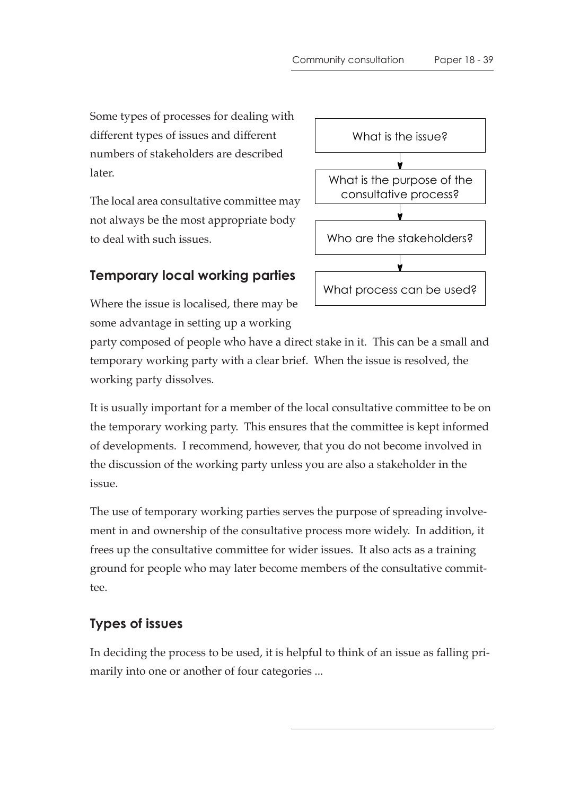Some types of processes for dealing with different types of issues and different numbers of stakeholders are described later.

The local area consultative committee may not always be the most appropriate body to deal with such issues.



## **Temporary local working parties**

Where the issue is localised, there may be some advantage in setting up a working

party composed of people who have a direct stake in it. This can be a small and temporary working party with a clear brief. When the issue is resolved, the working party dissolves.

It is usually important for a member of the local consultative committee to be on the temporary working party. This ensures that the committee is kept informed of developments. I recommend, however, that you do not become involved in the discussion of the working party unless you are also a stakeholder in the issue.

The use of temporary working parties serves the purpose of spreading involvement in and ownership of the consultative process more widely. In addition, it frees up the consultative committee for wider issues. It also acts as a training ground for people who may later become members of the consultative committee.

# **Types of issues**

In deciding the process to be used, it is helpful to think of an issue as falling primarily into one or another of four categories ...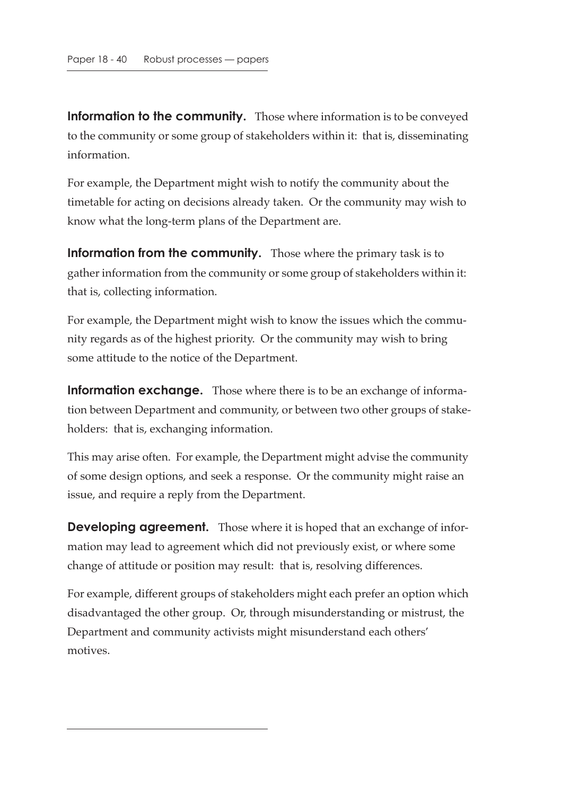**Information to the community.** Those where information is to be conveyed to the community or some group of stakeholders within it: that is, disseminating information.

For example, the Department might wish to notify the community about the timetable for acting on decisions already taken. Or the community may wish to know what the long-term plans of the Department are.

**Information from the community.** Those where the primary task is to gather information from the community or some group of stakeholders within it: that is, collecting information.

For example, the Department might wish to know the issues which the community regards as of the highest priority. Or the community may wish to bring some attitude to the notice of the Department.

**Information exchange.** Those where there is to be an exchange of information between Department and community, or between two other groups of stakeholders: that is, exchanging information.

This may arise often. For example, the Department might advise the community of some design options, and seek a response. Or the community might raise an issue, and require a reply from the Department.

**Developing agreement.** Those where it is hoped that an exchange of information may lead to agreement which did not previously exist, or where some change of attitude or position may result: that is, resolving differences.

For example, different groups of stakeholders might each prefer an option which disadvantaged the other group. Or, through misunderstanding or mistrust, the Department and community activists might misunderstand each others' motives.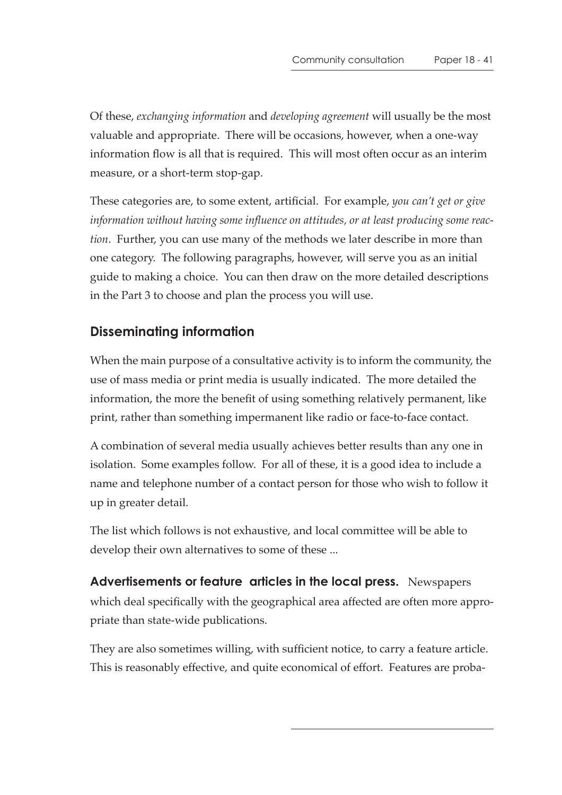Of these, *exchanging information* and *developing agreement* will usually be the most valuable and appropriate. There will be occasions, however, when a one-way information flow is all that is required. This will most often occur as an interim measure, or a short-term stop-gap.

These categories are, to some extent, artificial. For example, *you can't get or give information without having some influence on attitudes, or at least producing some reaction*. Further, you can use many of the methods we later describe in more than one category. The following paragraphs, however, will serve you as an initial guide to making a choice. You can then draw on the more detailed descriptions in the Part 3 to choose and plan the process you will use.

### **Disseminating information**

When the main purpose of a consultative activity is to inform the community, the use of mass media or print media is usually indicated. The more detailed the information, the more the benefit of using something relatively permanent, like print, rather than something impermanent like radio or face-to-face contact.

A combination of several media usually achieves better results than any one in isolation. Some examples follow. For all of these, it is a good idea to include a name and telephone number of a contact person for those who wish to follow it up in greater detail.

The list which follows is not exhaustive, and local committee will be able to develop their own alternatives to some of these ...

**Advertisements or feature articles in the local press.** Newspapers which deal specifically with the geographical area affected are often more appropriate than state-wide publications.

They are also sometimes willing, with sufficient notice, to carry a feature article. This is reasonably effective, and quite economical of effort. Features are proba-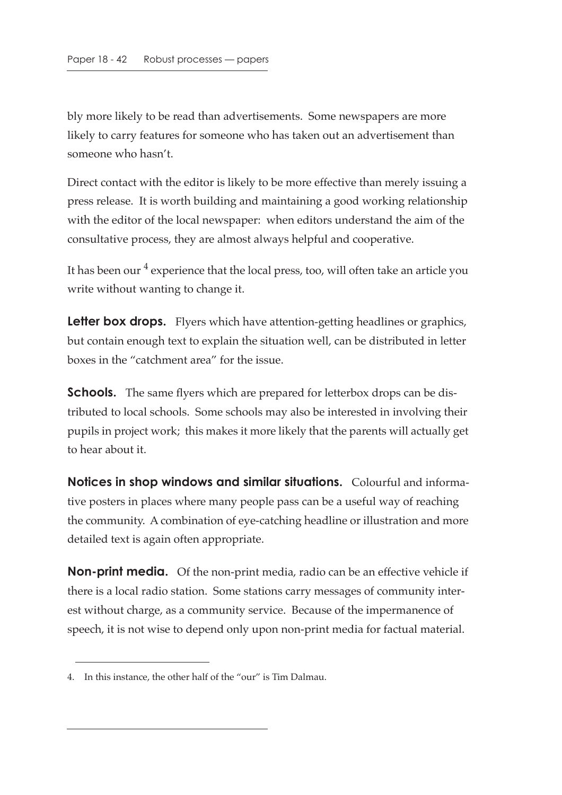bly more likely to be read than advertisements. Some newspapers are more likely to carry features for someone who has taken out an advertisement than someone who hasn't.

Direct contact with the editor is likely to be more effective than merely issuing a press release. It is worth building and maintaining a good working relationship with the editor of the local newspaper: when editors understand the aim of the consultative process, they are almost always helpful and cooperative.

It has been our  $4$  experience that the local press, too, will often take an article you write without wanting to change it.

**Letter box drops.** Flyers which have attention-getting headlines or graphics, but contain enough text to explain the situation well, can be distributed in letter boxes in the "catchment area" for the issue.

**Schools.** The same flyers which are prepared for letterbox drops can be distributed to local schools. Some schools may also be interested in involving their pupils in project work; this makes it more likely that the parents will actually get to hear about it.

**Notices in shop windows and similar situations.** Colourful and informative posters in places where many people pass can be a useful way of reaching the community. A combination of eye-catching headline or illustration and more detailed text is again often appropriate.

**Non-print media.** Of the non-print media, radio can be an effective vehicle if there is a local radio station. Some stations carry messages of community interest without charge, as a community service. Because of the impermanence of speech, it is not wise to depend only upon non-print media for factual material.

<sup>4.</sup> In this instance, the other half of the "our" is Tim Dalmau.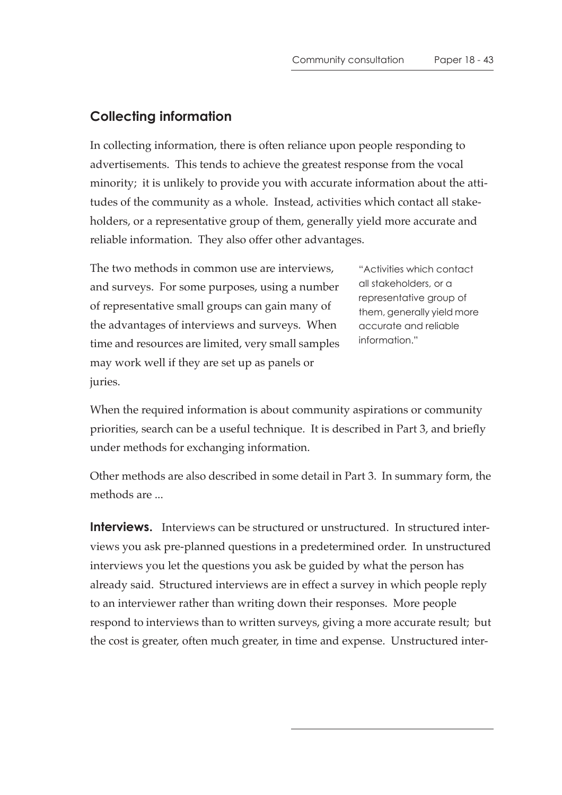## **Collecting information**

In collecting information, there is often reliance upon people responding to advertisements. This tends to achieve the greatest response from the vocal minority; it is unlikely to provide you with accurate information about the attitudes of the community as a whole. Instead, activities which contact all stakeholders, or a representative group of them, generally yield more accurate and reliable information. They also offer other advantages.

The two methods in common use are interviews, and surveys. For some purposes, using a number of representative small groups can gain many of the advantages of interviews and surveys. When time and resources are limited, very small samples may work well if they are set up as panels or juries.

"Activities which contact all stakeholders, or a representative group of them, generally yield more accurate and reliable information."

When the required information is about community aspirations or community priorities, search can be a useful technique. It is described in Part 3, and briefly under methods for exchanging information.

Other methods are also described in some detail in Part 3. In summary form, the methods are ...

**Interviews.** Interviews can be structured or unstructured. In structured interviews you ask pre-planned questions in a predetermined order. In unstructured interviews you let the questions you ask be guided by what the person has already said. Structured interviews are in effect a survey in which people reply to an interviewer rather than writing down their responses. More people respond to interviews than to written surveys, giving a more accurate result; but the cost is greater, often much greater, in time and expense. Unstructured inter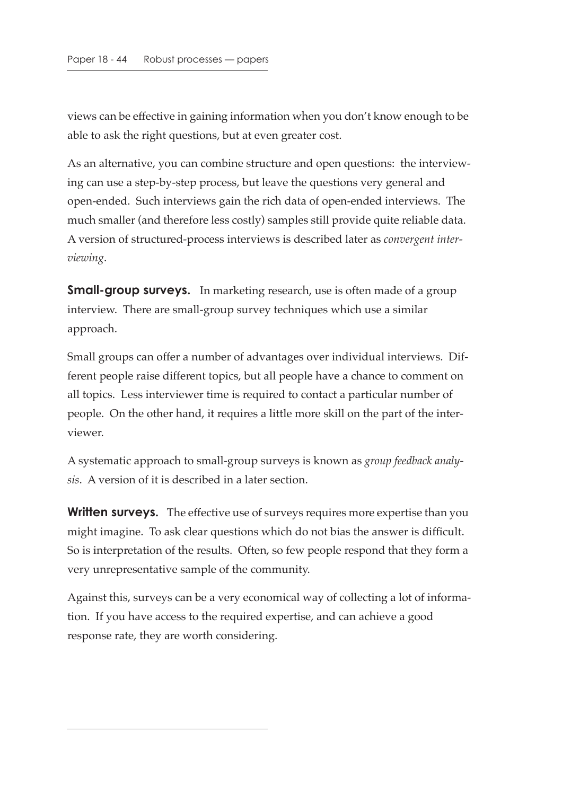views can be effective in gaining information when you don't know enough to be able to ask the right questions, but at even greater cost.

As an alternative, you can combine structure and open questions: the interviewing can use a step-by-step process, but leave the questions very general and open-ended. Such interviews gain the rich data of open-ended interviews. The much smaller (and therefore less costly) samples still provide quite reliable data. A version of structured-process interviews is described later as *convergent interviewing*.

**Small-group surveys.** In marketing research, use is often made of a group interview. There are small-group survey techniques which use a similar approach.

Small groups can offer a number of advantages over individual interviews. Different people raise different topics, but all people have a chance to comment on all topics. Less interviewer time is required to contact a particular number of people. On the other hand, it requires a little more skill on the part of the interviewer.

A systematic approach to small-group surveys is known as *group feedback analysis*. A version of it is described in a later section.

**Written surveys.** The effective use of surveys requires more expertise than you might imagine. To ask clear questions which do not bias the answer is difficult. So is interpretation of the results. Often, so few people respond that they form a very unrepresentative sample of the community.

Against this, surveys can be a very economical way of collecting a lot of information. If you have access to the required expertise, and can achieve a good response rate, they are worth considering.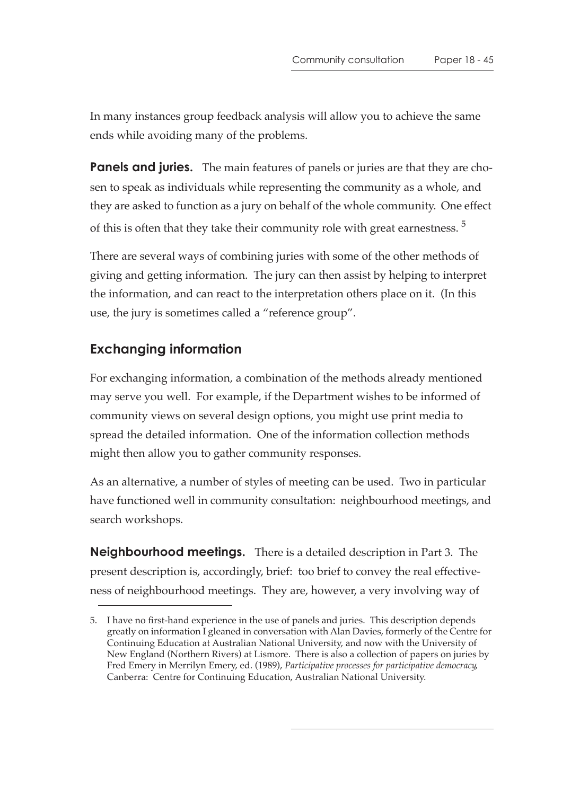In many instances group feedback analysis will allow you to achieve the same ends while avoiding many of the problems.

**Panels and juries.** The main features of panels or juries are that they are chosen to speak as individuals while representing the community as a whole, and they are asked to function as a jury on behalf of the whole community. One effect of this is often that they take their community role with great earnestness.<sup>5</sup>

There are several ways of combining juries with some of the other methods of giving and getting information. The jury can then assist by helping to interpret the information, and can react to the interpretation others place on it. (In this use, the jury is sometimes called a "reference group".

## **Exchanging information**

For exchanging information, a combination of the methods already mentioned may serve you well. For example, if the Department wishes to be informed of community views on several design options, you might use print media to spread the detailed information. One of the information collection methods might then allow you to gather community responses.

As an alternative, a number of styles of meeting can be used. Two in particular have functioned well in community consultation: neighbourhood meetings, and search workshops.

**Neighbourhood meetings.** There is a detailed description in Part 3. The present description is, accordingly, brief: too brief to convey the real effectiveness of neighbourhood meetings. They are, however, a very involving way of

<sup>5.</sup> I have no first-hand experience in the use of panels and juries. This description depends greatly on information I gleaned in conversation with Alan Davies, formerly of the Centre for Continuing Education at Australian National University, and now with the University of New England (Northern Rivers) at Lismore. There is also a collection of papers on juries by Fred Emery in Merrilyn Emery, ed. (1989), *Participative processes for participative democracy*, Canberra: Centre for Continuing Education, Australian National University.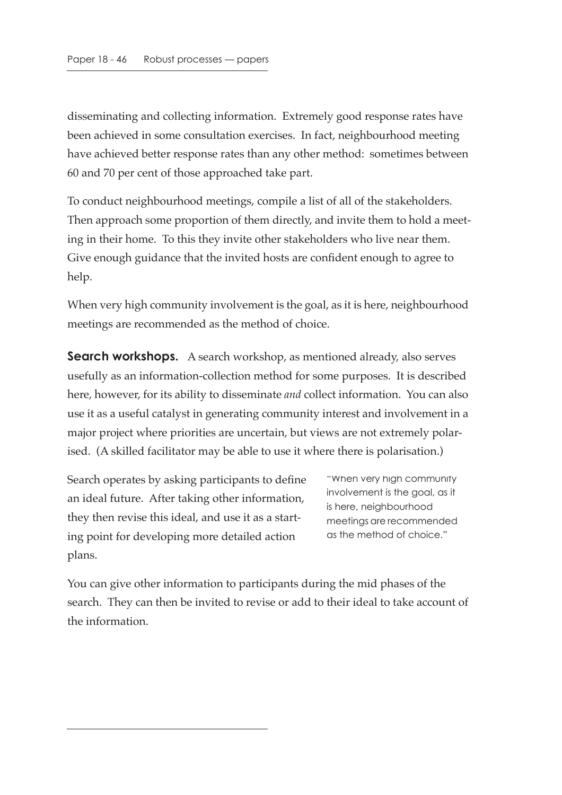disseminating and collecting information. Extremely good response rates have been achieved in some consultation exercises. In fact, neighbourhood meeting have achieved better response rates than any other method: sometimes between 60 and 70 per cent of those approached take part.

To conduct neighbourhood meetings, compile a list of all of the stakeholders. Then approach some proportion of them directly, and invite them to hold a meeting in their home. To this they invite other stakeholders who live near them. Give enough guidance that the invited hosts are confident enough to agree to help.

When very high community involvement is the goal, as it is here, neighbourhood meetings are recommended as the method of choice.

**Search workshops.** A search workshop, as mentioned already, also serves usefully as an information-collection method for some purposes. It is described here, however, for its ability to disseminate *and* collect information. You can also use it as a useful catalyst in generating community interest and involvement in a major project where priorities are uncertain, but views are not extremely polarised. (A skilled facilitator may be able to use it where there is polarisation.)

Search operates by asking participants to define an ideal future. After taking other information, they then revise this ideal, and use it as a starting point for developing more detailed action plans.

"When very high community involvement is the goal, as it is here, neighbourhood meetings are recommended as the method of choice."

You can give other information to participants during the mid phases of the search. They can then be invited to revise or add to their ideal to take account of the information.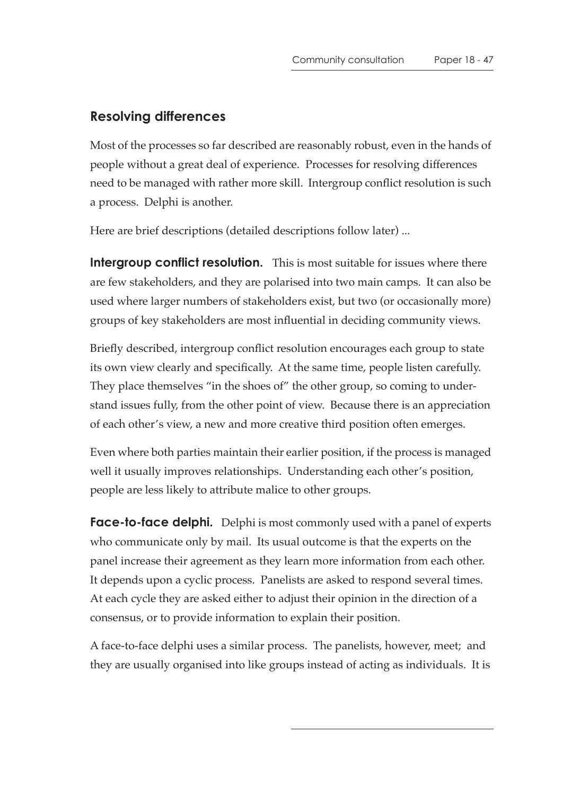### **Resolving differences**

Most of the processes so far described are reasonably robust, even in the hands of people without a great deal of experience. Processes for resolving differences need to be managed with rather more skill. Intergroup conflict resolution is such a process. Delphi is another.

Here are brief descriptions (detailed descriptions follow later) ...

**Intergroup conflict resolution.** This is most suitable for issues where there are few stakeholders, and they are polarised into two main camps. It can also be used where larger numbers of stakeholders exist, but two (or occasionally more) groups of key stakeholders are most influential in deciding community views.

Briefly described, intergroup conflict resolution encourages each group to state its own view clearly and specifically. At the same time, people listen carefully. They place themselves "in the shoes of" the other group, so coming to understand issues fully, from the other point of view. Because there is an appreciation of each other's view, a new and more creative third position often emerges.

Even where both parties maintain their earlier position, if the process is managed well it usually improves relationships. Understanding each other's position, people are less likely to attribute malice to other groups.

**Face-to-face delphi.** Delphi is most commonly used with a panel of experts who communicate only by mail. Its usual outcome is that the experts on the panel increase their agreement as they learn more information from each other. It depends upon a cyclic process. Panelists are asked to respond several times. At each cycle they are asked either to adjust their opinion in the direction of a consensus, or to provide information to explain their position.

A face-to-face delphi uses a similar process. The panelists, however, meet; and they are usually organised into like groups instead of acting as individuals. It is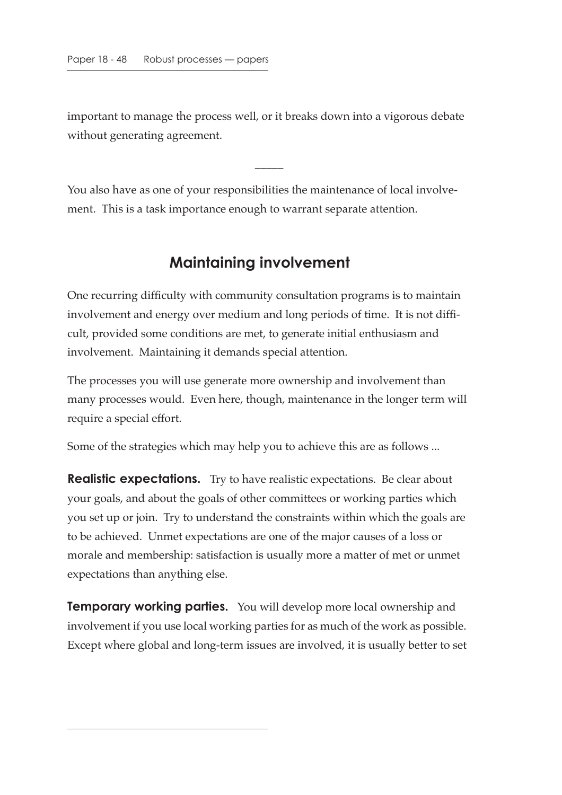important to manage the process well, or it breaks down into a vigorous debate without generating agreement.

 $\overline{\phantom{a}}$ 

You also have as one of your responsibilities the maintenance of local involvement. This is a task importance enough to warrant separate attention.

## **Maintaining involvement**

One recurring difficulty with community consultation programs is to maintain involvement and energy over medium and long periods of time. It is not difficult, provided some conditions are met, to generate initial enthusiasm and involvement. Maintaining it demands special attention.

The processes you will use generate more ownership and involvement than many processes would. Even here, though, maintenance in the longer term will require a special effort.

Some of the strategies which may help you to achieve this are as follows ...

**Realistic expectations.** Try to have realistic expectations. Be clear about your goals, and about the goals of other committees or working parties which you set up or join. Try to understand the constraints within which the goals are to be achieved. Unmet expectations are one of the major causes of a loss or morale and membership: satisfaction is usually more a matter of met or unmet expectations than anything else.

**Temporary working parties.** You will develop more local ownership and involvement if you use local working parties for as much of the work as possible. Except where global and long-term issues are involved, it is usually better to set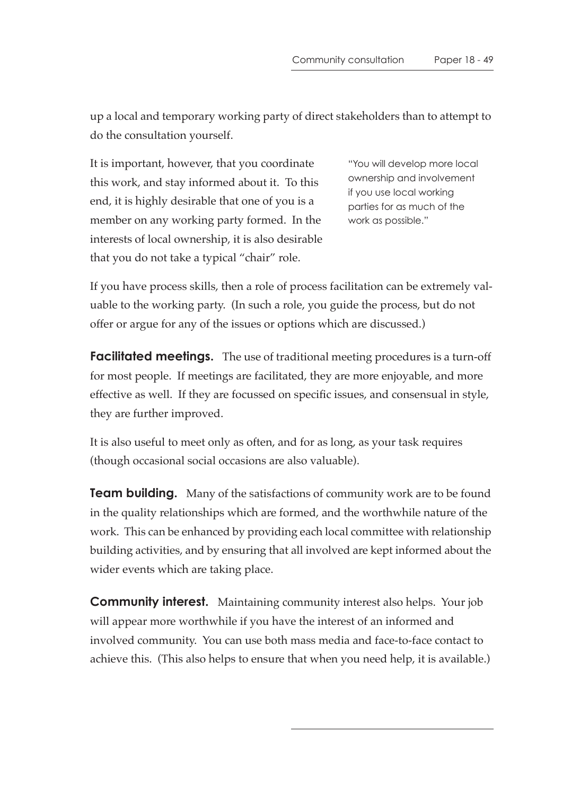up a local and temporary working party of direct stakeholders than to attempt to do the consultation yourself.

It is important, however, that you coordinate this work, and stay informed about it. To this end, it is highly desirable that one of you is a member on any working party formed. In the interests of local ownership, it is also desirable that you do not take a typical "chair" role.

"You will develop more local ownership and involvement if you use local working parties for as much of the work as possible."

If you have process skills, then a role of process facilitation can be extremely valuable to the working party. (In such a role, you guide the process, but do not offer or argue for any of the issues or options which are discussed.)

**Facilitated meetings.** The use of traditional meeting procedures is a turn-off for most people. If meetings are facilitated, they are more enjoyable, and more effective as well. If they are focussed on specific issues, and consensual in style, they are further improved.

It is also useful to meet only as often, and for as long, as your task requires (though occasional social occasions are also valuable).

**Team building.** Many of the satisfactions of community work are to be found in the quality relationships which are formed, and the worthwhile nature of the work. This can be enhanced by providing each local committee with relationship building activities, and by ensuring that all involved are kept informed about the wider events which are taking place.

**Community interest.** Maintaining community interest also helps. Your job will appear more worthwhile if you have the interest of an informed and involved community. You can use both mass media and face-to-face contact to achieve this. (This also helps to ensure that when you need help, it is available.)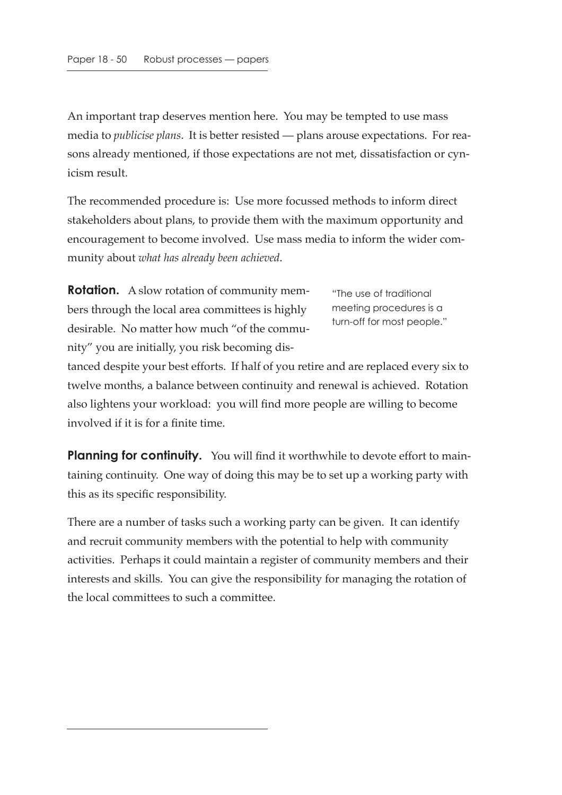An important trap deserves mention here. You may be tempted to use mass media to *publicise plans*. It is better resisted — plans arouse expectations. For reasons already mentioned, if those expectations are not met, dissatisfaction or cynicism result.

The recommended procedure is: Use more focussed methods to inform direct stakeholders about plans, to provide them with the maximum opportunity and encouragement to become involved. Use mass media to inform the wider community about *what has already been achieved*.

**Rotation.** A slow rotation of community members through the local area committees is highly desirable. No matter how much "of the community" you are initially, you risk becoming dis-

"The use of traditional meeting procedures is a turn-off for most people."

tanced despite your best efforts. If half of you retire and are replaced every six to twelve months, a balance between continuity and renewal is achieved. Rotation also lightens your workload: you will find more people are willing to become involved if it is for a finite time.

**Planning for continuity.** You will find it worthwhile to devote effort to maintaining continuity. One way of doing this may be to set up a working party with this as its specific responsibility.

There are a number of tasks such a working party can be given. It can identify and recruit community members with the potential to help with community activities. Perhaps it could maintain a register of community members and their interests and skills. You can give the responsibility for managing the rotation of the local committees to such a committee.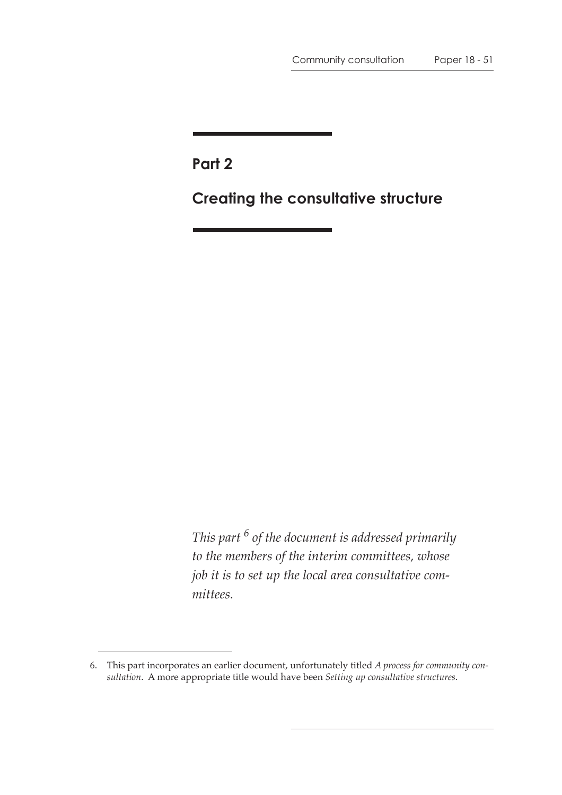**Part 2**

**Creating the consultative structure**

*This part 6 of the document is addressed primarily to the members of the interim committees, whose job it is to set up the local area consultative committees.*

<sup>6.</sup> This part incorporates an earlier document, unfortunately titled *A process for community consultation*. A more appropriate title would have been *Setting up consultative structures*.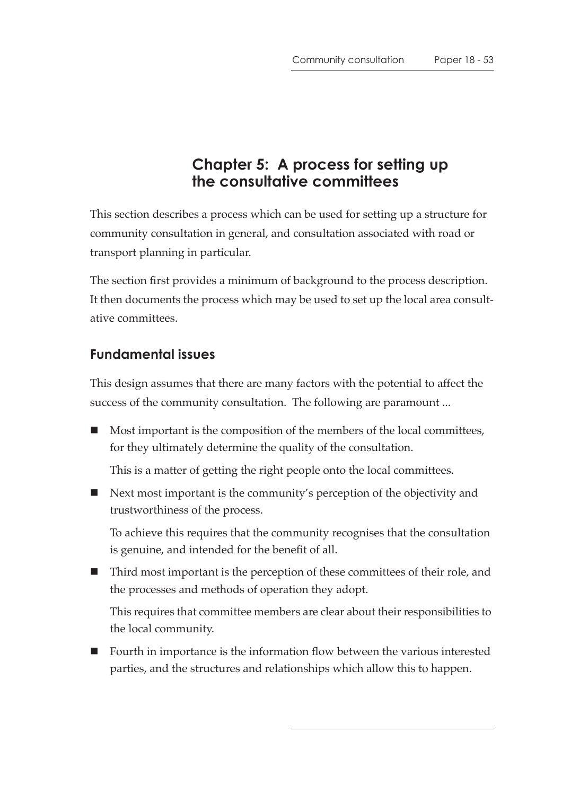# **Chapter 5: A process for setting up the consultative committees**

This section describes a process which can be used for setting up a structure for community consultation in general, and consultation associated with road or transport planning in particular.

The section first provides a minimum of background to the process description. It then documents the process which may be used to set up the local area consultative committees.

## **Fundamental issues**

This design assumes that there are many factors with the potential to affect the success of the community consultation. The following are paramount ...

 $\blacksquare$  Most important is the composition of the members of the local committees, for they ultimately determine the quality of the consultation.

This is a matter of getting the right people onto the local committees.

Next most important is the community's perception of the objectivity and trustworthiness of the process.

To achieve this requires that the community recognises that the consultation is genuine, and intended for the benefit of all.

■ Third most important is the perception of these committees of their role, and the processes and methods of operation they adopt.

This requires that committee members are clear about their responsibilities to the local community.

 Fourth in importance is the information flow between the various interested parties, and the structures and relationships which allow this to happen.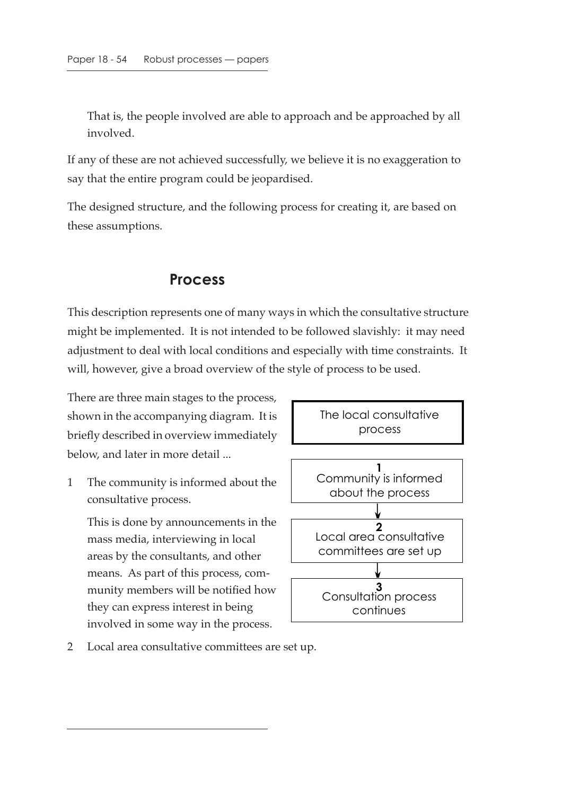That is, the people involved are able to approach and be approached by all involved.

If any of these are not achieved successfully, we believe it is no exaggeration to say that the entire program could be jeopardised.

The designed structure, and the following process for creating it, are based on these assumptions.

#### **Process**

This description represents one of many ways in which the consultative structure might be implemented. It is not intended to be followed slavishly: it may need adjustment to deal with local conditions and especially with time constraints. It will, however, give a broad overview of the style of process to be used.

There are three main stages to the process, shown in the accompanying diagram. It is briefly described in overview immediately below, and later in more detail ...

1 The community is informed about the consultative process.

This is done by announcements in the mass media, interviewing in local areas by the consultants, and other means. As part of this process, community members will be notified how they can express interest in being involved in some way in the process.



2 Local area consultative committees are set up.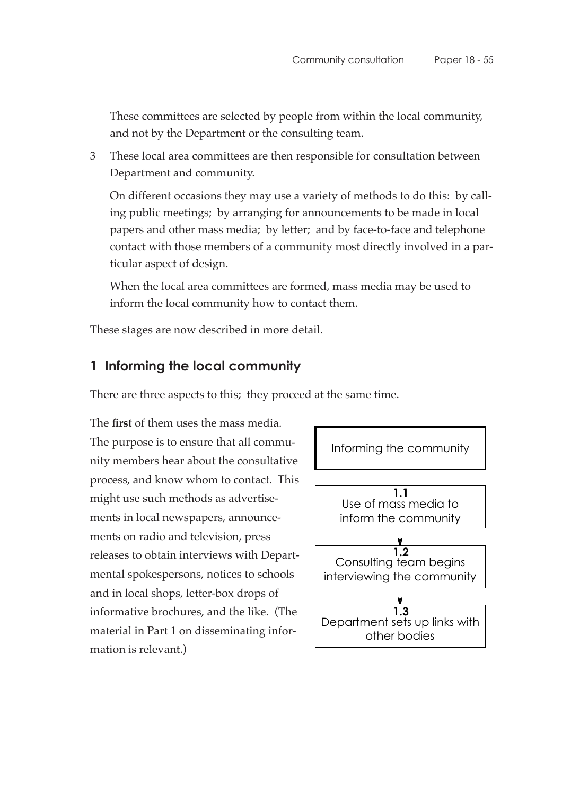These committees are selected by people from within the local community, and not by the Department or the consulting team.

3 These local area committees are then responsible for consultation between Department and community.

On different occasions they may use a variety of methods to do this: by calling public meetings; by arranging for announcements to be made in local papers and other mass media; by letter; and by face-to-face and telephone contact with those members of a community most directly involved in a particular aspect of design.

When the local area committees are formed, mass media may be used to inform the local community how to contact them.

These stages are now described in more detail.

#### **1 Informing the local community**

There are three aspects to this; they proceed at the same time.

The **first** of them uses the mass media. The purpose is to ensure that all community members hear about the consultative process, and know whom to contact. This might use such methods as advertisements in local newspapers, announcements on radio and television, press releases to obtain interviews with Departmental spokespersons, notices to schools and in local shops, letter-box drops of informative brochures, and the like. (The material in Part 1 on disseminating information is relevant.)

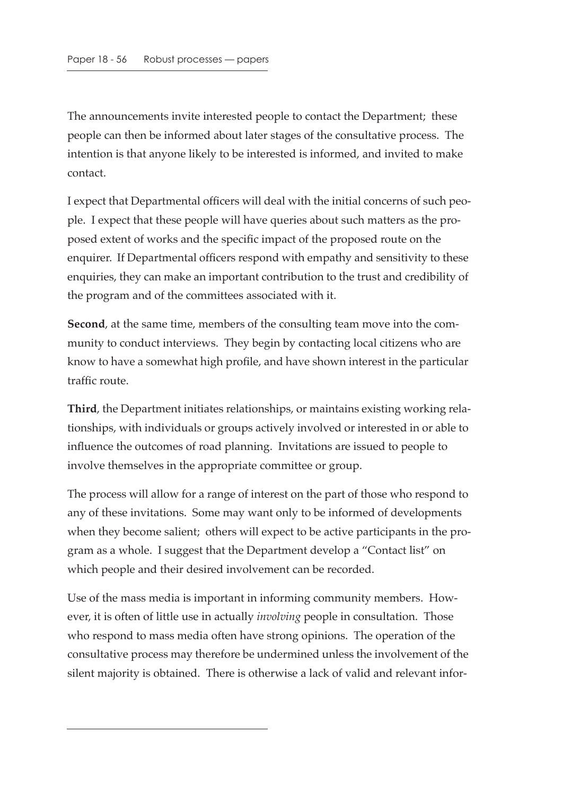The announcements invite interested people to contact the Department; these people can then be informed about later stages of the consultative process. The intention is that anyone likely to be interested is informed, and invited to make contact.

I expect that Departmental officers will deal with the initial concerns of such people. I expect that these people will have queries about such matters as the proposed extent of works and the specific impact of the proposed route on the enquirer. If Departmental officers respond with empathy and sensitivity to these enquiries, they can make an important contribution to the trust and credibility of the program and of the committees associated with it.

**Second**, at the same time, members of the consulting team move into the community to conduct interviews. They begin by contacting local citizens who are know to have a somewhat high profile, and have shown interest in the particular traffic route.

**Third**, the Department initiates relationships, or maintains existing working relationships, with individuals or groups actively involved or interested in or able to influence the outcomes of road planning. Invitations are issued to people to involve themselves in the appropriate committee or group.

The process will allow for a range of interest on the part of those who respond to any of these invitations. Some may want only to be informed of developments when they become salient; others will expect to be active participants in the program as a whole. I suggest that the Department develop a "Contact list" on which people and their desired involvement can be recorded.

Use of the mass media is important in informing community members. However, it is often of little use in actually *involving* people in consultation. Those who respond to mass media often have strong opinions. The operation of the consultative process may therefore be undermined unless the involvement of the silent majority is obtained. There is otherwise a lack of valid and relevant infor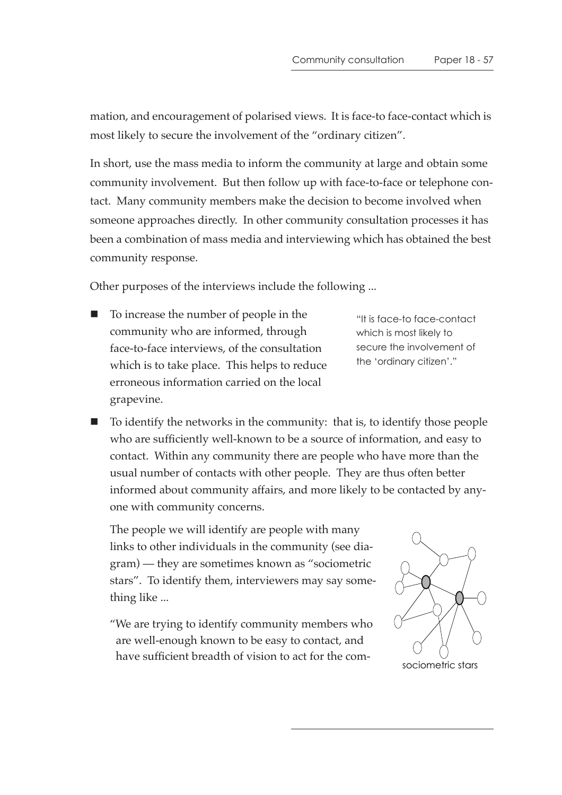mation, and encouragement of polarised views. It is face-to face-contact which is most likely to secure the involvement of the "ordinary citizen".

In short, use the mass media to inform the community at large and obtain some community involvement. But then follow up with face-to-face or telephone contact. Many community members make the decision to become involved when someone approaches directly. In other community consultation processes it has been a combination of mass media and interviewing which has obtained the best community response.

Other purposes of the interviews include the following ...

 To increase the number of people in the community who are informed, through face-to-face interviews, of the consultation which is to take place. This helps to reduce erroneous information carried on the local grapevine.

"It is face-to face-contact which is most likely to secure the involvement of the 'ordinary citizen'."

 To identify the networks in the community: that is, to identify those people who are sufficiently well-known to be a source of information, and easy to contact. Within any community there are people who have more than the usual number of contacts with other people. They are thus often better informed about community affairs, and more likely to be contacted by anyone with community concerns.

The people we will identify are people with many links to other individuals in the community (see diagram) — they are sometimes known as "sociometric stars". To identify them, interviewers may say something like ...

"We are trying to identify community members who are well-enough known to be easy to contact, and have sufficient breadth of vision to act for the com-

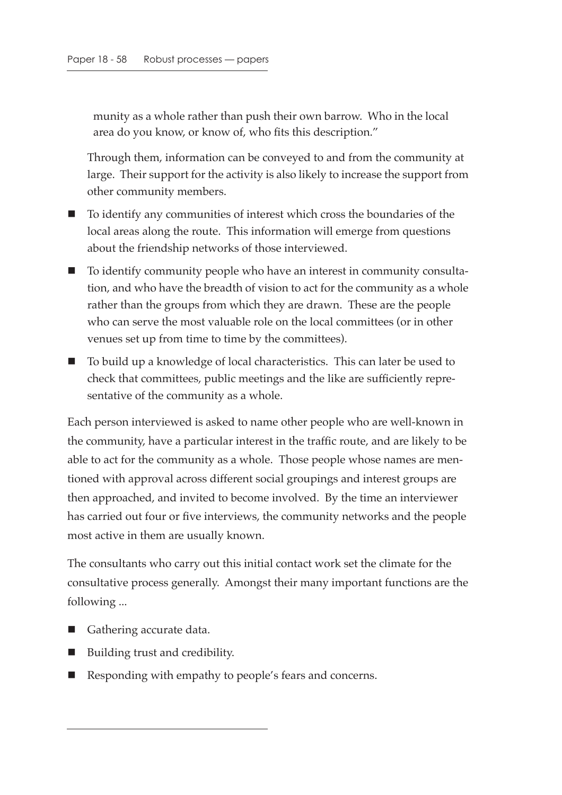munity as a whole rather than push their own barrow. Who in the local area do you know, or know of, who fits this description."

Through them, information can be conveyed to and from the community at large. Their support for the activity is also likely to increase the support from other community members.

- To identify any communities of interest which cross the boundaries of the local areas along the route. This information will emerge from questions about the friendship networks of those interviewed.
- To identify community people who have an interest in community consultation, and who have the breadth of vision to act for the community as a whole rather than the groups from which they are drawn. These are the people who can serve the most valuable role on the local committees (or in other venues set up from time to time by the committees).
- To build up a knowledge of local characteristics. This can later be used to check that committees, public meetings and the like are sufficiently representative of the community as a whole.

Each person interviewed is asked to name other people who are well-known in the community, have a particular interest in the traffic route, and are likely to be able to act for the community as a whole. Those people whose names are mentioned with approval across different social groupings and interest groups are then approached, and invited to become involved. By the time an interviewer has carried out four or five interviews, the community networks and the people most active in them are usually known.

The consultants who carry out this initial contact work set the climate for the consultative process generally. Amongst their many important functions are the following ...

- Gathering accurate data.
- Building trust and credibility.
- Responding with empathy to people's fears and concerns.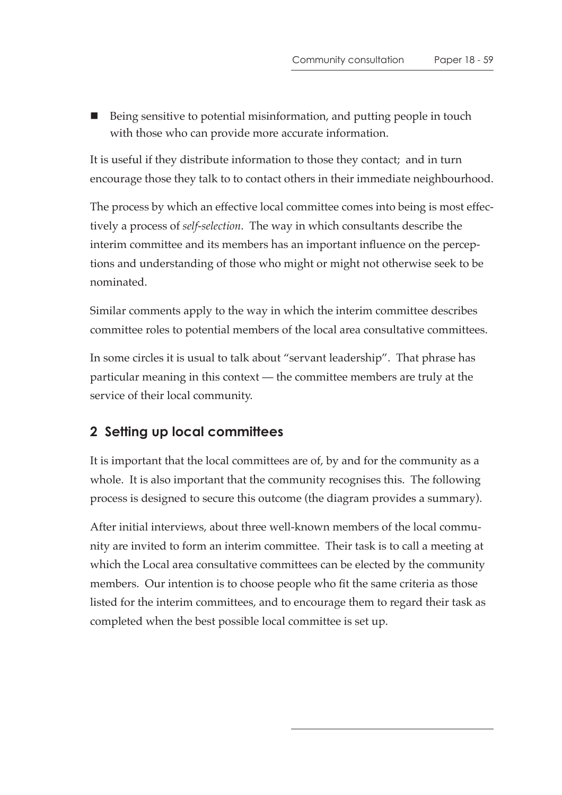Being sensitive to potential misinformation, and putting people in touch with those who can provide more accurate information.

It is useful if they distribute information to those they contact; and in turn encourage those they talk to to contact others in their immediate neighbourhood.

The process by which an effective local committee comes into being is most effectively a process of *self-selection*. The way in which consultants describe the interim committee and its members has an important influence on the perceptions and understanding of those who might or might not otherwise seek to be nominated.

Similar comments apply to the way in which the interim committee describes committee roles to potential members of the local area consultative committees.

In some circles it is usual to talk about "servant leadership". That phrase has particular meaning in this context — the committee members are truly at the service of their local community.

### **2 Setting up local committees**

It is important that the local committees are of, by and for the community as a whole. It is also important that the community recognises this. The following process is designed to secure this outcome (the diagram provides a summary).

After initial interviews, about three well-known members of the local community are invited to form an interim committee. Their task is to call a meeting at which the Local area consultative committees can be elected by the community members. Our intention is to choose people who fit the same criteria as those listed for the interim committees, and to encourage them to regard their task as completed when the best possible local committee is set up.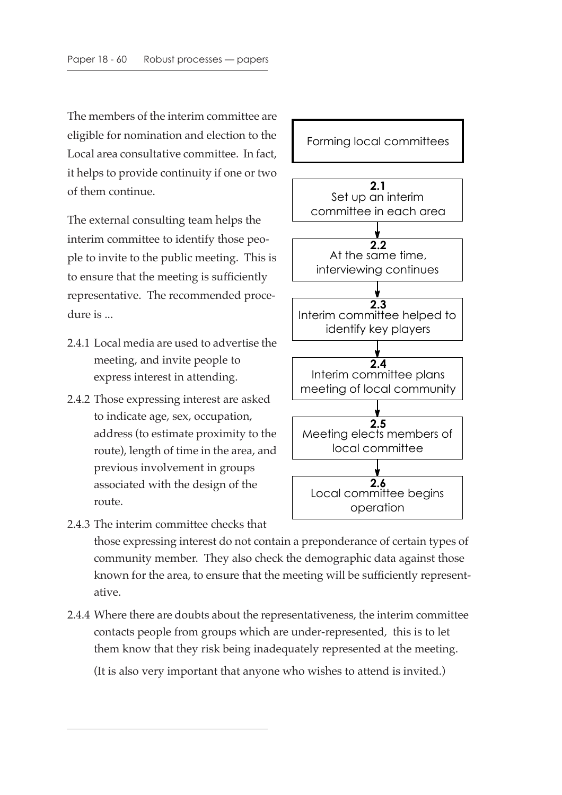The members of the interim committee are eligible for nomination and election to the Local area consultative committee. In fact, it helps to provide continuity if one or two of them continue.

The external consulting team helps the interim committee to identify those people to invite to the public meeting. This is to ensure that the meeting is sufficiently representative. The recommended procedure is ...

- 2.4.1 Local media are used to advertise the meeting, and invite people to express interest in attending.
- 2.4.2 Those expressing interest are asked to indicate age, sex, occupation, address (to estimate proximity to the route), length of time in the area, and previous involvement in groups associated with the design of the route.



2.4.3 The interim committee checks that those expressing interest do not contain a preponderance of certain types of community member. They also check the demographic data against those known for the area, to ensure that the meeting will be sufficiently representative.

2.4.4 Where there are doubts about the representativeness, the interim committee contacts people from groups which are under-represented, this is to let them know that they risk being inadequately represented at the meeting.

(It is also very important that anyone who wishes to attend is invited.)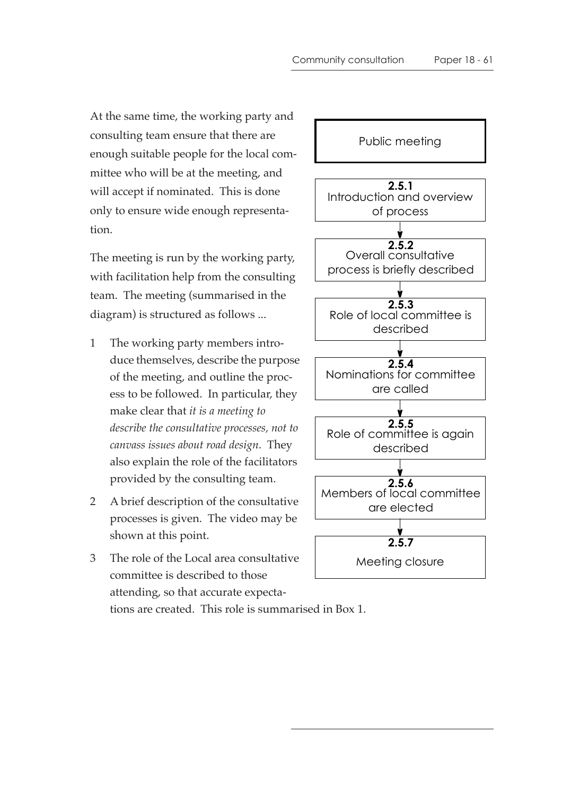At the same time, the working party and consulting team ensure that there are enough suitable people for the local committee who will be at the meeting, and will accept if nominated. This is done only to ensure wide enough representation.

The meeting is run by the working party, with facilitation help from the consulting team. The meeting (summarised in the diagram) is structured as follows ...

- 1 The working party members introduce themselves, describe the purpose of the meeting, and outline the process to be followed. In particular, they make clear that *it is a meeting to describe the consultative processes, not to canvass issues about road design*. They also explain the role of the facilitators provided by the consulting team.
- 2 A brief description of the consultative processes is given. The video may be shown at this point.
- 3 The role of the Local area consultative committee is described to those attending, so that accurate expectations are created. This role is summarised in Box 1.

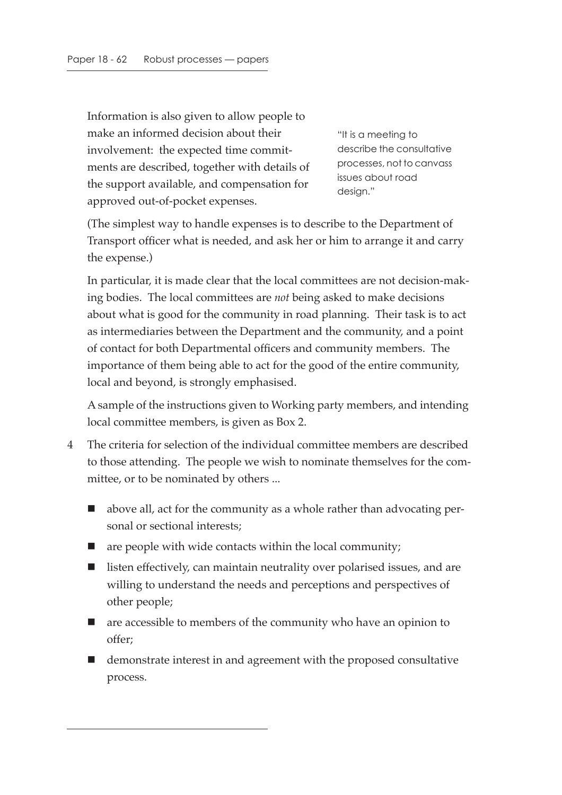Information is also given to allow people to make an informed decision about their involvement: the expected time commitments are described, together with details of the support available, and compensation for approved out-of-pocket expenses.

"It is a meeting to describe the consultative processes, not to canvass issues about road desian."

(The simplest way to handle expenses is to describe to the Department of Transport officer what is needed, and ask her or him to arrange it and carry the expense.)

In particular, it is made clear that the local committees are not decision-making bodies. The local committees are *not* being asked to make decisions about what is good for the community in road planning. Their task is to act as intermediaries between the Department and the community, and a point of contact for both Departmental officers and community members. The importance of them being able to act for the good of the entire community, local and beyond, is strongly emphasised.

A sample of the instructions given to Working party members, and intending local committee members, is given as Box 2.

- 4 The criteria for selection of the individual committee members are described to those attending. The people we wish to nominate themselves for the committee, or to be nominated by others ...
	- $\blacksquare$  above all, act for the community as a whole rather than advocating personal or sectional interests;
	- are people with wide contacts within the local community;
	- $\blacksquare$  listen effectively, can maintain neutrality over polarised issues, and are willing to understand the needs and perceptions and perspectives of other people;
	- are accessible to members of the community who have an opinion to offer;
	- demonstrate interest in and agreement with the proposed consultative process.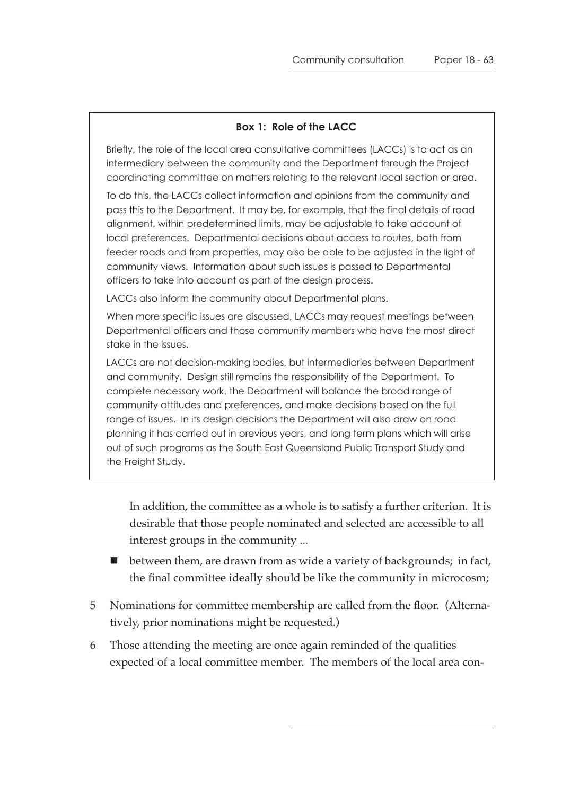#### **Box 1: Role of the LACC**

Briefly, the role of the local area consultative committees (LACCs) is to act as an intermediary between the community and the Department through the Project coordinating committee on matters relating to the relevant local section or area.

To do this, the LACCs collect information and opinions from the community and pass this to the Department. It may be, for example, that the final details of road alignment, within predetermined limits, may be adjustable to take account of local preferences. Departmental decisions about access to routes, both from feeder roads and from properties, may also be able to be adjusted in the light of community views. Information about such issues is passed to Departmental officers to take into account as part of the design process.

LACCs also inform the community about Departmental plans.

When more specific issues are discussed, LACCs may request meetings between Departmental officers and those community members who have the most direct stake in the issues.

LACCs are not decision-making bodies, but intermediaries between Department and community. Design still remains the responsibility of the Department. To complete necessary work, the Department will balance the broad range of community attitudes and preferences, and make decisions based on the full range of issues. In its design decisions the Department will also draw on road planning it has carried out in previous years, and long term plans which will arise out of such programs as the South East Queensland Public Transport Study and the Freight Study.

In addition, the committee as a whole is to satisfy a further criterion. It is desirable that those people nominated and selected are accessible to all interest groups in the community ...

- between them, are drawn from as wide a variety of backgrounds; in fact, the final committee ideally should be like the community in microcosm;
- 5 Nominations for committee membership are called from the floor. (Alternatively, prior nominations might be requested.)
- 6 Those attending the meeting are once again reminded of the qualities expected of a local committee member. The members of the local area con-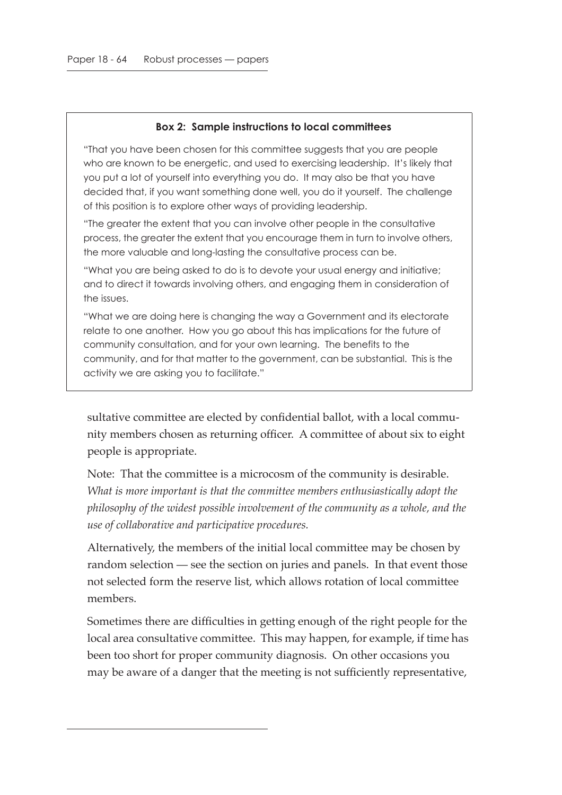#### **Box 2: Sample instructions to local committees**

"That you have been chosen for this committee suggests that you are people who are known to be energetic, and used to exercising leadership. It's likely that you put a lot of yourself into everything you do. It may also be that you have decided that, if you want something done well, you do it yourself. The challenge of this position is to explore other ways of providing leadership.

"The greater the extent that you can involve other people in the consultative process, the greater the extent that you encourage them in turn to involve others, the more valuable and long-lasting the consultative process can be.

"What you are being asked to do is to devote your usual energy and initiative; and to direct it towards involving others, and engaging them in consideration of the issues.

"What we are doing here is changing the way a Government and its electorate relate to one another. How you go about this has implications for the future of community consultation, and for your own learning. The benefits to the community, and for that matter to the government, can be substantial. This is the activity we are asking you to facilitate."

sultative committee are elected by confidential ballot, with a local community members chosen as returning officer. A committee of about six to eight people is appropriate.

Note: That the committee is a microcosm of the community is desirable. *What is more important is that the committee members enthusiastically adopt the philosophy of the widest possible involvement of the community as a whole, and the use of collaborative and participative procedures.*

Alternatively, the members of the initial local committee may be chosen by random selection — see the section on juries and panels. In that event those not selected form the reserve list, which allows rotation of local committee members.

Sometimes there are difficulties in getting enough of the right people for the local area consultative committee. This may happen, for example, if time has been too short for proper community diagnosis. On other occasions you may be aware of a danger that the meeting is not sufficiently representative,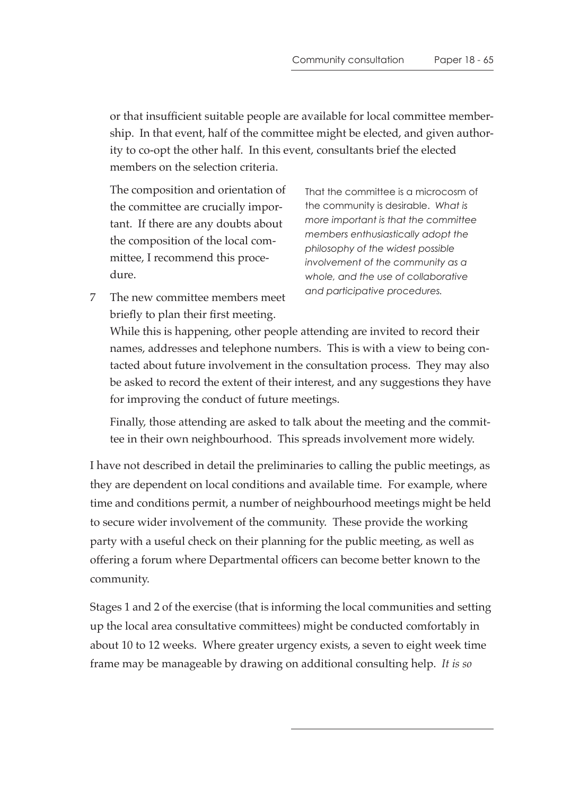or that insufficient suitable people are available for local committee membership. In that event, half of the committee might be elected, and given authority to co-opt the other half. In this event, consultants brief the elected members on the selection criteria.

The composition and orientation of the committee are crucially important. If there are any doubts about the composition of the local committee, I recommend this procedure.

That the committee is a microcosm of the community is desirable. *What is more important is that the committee members enthusiastically adopt the philosophy of the widest possible involvement of the community as a whole, and the use of collaborative and participative procedures.*

7 The new committee members meet briefly to plan their first meeting.

> While this is happening, other people attending are invited to record their names, addresses and telephone numbers. This is with a view to being contacted about future involvement in the consultation process. They may also be asked to record the extent of their interest, and any suggestions they have for improving the conduct of future meetings.

> Finally, those attending are asked to talk about the meeting and the committee in their own neighbourhood. This spreads involvement more widely.

I have not described in detail the preliminaries to calling the public meetings, as they are dependent on local conditions and available time. For example, where time and conditions permit, a number of neighbourhood meetings might be held to secure wider involvement of the community. These provide the working party with a useful check on their planning for the public meeting, as well as offering a forum where Departmental officers can become better known to the community.

Stages 1 and 2 of the exercise (that is informing the local communities and setting up the local area consultative committees) might be conducted comfortably in about 10 to 12 weeks. Where greater urgency exists, a seven to eight week time frame may be manageable by drawing on additional consulting help. *It is so*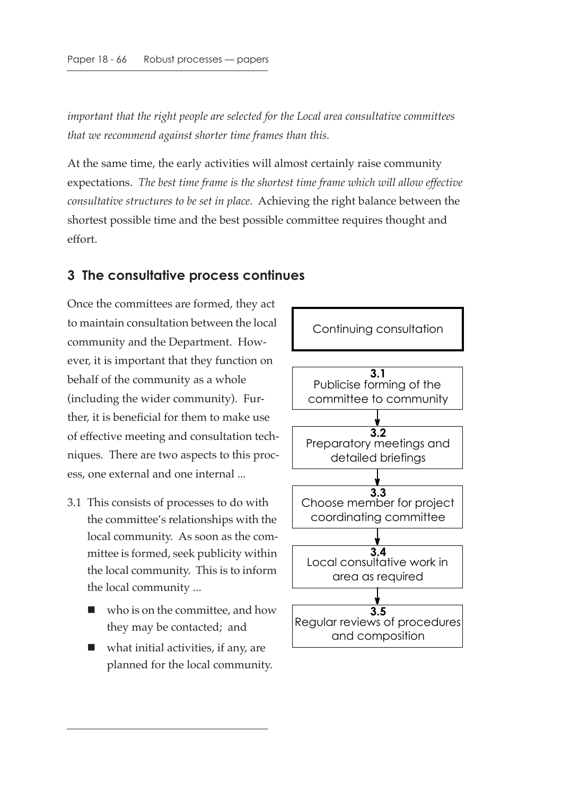*important that the right people are selected for the Local area consultative committees that we recommend against shorter time frames than this.*

At the same time, the early activities will almost certainly raise community expectations. *The best time frame is the shortest time frame which will allow effective consultative structures to be set in place.* Achieving the right balance between the shortest possible time and the best possible committee requires thought and effort.

#### **3 The consultative process continues**

Once the committees are formed, they act to maintain consultation between the local community and the Department. However, it is important that they function on behalf of the community as a whole (including the wider community). Further, it is beneficial for them to make use of effective meeting and consultation techniques. There are two aspects to this process, one external and one internal ...

- 3.1 This consists of processes to do with the committee's relationships with the local community. As soon as the committee is formed, seek publicity within the local community. This is to inform the local community ...
	- who is on the committee, and how they may be contacted; and
	- $\blacksquare$  what initial activities, if any, are planned for the local community.

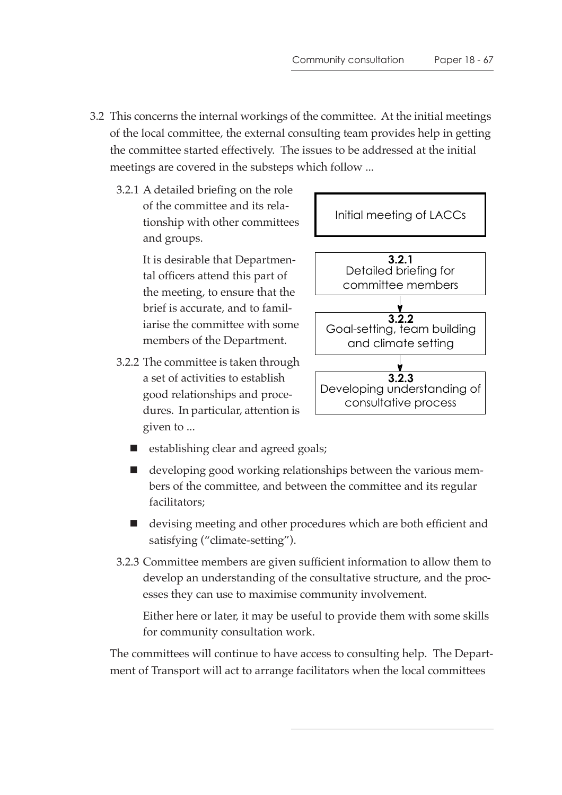- 3.2 This concerns the internal workings of the committee. At the initial meetings of the local committee, the external consulting team provides help in getting the committee started effectively. The issues to be addressed at the initial meetings are covered in the substeps which follow ...
	- 3.2.1 A detailed briefing on the role of the committee and its relationship with other committees and groups.

It is desirable that Departmental officers attend this part of the meeting, to ensure that the brief is accurate, and to familiarise the committee with some members of the Department.

3.2.2 The committee is taken through a set of activities to establish good relationships and procedures. In particular, attention is given to ...



- $\blacksquare$  establishing clear and agreed goals;
- $\blacksquare$  developing good working relationships between the various members of the committee, and between the committee and its regular facilitators;
- devising meeting and other procedures which are both efficient and satisfying ("climate-setting").
- 3.2.3 Committee members are given sufficient information to allow them to develop an understanding of the consultative structure, and the processes they can use to maximise community involvement.

Either here or later, it may be useful to provide them with some skills for community consultation work.

The committees will continue to have access to consulting help. The Department of Transport will act to arrange facilitators when the local committees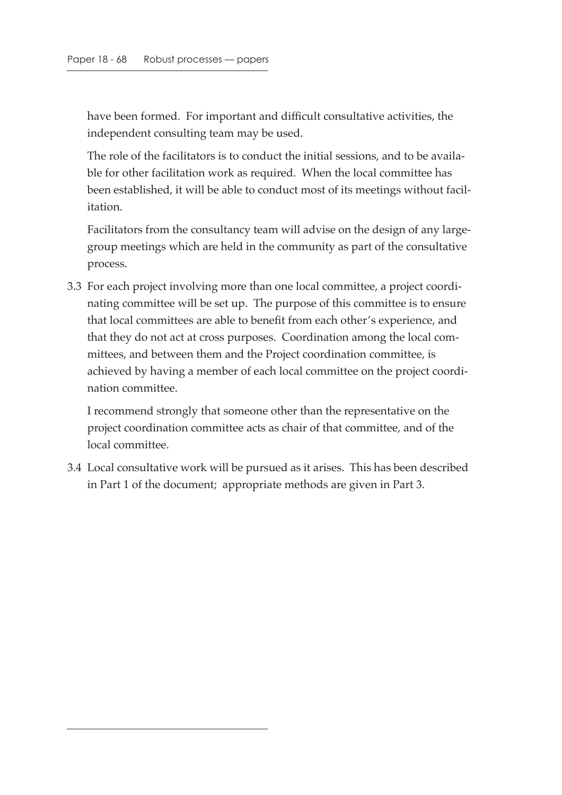have been formed. For important and difficult consultative activities, the independent consulting team may be used.

The role of the facilitators is to conduct the initial sessions, and to be available for other facilitation work as required. When the local committee has been established, it will be able to conduct most of its meetings without facilitation.

Facilitators from the consultancy team will advise on the design of any largegroup meetings which are held in the community as part of the consultative process.

3.3 For each project involving more than one local committee, a project coordinating committee will be set up. The purpose of this committee is to ensure that local committees are able to benefit from each other's experience, and that they do not act at cross purposes. Coordination among the local committees, and between them and the Project coordination committee, is achieved by having a member of each local committee on the project coordination committee.

I recommend strongly that someone other than the representative on the project coordination committee acts as chair of that committee, and of the local committee.

3.4 Local consultative work will be pursued as it arises. This has been described in Part 1 of the document; appropriate methods are given in Part 3.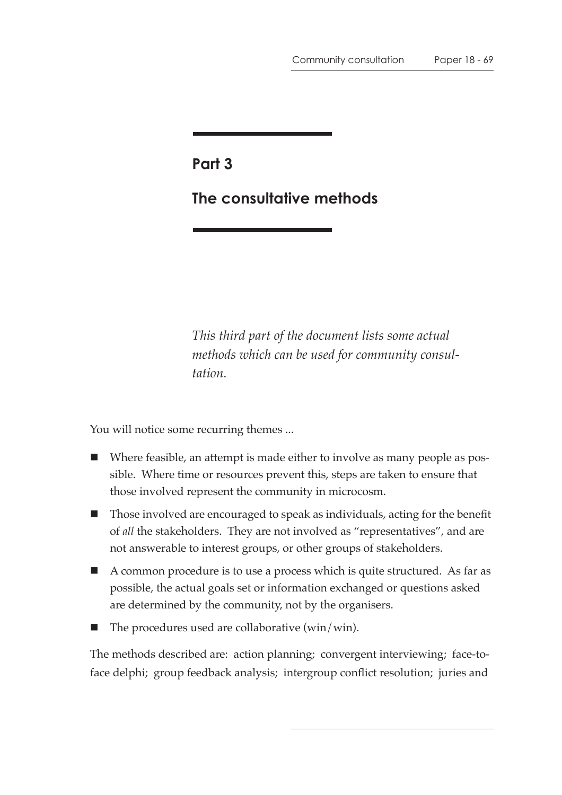**Part 3**

# **The consultative methods**

*This third part of the document lists some actual methods which can be used for community consultation.*

You will notice some recurring themes ...

- Where feasible, an attempt is made either to involve as many people as possible. Where time or resources prevent this, steps are taken to ensure that those involved represent the community in microcosm.
- Those involved are encouraged to speak as individuals, acting for the benefit of *all* the stakeholders. They are not involved as "representatives", and are not answerable to interest groups, or other groups of stakeholders.
- A common procedure is to use a process which is quite structured. As far as possible, the actual goals set or information exchanged or questions asked are determined by the community, not by the organisers.
- The procedures used are collaborative (win/win).

The methods described are: action planning; convergent interviewing; face-toface delphi; group feedback analysis; intergroup conflict resolution; juries and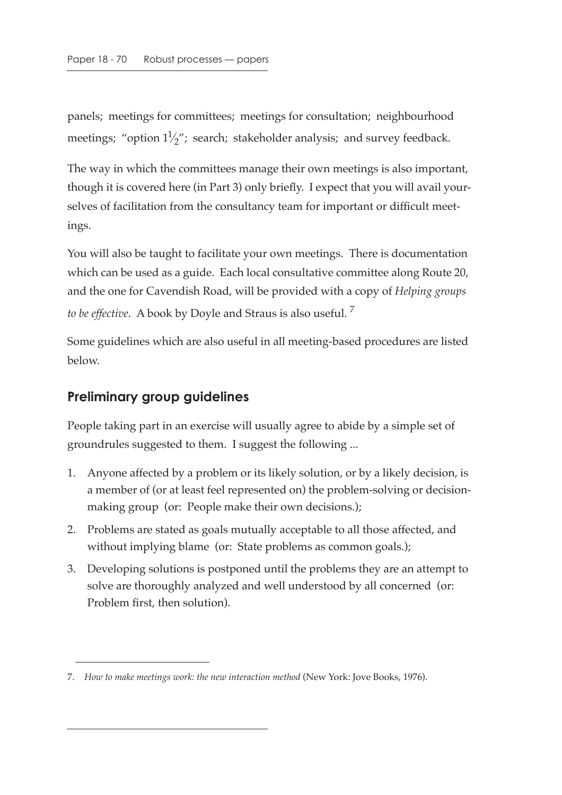panels; meetings for committees; meetings for consultation; neighbourhood meetings; "option  $1\frac{1}{2}$ "; search; stakeholder analysis; and survey feedback.

The way in which the committees manage their own meetings is also important, though it is covered here (in Part 3) only briefly. I expect that you will avail yourselves of facilitation from the consultancy team for important or difficult meetings.

You will also be taught to facilitate your own meetings. There is documentation which can be used as a guide. Each local consultative committee along Route 20, and the one for Cavendish Road, will be provided with a copy of *Helping groups to be effective*. A book by Doyle and Straus is also useful. 7

Some guidelines which are also useful in all meeting-based procedures are listed below.

#### **Preliminary group guidelines**

People taking part in an exercise will usually agree to abide by a simple set of groundrules suggested to them. I suggest the following ...

- 1. Anyone affected by a problem or its likely solution, or by a likely decision, is a member of (or at least feel represented on) the problem-solving or decisionmaking group (or: People make their own decisions.);
- 2. Problems are stated as goals mutually acceptable to all those affected, and without implying blame (or: State problems as common goals.);
- 3. Developing solutions is postponed until the problems they are an attempt to solve are thoroughly analyzed and well understood by all concerned (or: Problem first, then solution).

<sup>7.</sup> *How to make meetings work: the new interaction method* (New York: Jove Books, 1976).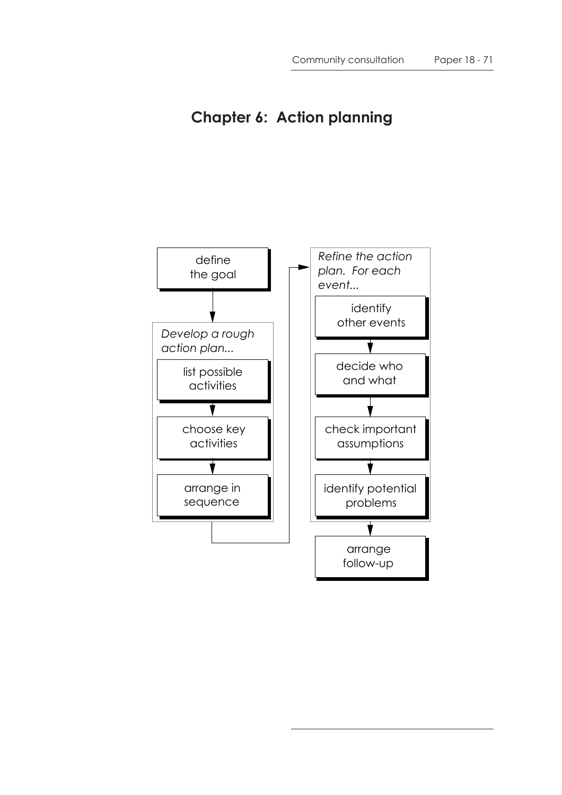# **Chapter 6: Action planning**

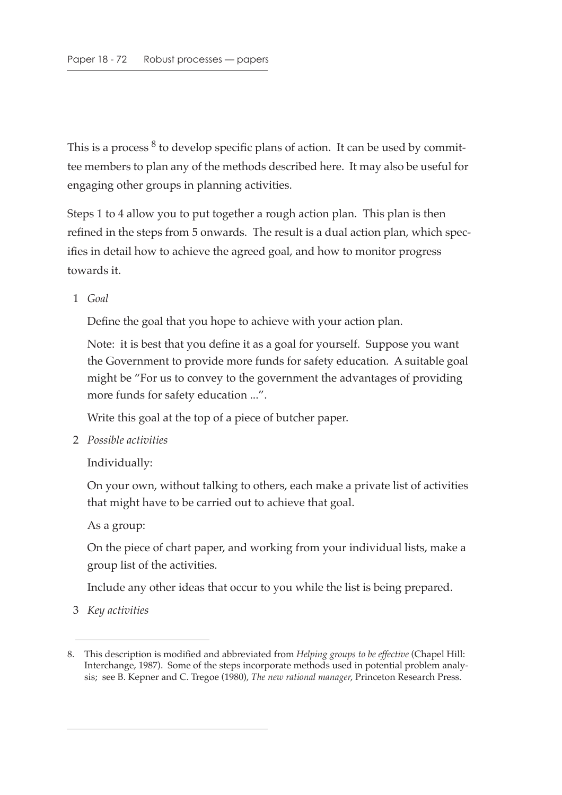This is a process  $8$  to develop specific plans of action. It can be used by committee members to plan any of the methods described here. It may also be useful for engaging other groups in planning activities.

Steps 1 to 4 allow you to put together a rough action plan. This plan is then refined in the steps from 5 onwards. The result is a dual action plan, which specifies in detail how to achieve the agreed goal, and how to monitor progress towards it.

1 *Goal*

Define the goal that you hope to achieve with your action plan.

Note: it is best that you define it as a goal for yourself. Suppose you want the Government to provide more funds for safety education. A suitable goal might be "For us to convey to the government the advantages of providing more funds for safety education ...".

Write this goal at the top of a piece of butcher paper.

2 *Possible activities*

Individually:

On your own, without talking to others, each make a private list of activities that might have to be carried out to achieve that goal.

As a group:

On the piece of chart paper, and working from your individual lists, make a group list of the activities.

Include any other ideas that occur to you while the list is being prepared.

3 *Key activities*

<sup>8.</sup> This description is modified and abbreviated from *Helping groups to be effective* (Chapel Hill: Interchange, 1987). Some of the steps incorporate methods used in potential problem analysis; see B. Kepner and C. Tregoe (1980), *The new rational manager*, Princeton Research Press.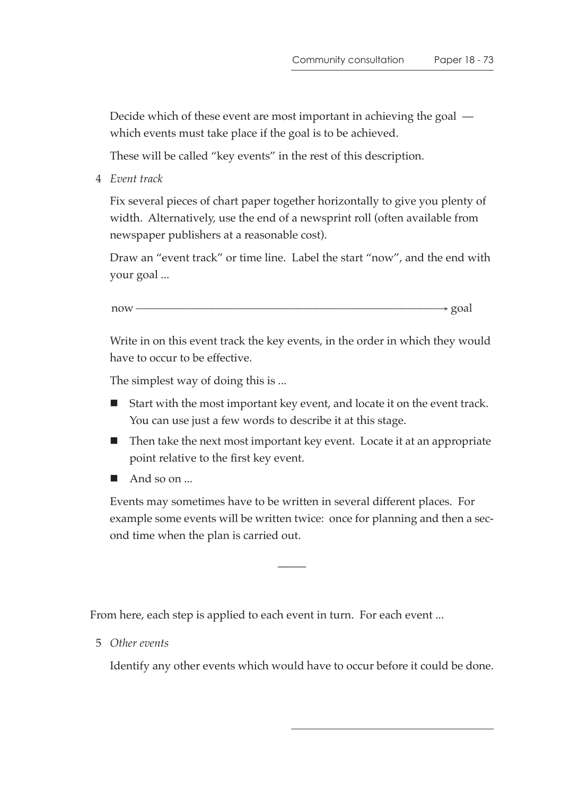Decide which of these event are most important in achieving the goal which events must take place if the goal is to be achieved.

These will be called "key events" in the rest of this description.

4 *Event track*

Fix several pieces of chart paper together horizontally to give you plenty of width. Alternatively, use the end of a newsprint roll (often available from newspaper publishers at a reasonable cost).

Draw an "event track" or time line. Label the start "now", and the end with your goal ...

now ⎯⎯⎯⎯⎯⎯⎯⎯⎯⎯⎯⎯⎯⎯⎯⎯⎯⎯⎯⎯⎯⎯⎯⎯⎯⎯⎯⎯⎯⎯⎯⎯→ goal

Write in on this event track the key events, in the order in which they would have to occur to be effective.

The simplest way of doing this is ...

- Start with the most important key event, and locate it on the event track. You can use just a few words to describe it at this stage.
- $\blacksquare$  Then take the next most important key event. Locate it at an appropriate point relative to the first key event.
- And so on ...

Events may sometimes have to be written in several different places. For example some events will be written twice: once for planning and then a second time when the plan is carried out.

 $\overline{\phantom{a}}$ 

From here, each step is applied to each event in turn. For each event ...

5 *Other events*

Identify any other events which would have to occur before it could be done.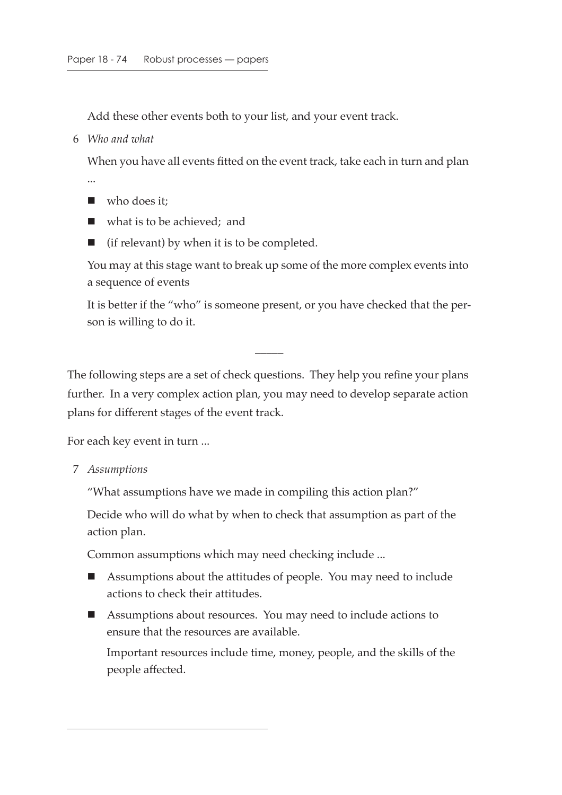Add these other events both to your list, and your event track.

6 *Who and what*

When you have all events fitted on the event track, take each in turn and plan ...

- who does it;
- what is to be achieved; and
- $\blacksquare$  (if relevant) by when it is to be completed.

You may at this stage want to break up some of the more complex events into a sequence of events

It is better if the "who" is someone present, or you have checked that the person is willing to do it.

The following steps are a set of check questions. They help you refine your plans further. In a very complex action plan, you may need to develop separate action plans for different stages of the event track.

 $\overline{\phantom{a}}$ 

For each key event in turn ...

7 *Assumptions*

"What assumptions have we made in compiling this action plan?"

Decide who will do what by when to check that assumption as part of the action plan.

Common assumptions which may need checking include ...

- Assumptions about the attitudes of people. You may need to include actions to check their attitudes.
- Assumptions about resources. You may need to include actions to ensure that the resources are available.

Important resources include time, money, people, and the skills of the people affected.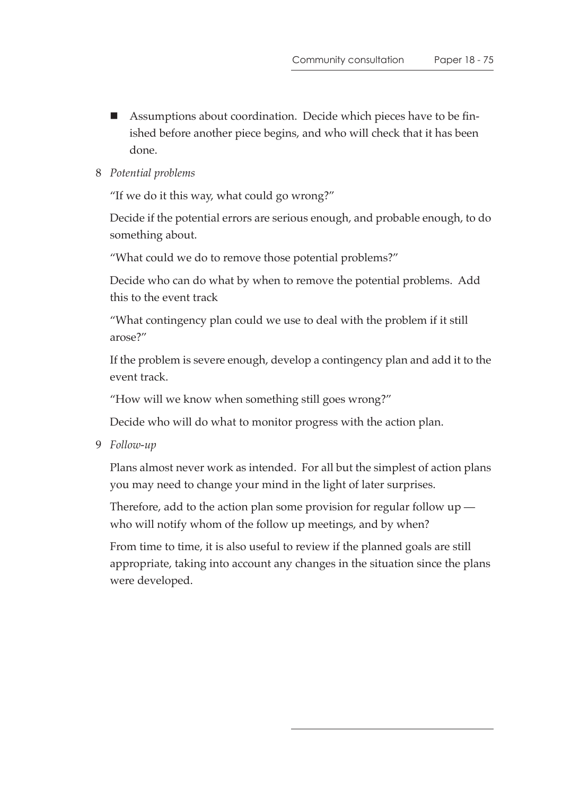Assumptions about coordination. Decide which pieces have to be finished before another piece begins, and who will check that it has been done.

#### 8 *Potential problems*

"If we do it this way, what could go wrong?"

Decide if the potential errors are serious enough, and probable enough, to do something about.

"What could we do to remove those potential problems?"

Decide who can do what by when to remove the potential problems. Add this to the event track

"What contingency plan could we use to deal with the problem if it still arose?"

If the problem is severe enough, develop a contingency plan and add it to the event track.

"How will we know when something still goes wrong?"

Decide who will do what to monitor progress with the action plan.

9 *Follow-up*

Plans almost never work as intended. For all but the simplest of action plans you may need to change your mind in the light of later surprises.

Therefore, add to the action plan some provision for regular follow  $up$  who will notify whom of the follow up meetings, and by when?

From time to time, it is also useful to review if the planned goals are still appropriate, taking into account any changes in the situation since the plans were developed.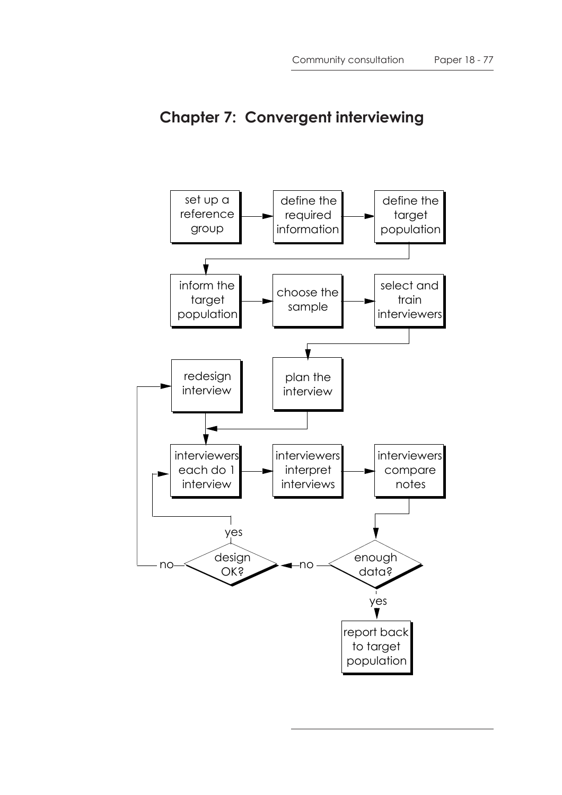

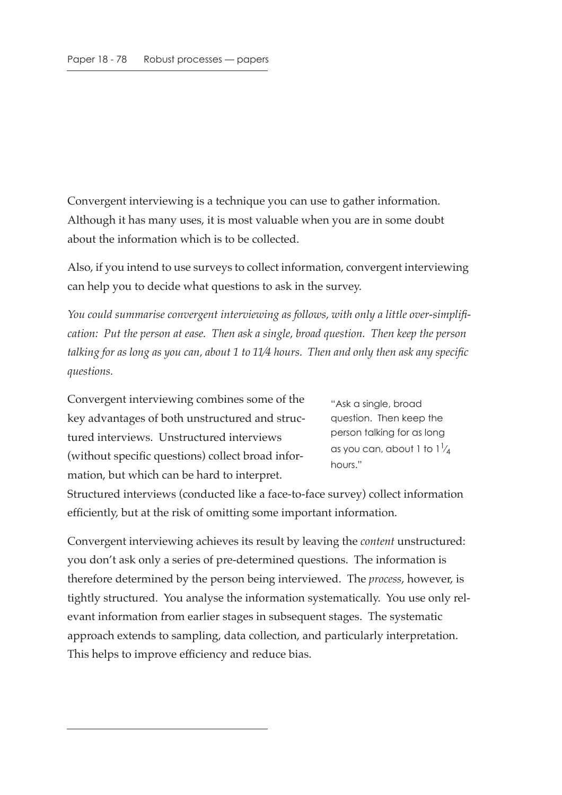Convergent interviewing is a technique you can use to gather information. Although it has many uses, it is most valuable when you are in some doubt about the information which is to be collected.

Also, if you intend to use surveys to collect information, convergent interviewing can help you to decide what questions to ask in the survey.

*You could summarise convergent interviewing as follows, with only a little over-simplification: Put the person at ease. Then ask a single, broad question. Then keep the person talking for as long as you can, about 1 to 11⁄4 hours. Then and only then ask any specific questions.*

Convergent interviewing combines some of the key advantages of both unstructured and structured interviews. Unstructured interviews (without specific questions) collect broad information, but which can be hard to interpret.

"Ask a single, broad question. Then keep the person talking for as long as you can, about 1 to 1  $\frac{1}{4}$ hours."

Structured interviews (conducted like a face-to-face survey) collect information efficiently, but at the risk of omitting some important information.

Convergent interviewing achieves its result by leaving the *content* unstructured: you don't ask only a series of pre-determined questions. The information is therefore determined by the person being interviewed. The *process*, however, is tightly structured. You analyse the information systematically. You use only relevant information from earlier stages in subsequent stages. The systematic approach extends to sampling, data collection, and particularly interpretation. This helps to improve efficiency and reduce bias.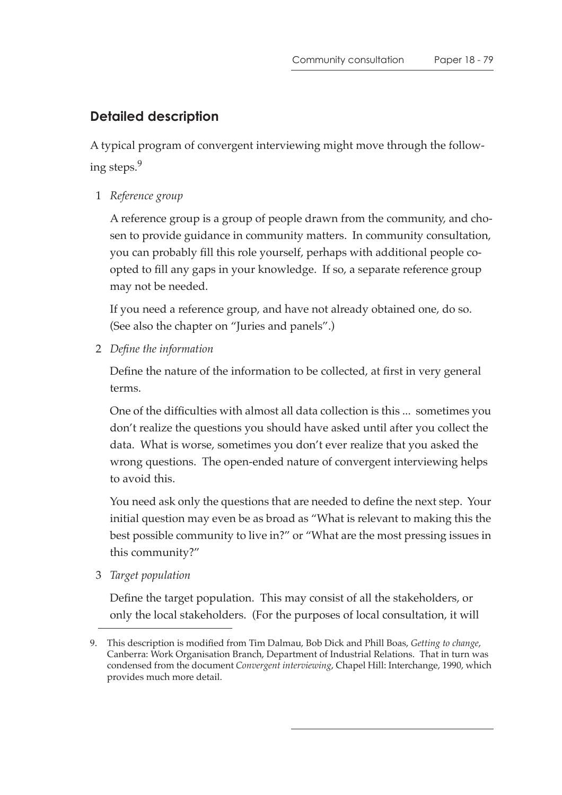## **Detailed description**

A typical program of convergent interviewing might move through the following steps.9

1 *Reference group*

A reference group is a group of people drawn from the community, and chosen to provide guidance in community matters. In community consultation, you can probably fill this role yourself, perhaps with additional people coopted to fill any gaps in your knowledge. If so, a separate reference group may not be needed.

If you need a reference group, and have not already obtained one, do so. (See also the chapter on "Juries and panels".)

2 *Define the information*

Define the nature of the information to be collected, at first in very general terms.

One of the difficulties with almost all data collection is this ... sometimes you don't realize the questions you should have asked until after you collect the data. What is worse, sometimes you don't ever realize that you asked the wrong questions. The open-ended nature of convergent interviewing helps to avoid this.

You need ask only the questions that are needed to define the next step. Your initial question may even be as broad as "What is relevant to making this the best possible community to live in?" or "What are the most pressing issues in this community?"

3 *Target population*

Define the target population. This may consist of all the stakeholders, or only the local stakeholders. (For the purposes of local consultation, it will

<sup>9.</sup> This description is modified from Tim Dalmau, Bob Dick and Phill Boas, *Getting to change*, Canberra: Work Organisation Branch, Department of Industrial Relations. That in turn was condensed from the document *Convergent interviewing*, Chapel Hill: Interchange, 1990, which provides much more detail.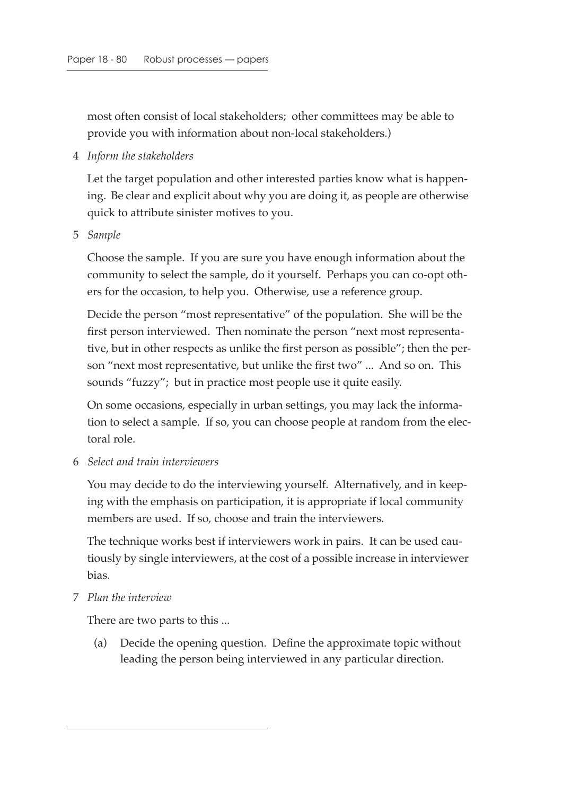most often consist of local stakeholders; other committees may be able to provide you with information about non-local stakeholders.)

4 *Inform the stakeholders*

Let the target population and other interested parties know what is happening. Be clear and explicit about why you are doing it, as people are otherwise quick to attribute sinister motives to you.

5 *Sample*

Choose the sample. If you are sure you have enough information about the community to select the sample, do it yourself. Perhaps you can co-opt others for the occasion, to help you. Otherwise, use a reference group.

Decide the person "most representative" of the population. She will be the first person interviewed. Then nominate the person "next most representative, but in other respects as unlike the first person as possible"; then the person "next most representative, but unlike the first two" ... And so on. This sounds "fuzzy"; but in practice most people use it quite easily.

On some occasions, especially in urban settings, you may lack the information to select a sample. If so, you can choose people at random from the electoral role.

6 *Select and train interviewers*

You may decide to do the interviewing yourself. Alternatively, and in keeping with the emphasis on participation, it is appropriate if local community members are used. If so, choose and train the interviewers.

The technique works best if interviewers work in pairs. It can be used cautiously by single interviewers, at the cost of a possible increase in interviewer bias.

7 *Plan the interview*

There are two parts to this ...

(a) Decide the opening question. Define the approximate topic without leading the person being interviewed in any particular direction.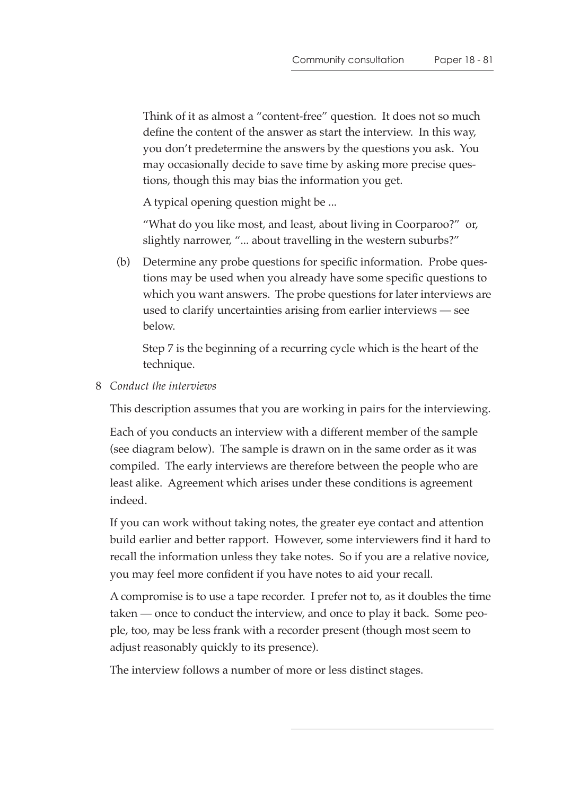Think of it as almost a "content-free" question. It does not so much define the content of the answer as start the interview. In this way, you don't predetermine the answers by the questions you ask. You may occasionally decide to save time by asking more precise questions, though this may bias the information you get.

A typical opening question might be ...

"What do you like most, and least, about living in Coorparoo?" or, slightly narrower, "... about travelling in the western suburbs?"

(b) Determine any probe questions for specific information. Probe questions may be used when you already have some specific questions to which you want answers. The probe questions for later interviews are used to clarify uncertainties arising from earlier interviews — see below.

Step 7 is the beginning of a recurring cycle which is the heart of the technique.

8 *Conduct the interviews*

This description assumes that you are working in pairs for the interviewing.

Each of you conducts an interview with a different member of the sample (see diagram below). The sample is drawn on in the same order as it was compiled. The early interviews are therefore between the people who are least alike. Agreement which arises under these conditions is agreement indeed.

If you can work without taking notes, the greater eye contact and attention build earlier and better rapport. However, some interviewers find it hard to recall the information unless they take notes. So if you are a relative novice, you may feel more confident if you have notes to aid your recall.

A compromise is to use a tape recorder. I prefer not to, as it doubles the time taken — once to conduct the interview, and once to play it back. Some people, too, may be less frank with a recorder present (though most seem to adjust reasonably quickly to its presence).

The interview follows a number of more or less distinct stages.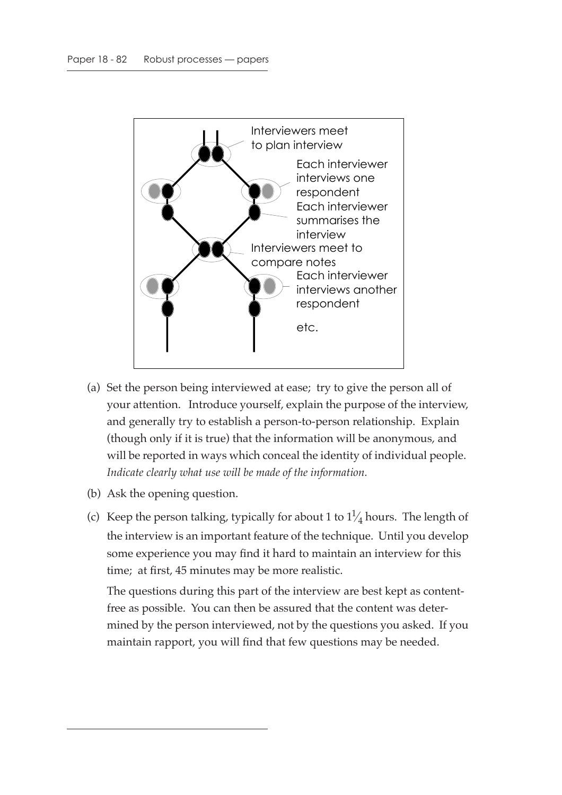

- (a) Set the person being interviewed at ease; try to give the person all of your attention. Introduce yourself, explain the purpose of the interview, and generally try to establish a person-to-person relationship. Explain (though only if it is true) that the information will be anonymous, and will be reported in ways which conceal the identity of individual people. *Indicate clearly what use will be made of the information.*
- (b) Ask the opening question.
- (c) Keep the person talking, typically for about 1 to  $1\frac{1}{4}$  hours. The length of the interview is an important feature of the technique. Until you develop some experience you may find it hard to maintain an interview for this time; at first, 45 minutes may be more realistic.

The questions during this part of the interview are best kept as contentfree as possible. You can then be assured that the content was determined by the person interviewed, not by the questions you asked. If you maintain rapport, you will find that few questions may be needed.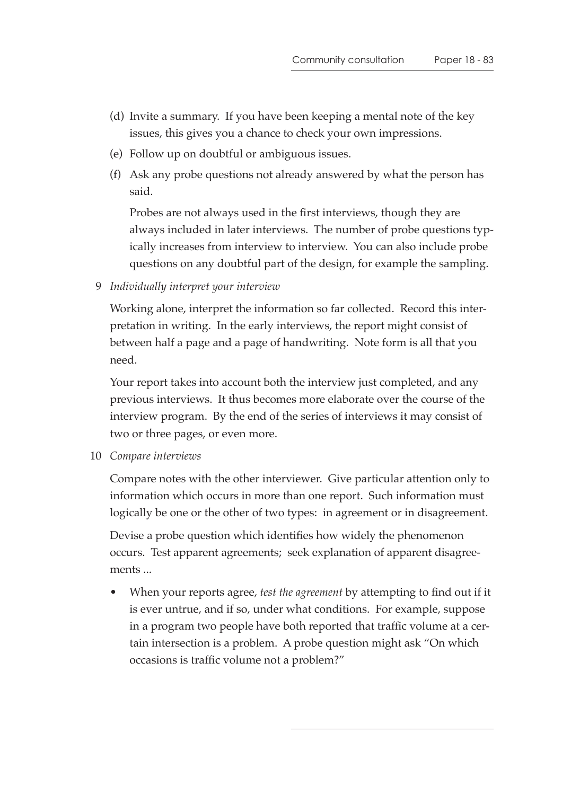- (d) Invite a summary. If you have been keeping a mental note of the key issues, this gives you a chance to check your own impressions.
- (e) Follow up on doubtful or ambiguous issues.
- (f) Ask any probe questions not already answered by what the person has said.

Probes are not always used in the first interviews, though they are always included in later interviews. The number of probe questions typically increases from interview to interview. You can also include probe questions on any doubtful part of the design, for example the sampling.

9 *Individually interpret your interview*

Working alone, interpret the information so far collected. Record this interpretation in writing. In the early interviews, the report might consist of between half a page and a page of handwriting. Note form is all that you need.

Your report takes into account both the interview just completed, and any previous interviews. It thus becomes more elaborate over the course of the interview program. By the end of the series of interviews it may consist of two or three pages, or even more.

10 *Compare interviews*

Compare notes with the other interviewer. Give particular attention only to information which occurs in more than one report. Such information must logically be one or the other of two types: in agreement or in disagreement.

Devise a probe question which identifies how widely the phenomenon occurs. Test apparent agreements; seek explanation of apparent disagreements ...

• When your reports agree, *test the agreement* by attempting to find out if it is ever untrue, and if so, under what conditions. For example, suppose in a program two people have both reported that traffic volume at a certain intersection is a problem. A probe question might ask "On which occasions is traffic volume not a problem?"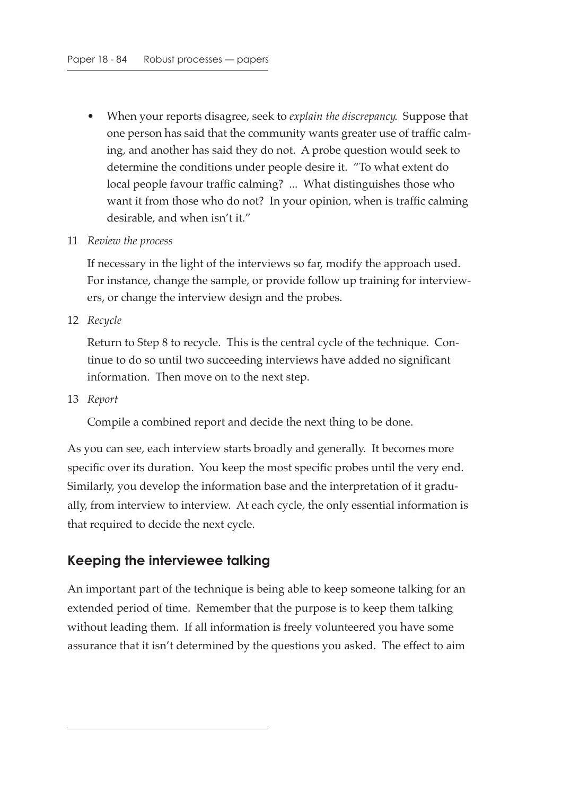- When your reports disagree, seek to *explain the discrepancy*. Suppose that one person has said that the community wants greater use of traffic calming, and another has said they do not. A probe question would seek to determine the conditions under people desire it. "To what extent do local people favour traffic calming? ... What distinguishes those who want it from those who do not? In your opinion, when is traffic calming desirable, and when isn't it."
- 11 *Review the process*

If necessary in the light of the interviews so far, modify the approach used. For instance, change the sample, or provide follow up training for interviewers, or change the interview design and the probes.

12 *Recycle*

Return to Step 8 to recycle. This is the central cycle of the technique. Continue to do so until two succeeding interviews have added no significant information. Then move on to the next step.

13 *Report*

Compile a combined report and decide the next thing to be done.

As you can see, each interview starts broadly and generally. It becomes more specific over its duration. You keep the most specific probes until the very end. Similarly, you develop the information base and the interpretation of it gradually, from interview to interview. At each cycle, the only essential information is that required to decide the next cycle.

#### **Keeping the interviewee talking**

An important part of the technique is being able to keep someone talking for an extended period of time. Remember that the purpose is to keep them talking without leading them. If all information is freely volunteered you have some assurance that it isn't determined by the questions you asked. The effect to aim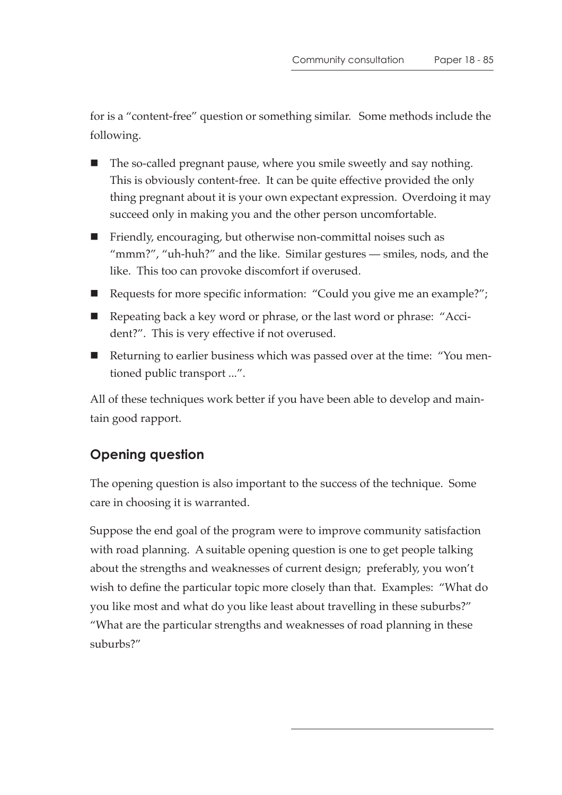for is a "content-free" question or something similar. Some methods include the following.

- The so-called pregnant pause, where you smile sweetly and say nothing. This is obviously content-free. It can be quite effective provided the only thing pregnant about it is your own expectant expression. Overdoing it may succeed only in making you and the other person uncomfortable.
- Friendly, encouraging, but otherwise non-committal noises such as "mmm?", "uh-huh?" and the like. Similar gestures — smiles, nods, and the like. This too can provoke discomfort if overused.
- Requests for more specific information: "Could you give me an example?";
- Repeating back a key word or phrase, or the last word or phrase: "Accident?". This is very effective if not overused.
- Returning to earlier business which was passed over at the time: "You mentioned public transport ...".

All of these techniques work better if you have been able to develop and maintain good rapport.

### **Opening question**

The opening question is also important to the success of the technique. Some care in choosing it is warranted.

Suppose the end goal of the program were to improve community satisfaction with road planning. A suitable opening question is one to get people talking about the strengths and weaknesses of current design; preferably, you won't wish to define the particular topic more closely than that. Examples: "What do you like most and what do you like least about travelling in these suburbs?" "What are the particular strengths and weaknesses of road planning in these suburbs?"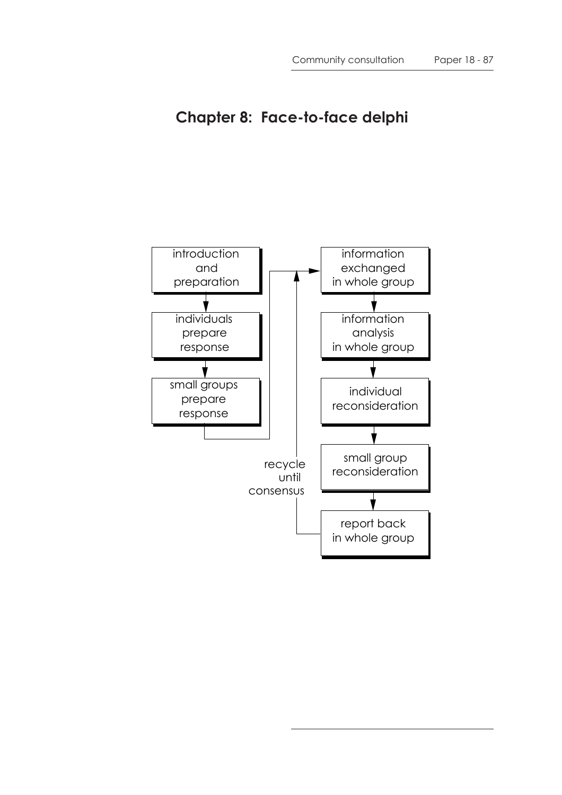# **Chapter 8: Face-to-face delphi**

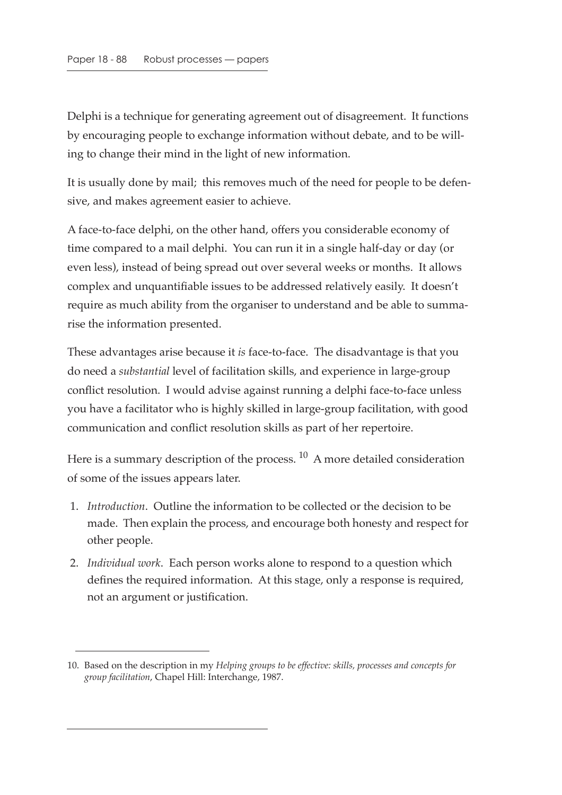Delphi is a technique for generating agreement out of disagreement. It functions by encouraging people to exchange information without debate, and to be willing to change their mind in the light of new information.

It is usually done by mail; this removes much of the need for people to be defensive, and makes agreement easier to achieve.

A face-to-face delphi, on the other hand, offers you considerable economy of time compared to a mail delphi. You can run it in a single half-day or day (or even less), instead of being spread out over several weeks or months. It allows complex and unquantifiable issues to be addressed relatively easily. It doesn't require as much ability from the organiser to understand and be able to summarise the information presented.

These advantages arise because it *is* face-to-face. The disadvantage is that you do need a *substantial* level of facilitation skills, and experience in large-group conflict resolution. I would advise against running a delphi face-to-face unless you have a facilitator who is highly skilled in large-group facilitation, with good communication and conflict resolution skills as part of her repertoire.

Here is a summary description of the process.  $^{10}$  A more detailed consideration of some of the issues appears later.

- 1. *Introduction*. Outline the information to be collected or the decision to be made. Then explain the process, and encourage both honesty and respect for other people.
- 2. *Individual work*. Each person works alone to respond to a question which defines the required information. At this stage, only a response is required, not an argument or justification.

<sup>10.</sup> Based on the description in my *Helping groups to be effective: skills, processes and concepts for group facilitation*, Chapel Hill: Interchange, 1987.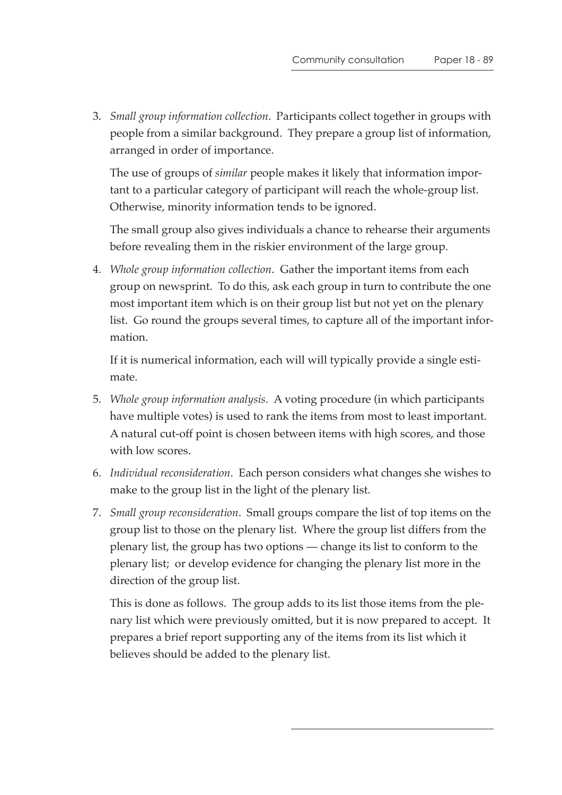3. *Small group information collection*. Participants collect together in groups with people from a similar background. They prepare a group list of information, arranged in order of importance.

The use of groups of *similar* people makes it likely that information important to a particular category of participant will reach the whole-group list. Otherwise, minority information tends to be ignored.

The small group also gives individuals a chance to rehearse their arguments before revealing them in the riskier environment of the large group.

 4. *Whole group information collection*. Gather the important items from each group on newsprint. To do this, ask each group in turn to contribute the one most important item which is on their group list but not yet on the plenary list. Go round the groups several times, to capture all of the important information.

If it is numerical information, each will will typically provide a single estimate.

- 5. *Whole group information analysis*. A voting procedure (in which participants have multiple votes) is used to rank the items from most to least important. A natural cut-off point is chosen between items with high scores, and those with low scores.
- 6. *Individual reconsideration*. Each person considers what changes she wishes to make to the group list in the light of the plenary list.
- 7. *Small group reconsideration*. Small groups compare the list of top items on the group list to those on the plenary list. Where the group list differs from the plenary list, the group has two options — change its list to conform to the plenary list; or develop evidence for changing the plenary list more in the direction of the group list.

This is done as follows. The group adds to its list those items from the plenary list which were previously omitted, but it is now prepared to accept. It prepares a brief report supporting any of the items from its list which it believes should be added to the plenary list.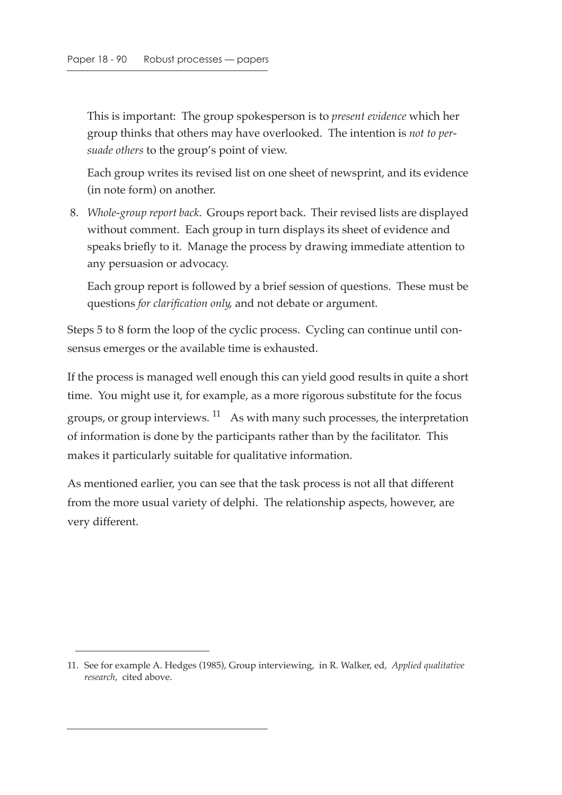This is important: The group spokesperson is to *present evidence* which her group thinks that others may have overlooked. The intention is *not to persuade others* to the group's point of view.

Each group writes its revised list on one sheet of newsprint, and its evidence (in note form) on another.

 8. *Whole-group report back*. Groups report back. Their revised lists are displayed without comment. Each group in turn displays its sheet of evidence and speaks briefly to it. Manage the process by drawing immediate attention to any persuasion or advocacy.

Each group report is followed by a brief session of questions. These must be questions *for clarification only*, and not debate or argument.

Steps 5 to 8 form the loop of the cyclic process. Cycling can continue until consensus emerges or the available time is exhausted.

If the process is managed well enough this can yield good results in quite a short time. You might use it, for example, as a more rigorous substitute for the focus groups, or group interviews.  $11$  As with many such processes, the interpretation of information is done by the participants rather than by the facilitator. This makes it particularly suitable for qualitative information.

As mentioned earlier, you can see that the task process is not all that different from the more usual variety of delphi. The relationship aspects, however, are very different.

<sup>11.</sup> See for example A. Hedges (1985), Group interviewing, in R. Walker, ed, *Applied qualitative research*, cited above.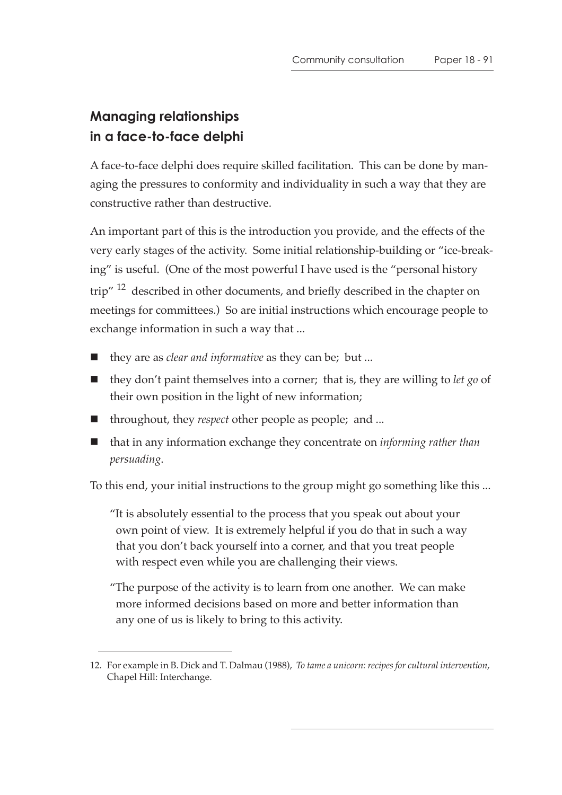## **Managing relationships in a face-to-face delphi**

A face-to-face delphi does require skilled facilitation. This can be done by managing the pressures to conformity and individuality in such a way that they are constructive rather than destructive.

An important part of this is the introduction you provide, and the effects of the very early stages of the activity. Some initial relationship-building or "ice-breaking" is useful. (One of the most powerful I have used is the "personal history trip" <sup>12</sup> described in other documents, and briefly described in the chapter on meetings for committees.) So are initial instructions which encourage people to exchange information in such a way that ...

- they are as *clear and informative* as they can be; but ...
- they don't paint themselves into a corner; that is, they are willing to *let go* of their own position in the light of new information;
- throughout, they *respect* other people as people; and ...
- that in any information exchange they concentrate on *informing rather than persuading*.

To this end, your initial instructions to the group might go something like this ...

"It is absolutely essential to the process that you speak out about your own point of view. It is extremely helpful if you do that in such a way that you don't back yourself into a corner, and that you treat people with respect even while you are challenging their views.

"The purpose of the activity is to learn from one another. We can make more informed decisions based on more and better information than any one of us is likely to bring to this activity.

<sup>12.</sup> For example in B. Dick and T. Dalmau (1988), *To tame a unicorn: recipes for cultural intervention*, Chapel Hill: Interchange.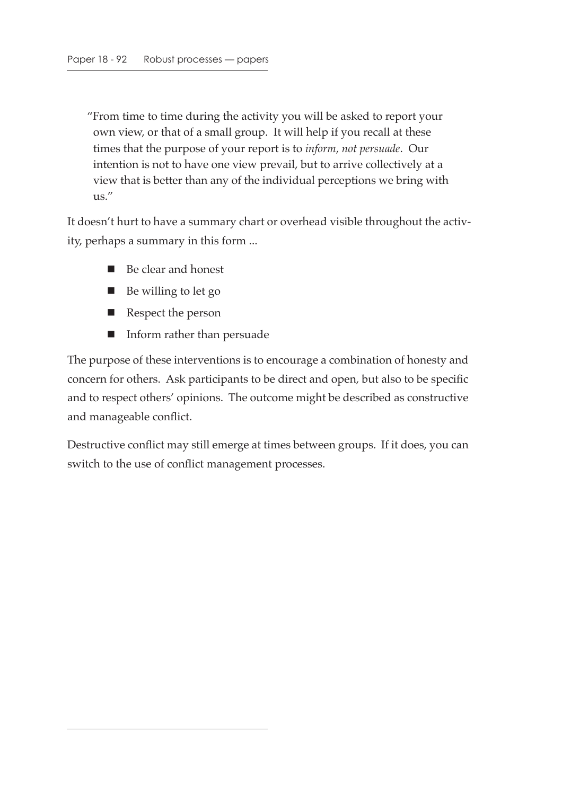"From time to time during the activity you will be asked to report your own view, or that of a small group. It will help if you recall at these times that the purpose of your report is to *inform, not persuade*. Our intention is not to have one view prevail, but to arrive collectively at a view that is better than any of the individual perceptions we bring with us."

It doesn't hurt to have a summary chart or overhead visible throughout the activity, perhaps a summary in this form ...

- Be clear and honest
- Be willing to let go
- Respect the person
- Inform rather than persuade

The purpose of these interventions is to encourage a combination of honesty and concern for others. Ask participants to be direct and open, but also to be specific and to respect others' opinions. The outcome might be described as constructive and manageable conflict.

Destructive conflict may still emerge at times between groups. If it does, you can switch to the use of conflict management processes.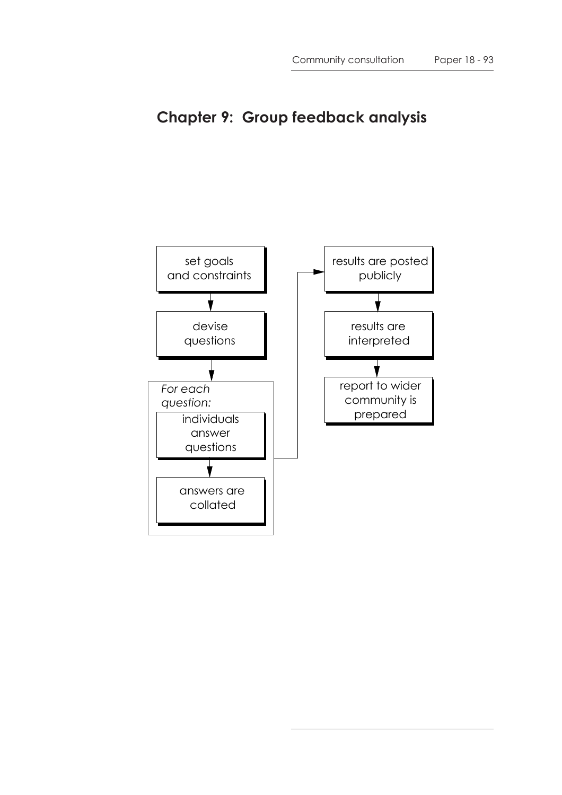# **Chapter 9: Group feedback analysis**

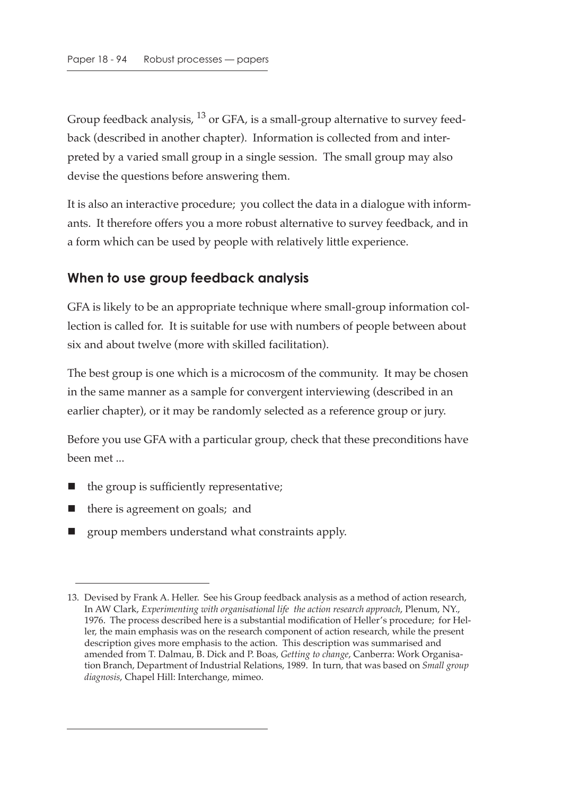Group feedback analysis,  $^{13}$  or GFA, is a small-group alternative to survey feedback (described in another chapter). Information is collected from and interpreted by a varied small group in a single session. The small group may also devise the questions before answering them.

It is also an interactive procedure; you collect the data in a dialogue with informants. It therefore offers you a more robust alternative to survey feedback, and in a form which can be used by people with relatively little experience.

### **When to use group feedback analysis**

GFA is likely to be an appropriate technique where small-group information collection is called for. It is suitable for use with numbers of people between about six and about twelve (more with skilled facilitation).

The best group is one which is a microcosm of the community. It may be chosen in the same manner as a sample for convergent interviewing (described in an earlier chapter), or it may be randomly selected as a reference group or jury.

Before you use GFA with a particular group, check that these preconditions have been met ...

- $\blacksquare$  the group is sufficiently representative;
- $\blacksquare$  there is agreement on goals; and
- group members understand what constraints apply.

<sup>13.</sup> Devised by Frank A. Heller. See his Group feedback analysis as a method of action research, In AW Clark, *Experimenting with organisational life the action research approach*, Plenum, NY., 1976. The process described here is a substantial modification of Heller's procedure; for Heller, the main emphasis was on the research component of action research, while the present description gives more emphasis to the action. This description was summarised and amended from T. Dalmau, B. Dick and P. Boas, *Getting to change*, Canberra: Work Organisation Branch, Department of Industrial Relations, 1989. In turn, that was based on *Small group diagnosis*, Chapel Hill: Interchange, mimeo.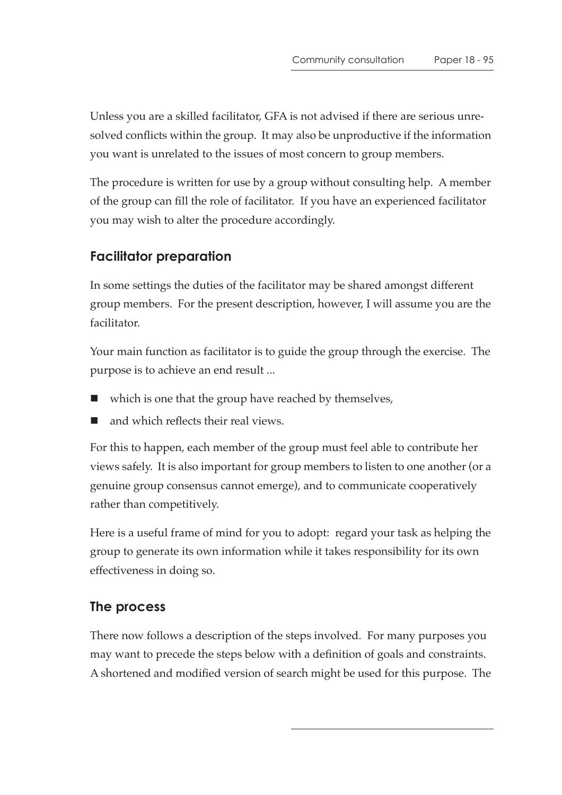Unless you are a skilled facilitator, GFA is not advised if there are serious unresolved conflicts within the group. It may also be unproductive if the information you want is unrelated to the issues of most concern to group members.

The procedure is written for use by a group without consulting help. A member of the group can fill the role of facilitator. If you have an experienced facilitator you may wish to alter the procedure accordingly.

## **Facilitator preparation**

In some settings the duties of the facilitator may be shared amongst different group members. For the present description, however, I will assume you are the facilitator.

Your main function as facilitator is to guide the group through the exercise. The purpose is to achieve an end result ...

- which is one that the group have reached by themselves,
- and which reflects their real views.

For this to happen, each member of the group must feel able to contribute her views safely. It is also important for group members to listen to one another (or a genuine group consensus cannot emerge), and to communicate cooperatively rather than competitively.

Here is a useful frame of mind for you to adopt: regard your task as helping the group to generate its own information while it takes responsibility for its own effectiveness in doing so.

## **The process**

There now follows a description of the steps involved. For many purposes you may want to precede the steps below with a definition of goals and constraints. A shortened and modified version of search might be used for this purpose. The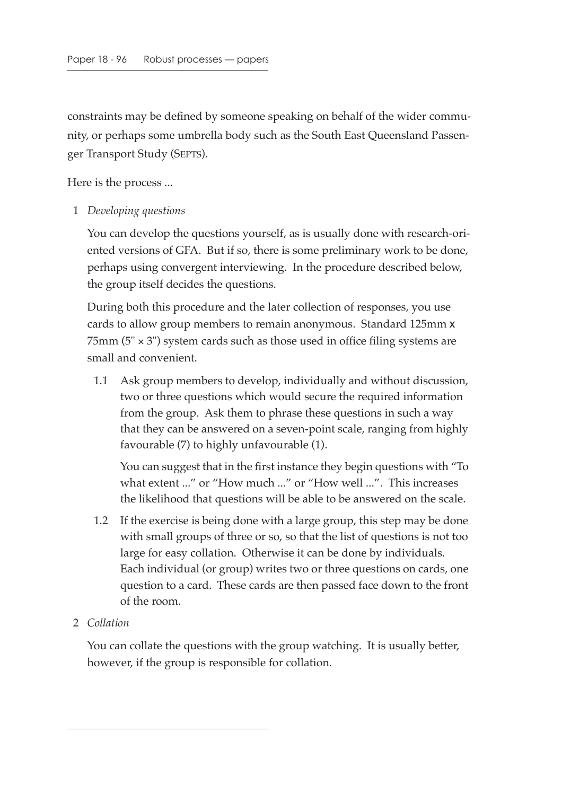constraints may be defined by someone speaking on behalf of the wider community, or perhaps some umbrella body such as the South East Queensland Passenger Transport Study (SEPTS).

Here is the process ...

1 *Developing questions*

You can develop the questions yourself, as is usually done with research-oriented versions of GFA. But if so, there is some preliminary work to be done, perhaps using convergent interviewing. In the procedure described below, the group itself decides the questions.

During both this procedure and the later collection of responses, you use cards to allow group members to remain anonymous. Standard 125mm x 75mm (5" × 3") system cards such as those used in office filing systems are small and convenient.

1.1 Ask group members to develop, individually and without discussion, two or three questions which would secure the required information from the group. Ask them to phrase these questions in such a way that they can be answered on a seven-point scale, ranging from highly favourable (7) to highly unfavourable (1).

You can suggest that in the first instance they begin questions with "To what extent ..." or "How much ..." or "How well ...". This increases the likelihood that questions will be able to be answered on the scale.

1.2 If the exercise is being done with a large group, this step may be done with small groups of three or so, so that the list of questions is not too large for easy collation. Otherwise it can be done by individuals. Each individual (or group) writes two or three questions on cards, one question to a card. These cards are then passed face down to the front of the room.

#### 2 *Collation*

You can collate the questions with the group watching. It is usually better, however, if the group is responsible for collation.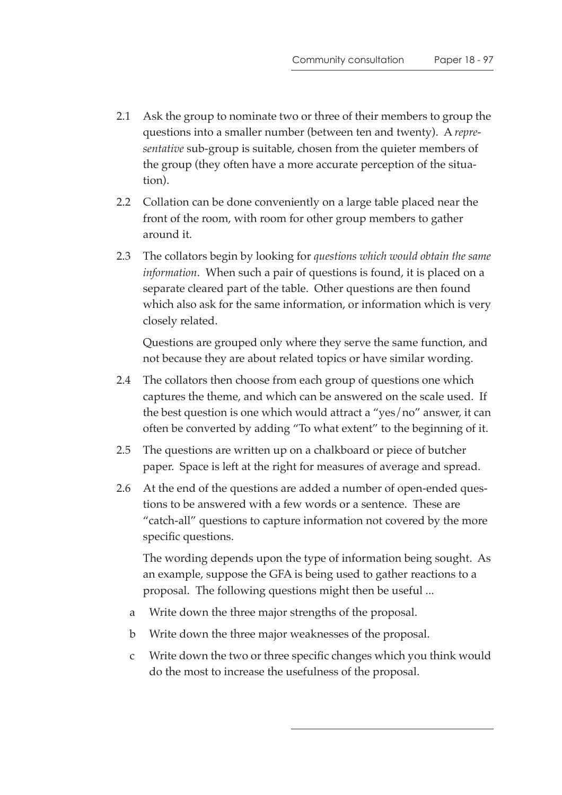- 2.1 Ask the group to nominate two or three of their members to group the questions into a smaller number (between ten and twenty). A *representative* sub-group is suitable, chosen from the quieter members of the group (they often have a more accurate perception of the situation).
- 2.2 Collation can be done conveniently on a large table placed near the front of the room, with room for other group members to gather around it.
- 2.3 The collators begin by looking for *questions which would obtain the same information*. When such a pair of questions is found, it is placed on a separate cleared part of the table. Other questions are then found which also ask for the same information, or information which is very closely related.

Questions are grouped only where they serve the same function, and not because they are about related topics or have similar wording.

- 2.4 The collators then choose from each group of questions one which captures the theme, and which can be answered on the scale used. If the best question is one which would attract a "yes/no" answer, it can often be converted by adding "To what extent" to the beginning of it.
- 2.5 The questions are written up on a chalkboard or piece of butcher paper. Space is left at the right for measures of average and spread.
- 2.6 At the end of the questions are added a number of open-ended questions to be answered with a few words or a sentence. These are "catch-all" questions to capture information not covered by the more specific questions.

The wording depends upon the type of information being sought. As an example, suppose the GFA is being used to gather reactions to a proposal. The following questions might then be useful ...

- a Write down the three major strengths of the proposal.
- b Write down the three major weaknesses of the proposal.
- c Write down the two or three specific changes which you think would do the most to increase the usefulness of the proposal.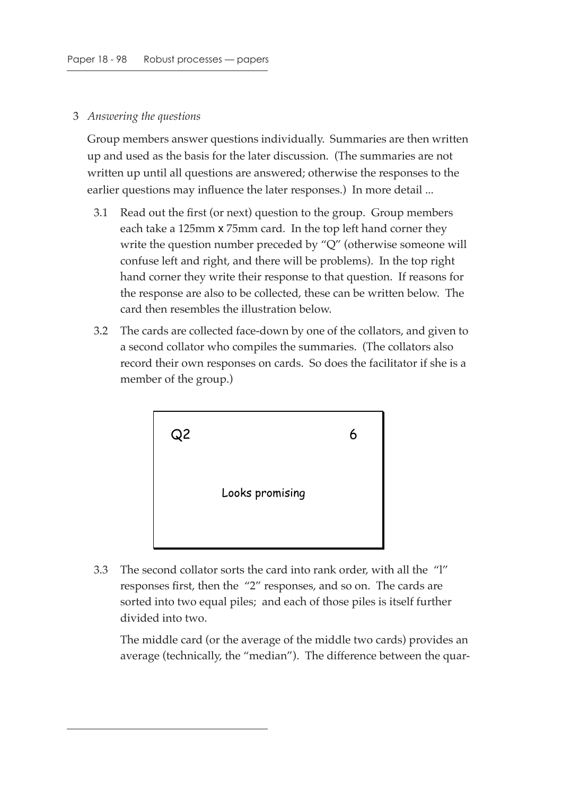#### 3 *Answering the questions*

Group members answer questions individually. Summaries are then written up and used as the basis for the later discussion. (The summaries are not written up until all questions are answered; otherwise the responses to the earlier questions may influence the later responses.) In more detail ...

- 3.1 Read out the first (or next) question to the group. Group members each take a 125mm x 75mm card. In the top left hand corner they write the question number preceded by "Q" (otherwise someone will confuse left and right, and there will be problems). In the top right hand corner they write their response to that question. If reasons for the response are also to be collected, these can be written below. The card then resembles the illustration below.
- 3.2 The cards are collected face-down by one of the collators, and given to a second collator who compiles the summaries. (The collators also record their own responses on cards. So does the facilitator if she is a member of the group.)



3.3 The second collator sorts the card into rank order, with all the "l" responses first, then the "2" responses, and so on. The cards are sorted into two equal piles; and each of those piles is itself further divided into two.

The middle card (or the average of the middle two cards) provides an average (technically, the "median"). The difference between the quar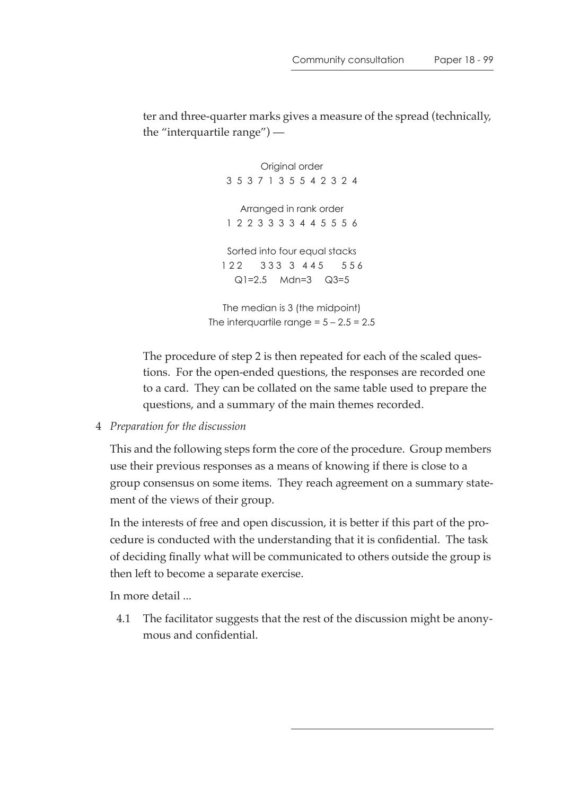ter and three-quarter marks gives a measure of the spread (technically, the "interquartile range") —

> Original order 3 5 3 7 1 3 5 5 4 2 3 2 4 Arranged in rank order 1 2 2 3 3 3 3 4 4 5 5 5 6 Sorted into four equal stacks 1 2 2 3 3 3 4 4 5 5 5 6 Q1=2.5 Mdn=3 Q3=5

The median is 3 (the midpoint) The interquartile range =  $5 - 2.5 = 2.5$ 

The procedure of step 2 is then repeated for each of the scaled questions. For the open-ended questions, the responses are recorded one to a card. They can be collated on the same table used to prepare the questions, and a summary of the main themes recorded.

4 *Preparation for the discussion*

This and the following steps form the core of the procedure. Group members use their previous responses as a means of knowing if there is close to a group consensus on some items. They reach agreement on a summary statement of the views of their group.

In the interests of free and open discussion, it is better if this part of the procedure is conducted with the understanding that it is confidential. The task of deciding finally what will be communicated to others outside the group is then left to become a separate exercise.

In more detail ...

4.1 The facilitator suggests that the rest of the discussion might be anonymous and confidential.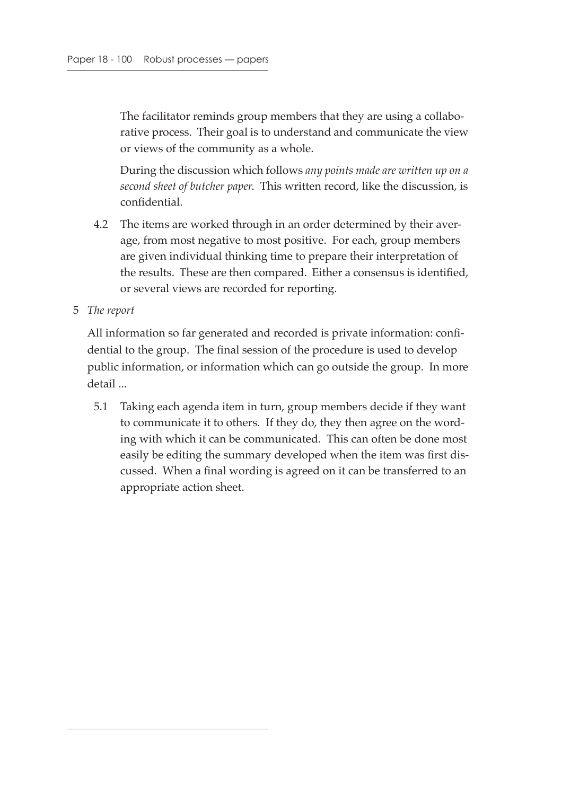The facilitator reminds group members that they are using a collaborative process. Their goal is to understand and communicate the view or views of the community as a whole.

During the discussion which follows *any points made are written up on a second sheet of butcher paper*. This written record, like the discussion, is confidential.

- 4.2 The items are worked through in an order determined by their average, from most negative to most positive. For each, group members are given individual thinking time to prepare their interpretation of the results. These are then compared. Either a consensus is identified, or several views are recorded for reporting.
- 5 *The report*

All information so far generated and recorded is private information: confidential to the group. The final session of the procedure is used to develop public information, or information which can go outside the group. In more detail ...

5.1 Taking each agenda item in turn, group members decide if they want to communicate it to others. If they do, they then agree on the wording with which it can be communicated. This can often be done most easily be editing the summary developed when the item was first discussed. When a final wording is agreed on it can be transferred to an appropriate action sheet.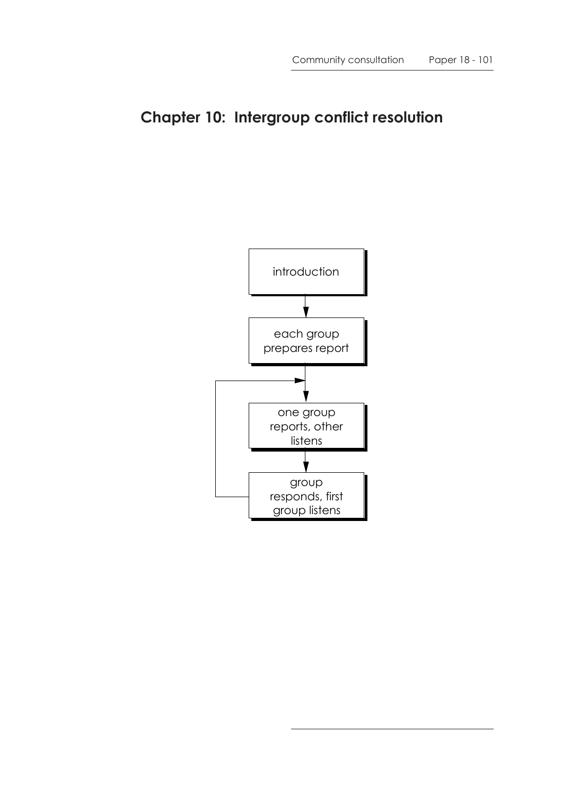# **Chapter 10: Intergroup conflict resolution**

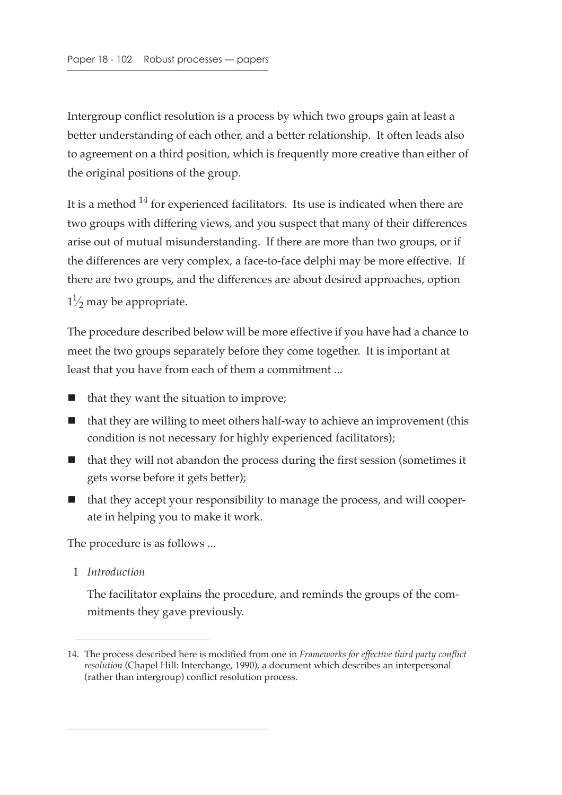Intergroup conflict resolution is a process by which two groups gain at least a better understanding of each other, and a better relationship. It often leads also to agreement on a third position, which is frequently more creative than either of the original positions of the group.

It is a method  $14$  for experienced facilitators. Its use is indicated when there are two groups with differing views, and you suspect that many of their differences arise out of mutual misunderstanding. If there are more than two groups, or if the differences are very complex, a face-to-face delphi may be more effective. If there are two groups, and the differences are about desired approaches, option  $1\frac{1}{2}$  may be appropriate.

The procedure described below will be more effective if you have had a chance to meet the two groups separately before they come together. It is important at least that you have from each of them a commitment ...

- $\blacksquare$  that they want the situation to improve;
- that they are willing to meet others half-way to achieve an improvement (this condition is not necessary for highly experienced facilitators);
- that they will not abandon the process during the first session (sometimes it gets worse before it gets better);
- that they accept your responsibility to manage the process, and will cooperate in helping you to make it work.

The procedure is as follows ...

1 *Introduction*

The facilitator explains the procedure, and reminds the groups of the commitments they gave previously.

<sup>14.</sup> The process described here is modified from one in *Frameworks for effective third party conflict resolution* (Chapel Hill: Interchange, 1990), a document which describes an interpersonal (rather than intergroup) conflict resolution process.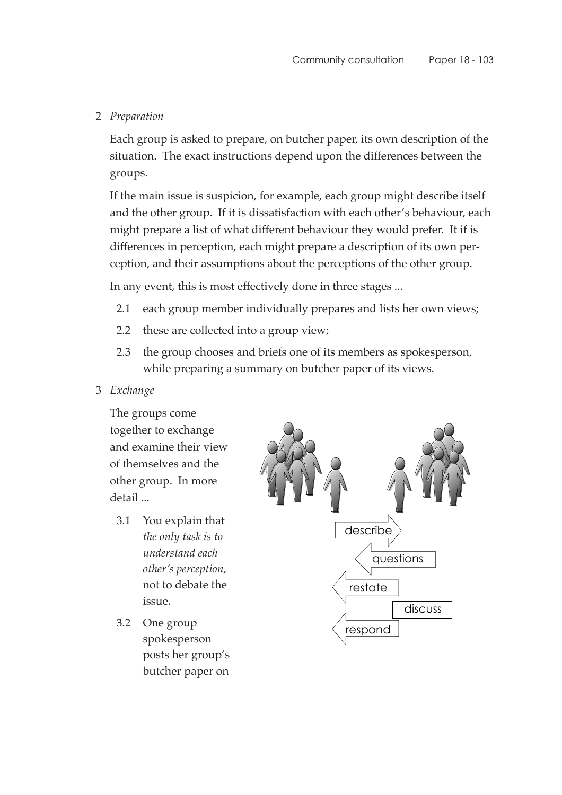#### 2 *Preparation*

Each group is asked to prepare, on butcher paper, its own description of the situation. The exact instructions depend upon the differences between the groups.

If the main issue is suspicion, for example, each group might describe itself and the other group. If it is dissatisfaction with each other's behaviour, each might prepare a list of what different behaviour they would prefer. It if is differences in perception, each might prepare a description of its own perception, and their assumptions about the perceptions of the other group.

In any event, this is most effectively done in three stages ...

- 2.1 each group member individually prepares and lists her own views;
- 2.2 these are collected into a group view;
- 2.3 the group chooses and briefs one of its members as spokesperson, while preparing a summary on butcher paper of its views.
- 3 *Exchange*

The groups come together to exchange and examine their view of themselves and the other group. In more detail ...

- 3.1 You explain that *the only task is to understand each other's perception*, not to debate the issue.
- 3.2 One group spokesperson posts her group's butcher paper on

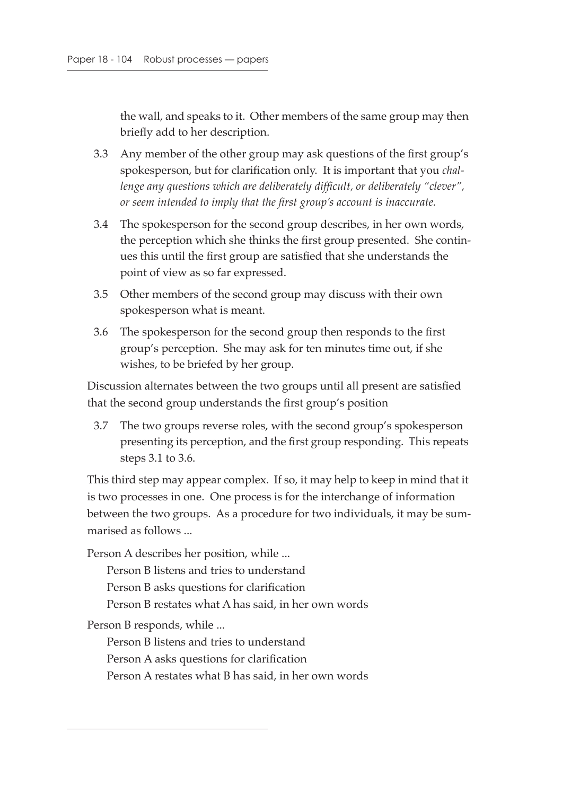the wall, and speaks to it. Other members of the same group may then briefly add to her description.

- 3.3 Any member of the other group may ask questions of the first group's spokesperson, but for clarification only. It is important that you *challenge any questions which are deliberately difficult, or deliberately "clever", or seem intended to imply that the first group's account is inaccurate.*
- 3.4 The spokesperson for the second group describes, in her own words, the perception which she thinks the first group presented. She continues this until the first group are satisfied that she understands the point of view as so far expressed.
- 3.5 Other members of the second group may discuss with their own spokesperson what is meant.
- 3.6 The spokesperson for the second group then responds to the first group's perception. She may ask for ten minutes time out, if she wishes, to be briefed by her group.

Discussion alternates between the two groups until all present are satisfied that the second group understands the first group's position

3.7 The two groups reverse roles, with the second group's spokesperson presenting its perception, and the first group responding. This repeats steps 3.1 to 3.6.

This third step may appear complex. If so, it may help to keep in mind that it is two processes in one. One process is for the interchange of information between the two groups. As a procedure for two individuals, it may be summarised as follows ...

Person A describes her position, while ...

Person B listens and tries to understand

Person B asks questions for clarification

Person B restates what A has said, in her own words

Person B responds, while ...

Person B listens and tries to understand

Person A asks questions for clarification

Person A restates what B has said, in her own words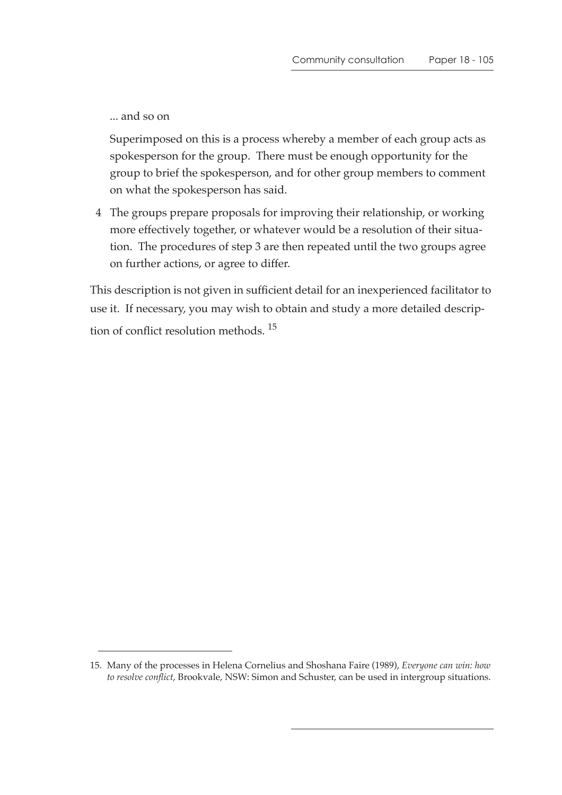... and so on

Superimposed on this is a process whereby a member of each group acts as spokesperson for the group. There must be enough opportunity for the group to brief the spokesperson, and for other group members to comment on what the spokesperson has said.

 4 The groups prepare proposals for improving their relationship, or working more effectively together, or whatever would be a resolution of their situation. The procedures of step 3 are then repeated until the two groups agree on further actions, or agree to differ.

This description is not given in sufficient detail for an inexperienced facilitator to use it. If necessary, you may wish to obtain and study a more detailed description of conflict resolution methods. 15

<sup>15.</sup> Many of the processes in Helena Cornelius and Shoshana Faire (1989), *Everyone can win: how to resolve conflict*, Brookvale, NSW: Simon and Schuster, can be used in intergroup situations.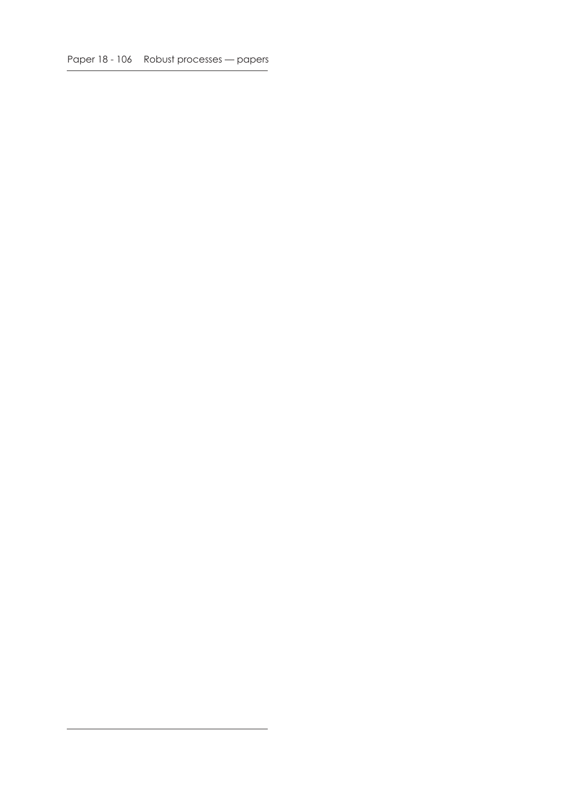Paper 18 - 106 Robust processes — papers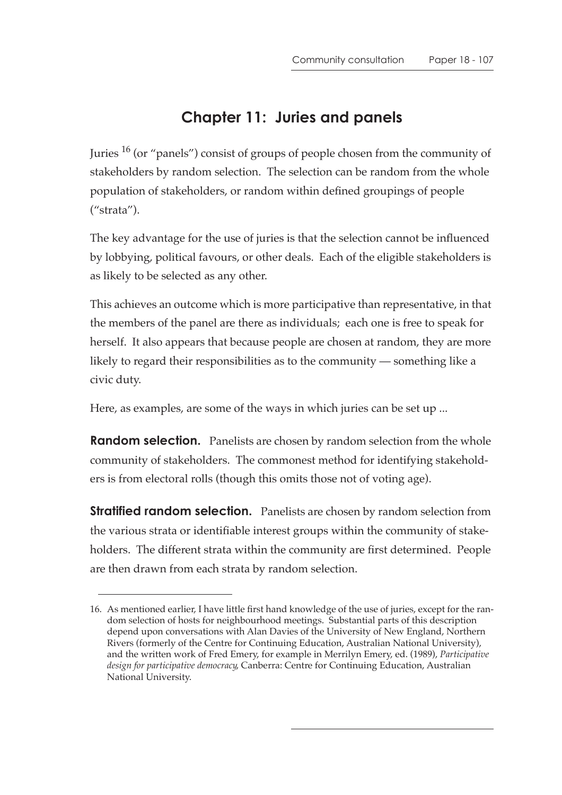# **Chapter 11: Juries and panels**

Juries 16 (or "panels") consist of groups of people chosen from the community of stakeholders by random selection. The selection can be random from the whole population of stakeholders, or random within defined groupings of people ("strata").

The key advantage for the use of juries is that the selection cannot be influenced by lobbying, political favours, or other deals. Each of the eligible stakeholders is as likely to be selected as any other.

This achieves an outcome which is more participative than representative, in that the members of the panel are there as individuals; each one is free to speak for herself. It also appears that because people are chosen at random, they are more likely to regard their responsibilities as to the community — something like a civic duty.

Here, as examples, are some of the ways in which juries can be set up ...

**Random selection.** Panelists are chosen by random selection from the whole community of stakeholders. The commonest method for identifying stakeholders is from electoral rolls (though this omits those not of voting age).

**Stratified random selection.** Panelists are chosen by random selection from the various strata or identifiable interest groups within the community of stakeholders. The different strata within the community are first determined. People are then drawn from each strata by random selection.

<sup>16.</sup> As mentioned earlier, I have little first hand knowledge of the use of juries, except for the random selection of hosts for neighbourhood meetings. Substantial parts of this description depend upon conversations with Alan Davies of the University of New England, Northern Rivers (formerly of the Centre for Continuing Education, Australian National University), and the written work of Fred Emery, for example in Merrilyn Emery, ed. (1989), *Participative design for participative democracy*, Canberra: Centre for Continuing Education, Australian National University.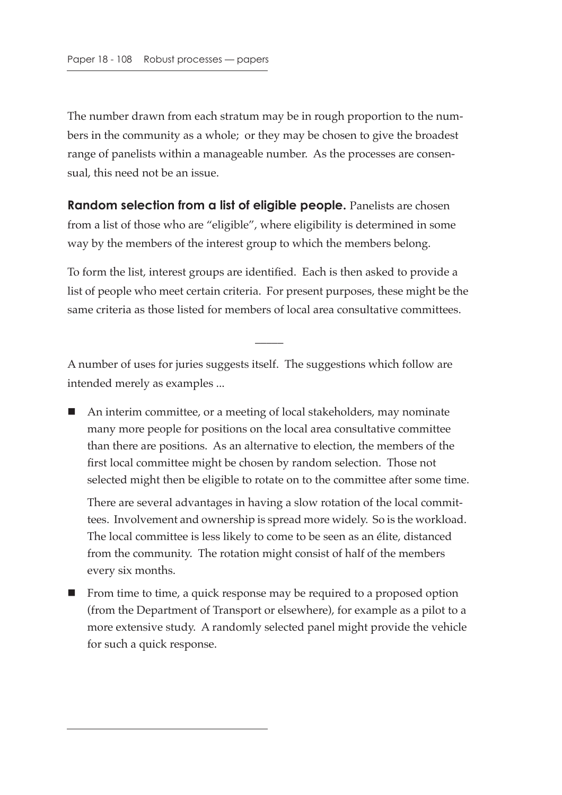The number drawn from each stratum may be in rough proportion to the numbers in the community as a whole; or they may be chosen to give the broadest range of panelists within a manageable number. As the processes are consensual, this need not be an issue.

**Random selection from a list of eligible people.** Panelists are chosen from a list of those who are "eligible", where eligibility is determined in some way by the members of the interest group to which the members belong.

To form the list, interest groups are identified. Each is then asked to provide a list of people who meet certain criteria. For present purposes, these might be the same criteria as those listed for members of local area consultative committees.

 $\overline{\phantom{a}}$ 

A number of uses for juries suggests itself. The suggestions which follow are intended merely as examples ...

■ An interim committee, or a meeting of local stakeholders, may nominate many more people for positions on the local area consultative committee than there are positions. As an alternative to election, the members of the first local committee might be chosen by random selection. Those not selected might then be eligible to rotate on to the committee after some time.

There are several advantages in having a slow rotation of the local committees. Involvement and ownership is spread more widely. So is the workload. The local committee is less likely to come to be seen as an élite, distanced from the community. The rotation might consist of half of the members every six months.

**From time to time, a quick response may be required to a proposed option** (from the Department of Transport or elsewhere), for example as a pilot to a more extensive study. A randomly selected panel might provide the vehicle for such a quick response.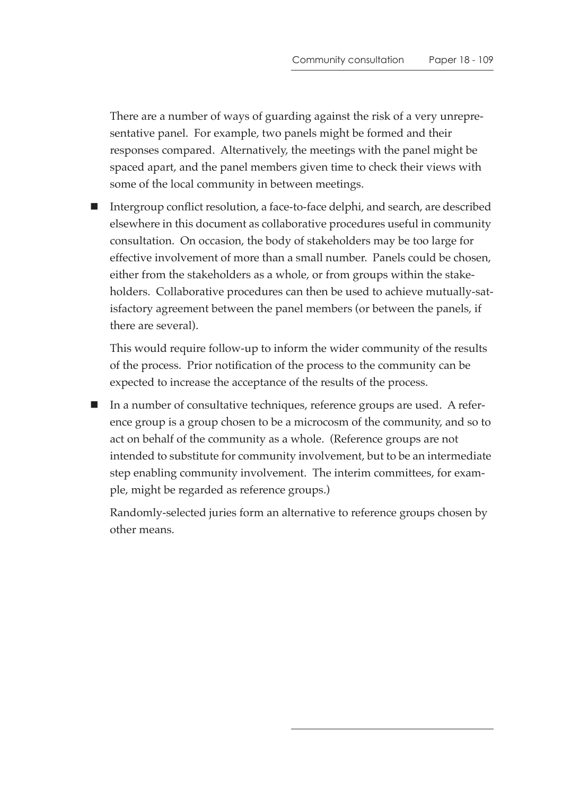There are a number of ways of guarding against the risk of a very unrepresentative panel. For example, two panels might be formed and their responses compared. Alternatively, the meetings with the panel might be spaced apart, and the panel members given time to check their views with some of the local community in between meetings.

 Intergroup conflict resolution, a face-to-face delphi, and search, are described elsewhere in this document as collaborative procedures useful in community consultation. On occasion, the body of stakeholders may be too large for effective involvement of more than a small number. Panels could be chosen, either from the stakeholders as a whole, or from groups within the stakeholders. Collaborative procedures can then be used to achieve mutually-satisfactory agreement between the panel members (or between the panels, if there are several).

This would require follow-up to inform the wider community of the results of the process. Prior notification of the process to the community can be expected to increase the acceptance of the results of the process.

 In a number of consultative techniques, reference groups are used. A reference group is a group chosen to be a microcosm of the community, and so to act on behalf of the community as a whole. (Reference groups are not intended to substitute for community involvement, but to be an intermediate step enabling community involvement. The interim committees, for example, might be regarded as reference groups.)

Randomly-selected juries form an alternative to reference groups chosen by other means.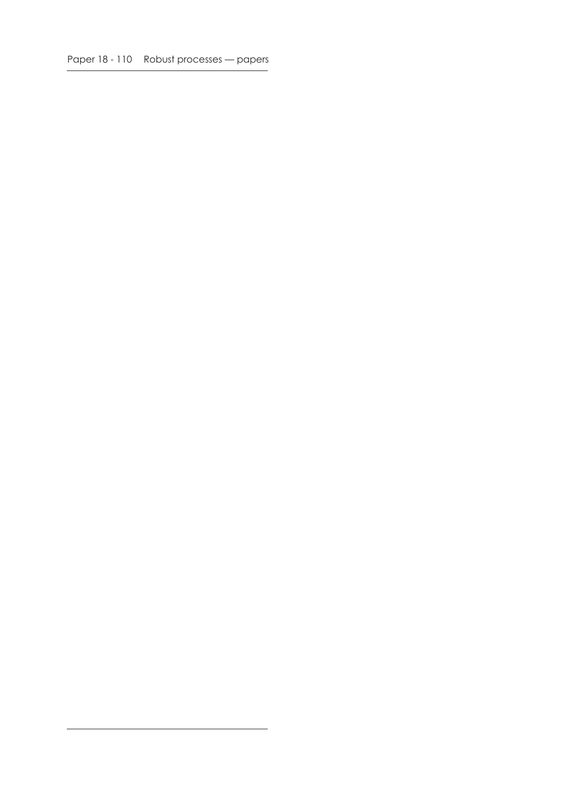Paper 18 - 110 Robust processes — papers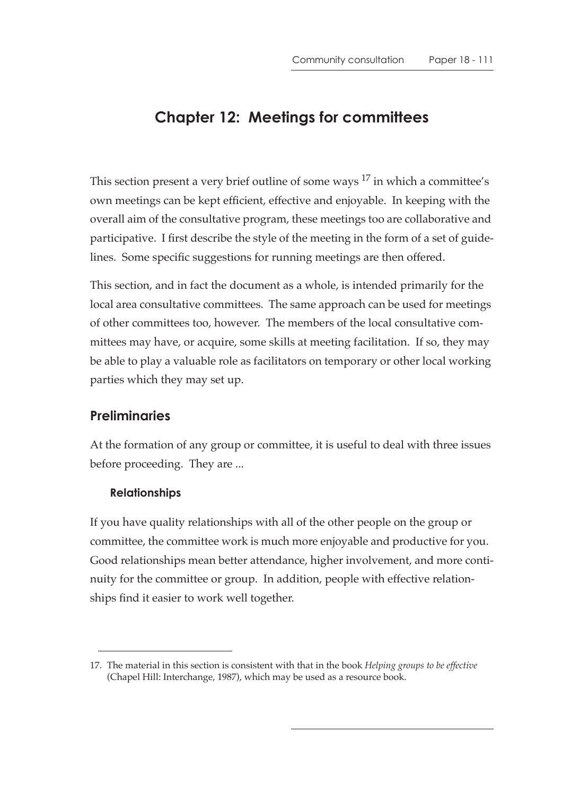## **Chapter 12: Meetings for committees**

This section present a very brief outline of some ways <sup>17</sup> in which a committee's own meetings can be kept efficient, effective and enjoyable. In keeping with the overall aim of the consultative program, these meetings too are collaborative and participative. I first describe the style of the meeting in the form of a set of guidelines. Some specific suggestions for running meetings are then offered.

This section, and in fact the document as a whole, is intended primarily for the local area consultative committees. The same approach can be used for meetings of other committees too, however. The members of the local consultative committees may have, or acquire, some skills at meeting facilitation. If so, they may be able to play a valuable role as facilitators on temporary or other local working parties which they may set up.

#### **Preliminaries**

At the formation of any group or committee, it is useful to deal with three issues before proceeding. They are ...

#### **Relationships**

If you have quality relationships with all of the other people on the group or committee, the committee work is much more enjoyable and productive for you. Good relationships mean better attendance, higher involvement, and more continuity for the committee or group. In addition, people with effective relationships find it easier to work well together.

<sup>17.</sup> The material in this section is consistent with that in the book *Helping groups to be effective* (Chapel Hill: Interchange, 1987), which may be used as a resource book.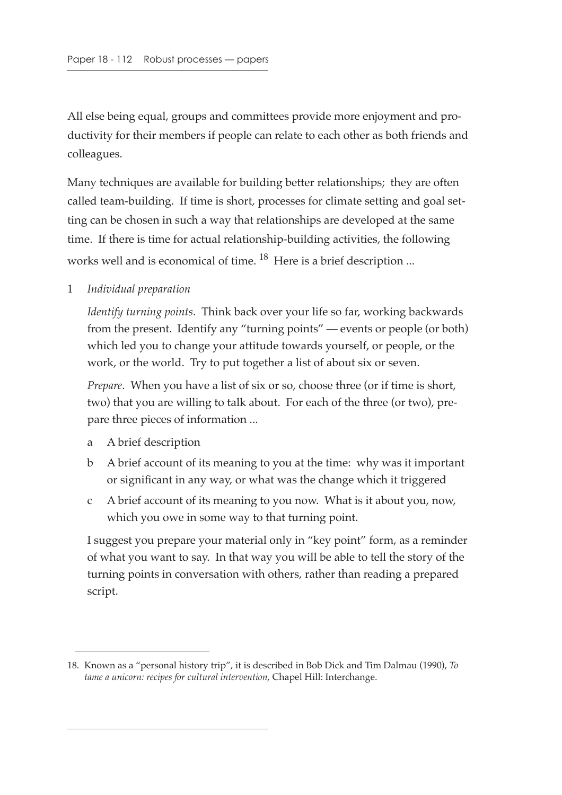All else being equal, groups and committees provide more enjoyment and productivity for their members if people can relate to each other as both friends and colleagues.

Many techniques are available for building better relationships; they are often called team-building. If time is short, processes for climate setting and goal setting can be chosen in such a way that relationships are developed at the same time. If there is time for actual relationship-building activities, the following works well and is economical of time. <sup>18</sup> Here is a brief description ...

1 *Individual preparation*

*Identify turning points*. Think back over your life so far, working backwards from the present. Identify any "turning points" — events or people (or both) which led you to change your attitude towards yourself, or people, or the work, or the world. Try to put together a list of about six or seven.

*Prepare.* When you have a list of six or so, choose three (or if time is short, two) that you are willing to talk about. For each of the three (or two), prepare three pieces of information ...

- a A brief description
- b A brief account of its meaning to you at the time: why was it important or significant in any way, or what was the change which it triggered
- c A brief account of its meaning to you now. What is it about you, now, which you owe in some way to that turning point.

I suggest you prepare your material only in "key point" form, as a reminder of what you want to say. In that way you will be able to tell the story of the turning points in conversation with others, rather than reading a prepared script.

<sup>18.</sup> Known as a "personal history trip", it is described in Bob Dick and Tim Dalmau (1990), *To tame a unicorn: recipes for cultural intervention*, Chapel Hill: Interchange.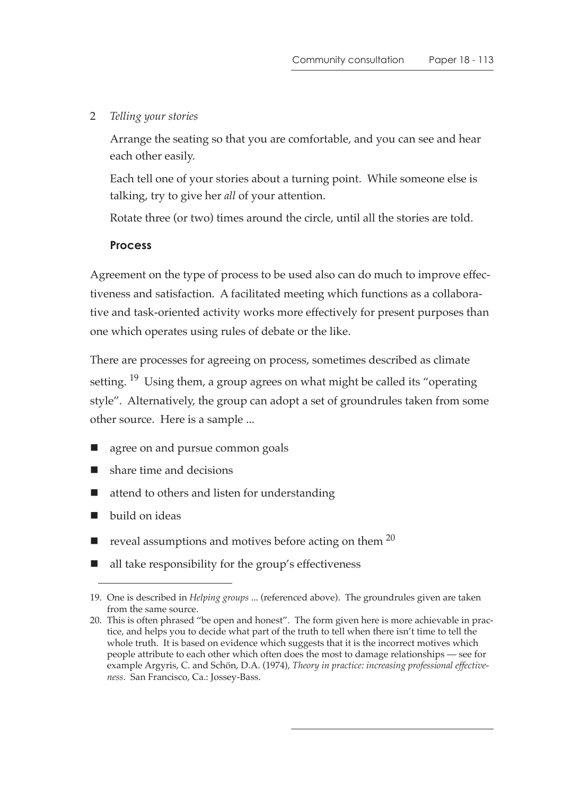2 *Telling your stories*

Arrange the seating so that you are comfortable, and you can see and hear each other easily.

Each tell one of your stories about a turning point. While someone else is talking, try to give her *all* of your attention.

Rotate three (or two) times around the circle, until all the stories are told.

#### **Process**

Agreement on the type of process to be used also can do much to improve effectiveness and satisfaction. A facilitated meeting which functions as a collaborative and task-oriented activity works more effectively for present purposes than one which operates using rules of debate or the like.

There are processes for agreeing on process, sometimes described as climate setting. <sup>19</sup> Using them, a group agrees on what might be called its "operating style". Alternatively, the group can adopt a set of groundrules taken from some other source. Here is a sample ...

- agree on and pursue common goals
- share time and decisions
- $\blacksquare$  attend to others and listen for understanding
- **D** build on ideas
- **reveal assumptions and motives before acting on them**  $20$
- all take responsibility for the group's effectiveness

<sup>19.</sup> One is described in *Helping groups* ... (referenced above). The groundrules given are taken from the same source.

<sup>20.</sup> This is often phrased "be open and honest". The form given here is more achievable in practice, and helps you to decide what part of the truth to tell when there isn't time to tell the whole truth. It is based on evidence which suggests that it is the incorrect motives which people attribute to each other which often does the most to damage relationships — see for example Argyris, C. and Schön, D.A. (1974), *Theory in practice: increasing professional effectiveness*. San Francisco, Ca.: Jossey-Bass.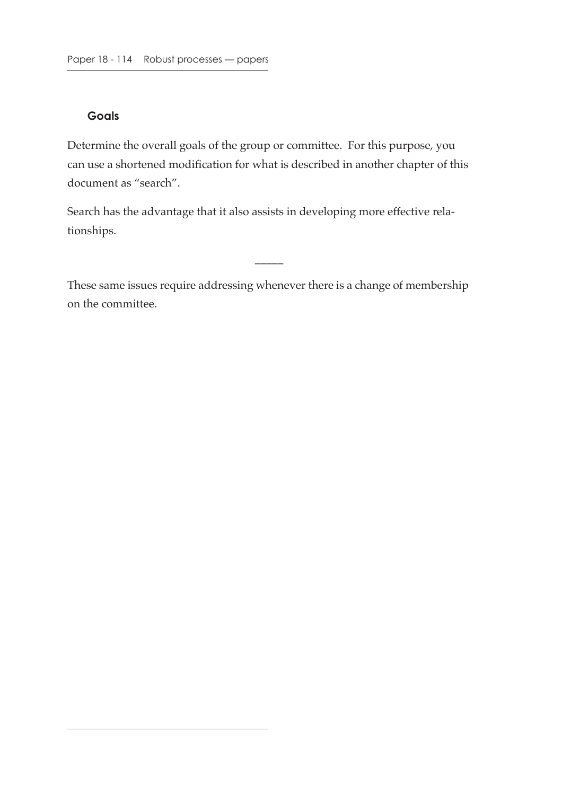#### **Goals**

Determine the overall goals of the group or committee. For this purpose, you can use a shortened modification for what is described in another chapter of this document as "search".

Search has the advantage that it also assists in developing more effective relationships.

These same issues require addressing whenever there is a change of membership on the committee.

 $\overline{\phantom{a}}$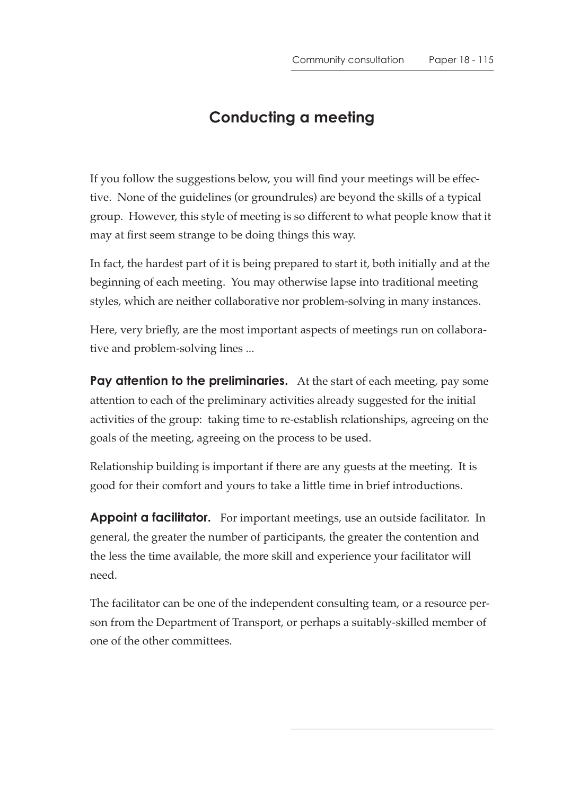# **Conducting a meeting**

If you follow the suggestions below, you will find your meetings will be effective. None of the guidelines (or groundrules) are beyond the skills of a typical group. However, this style of meeting is so different to what people know that it may at first seem strange to be doing things this way.

In fact, the hardest part of it is being prepared to start it, both initially and at the beginning of each meeting. You may otherwise lapse into traditional meeting styles, which are neither collaborative nor problem-solving in many instances.

Here, very briefly, are the most important aspects of meetings run on collaborative and problem-solving lines ...

**Pay attention to the preliminaries.** At the start of each meeting, pay some attention to each of the preliminary activities already suggested for the initial activities of the group: taking time to re-establish relationships, agreeing on the goals of the meeting, agreeing on the process to be used.

Relationship building is important if there are any guests at the meeting. It is good for their comfort and yours to take a little time in brief introductions.

**Appoint a facilitator.** For important meetings, use an outside facilitator. In general, the greater the number of participants, the greater the contention and the less the time available, the more skill and experience your facilitator will need.

The facilitator can be one of the independent consulting team, or a resource person from the Department of Transport, or perhaps a suitably-skilled member of one of the other committees.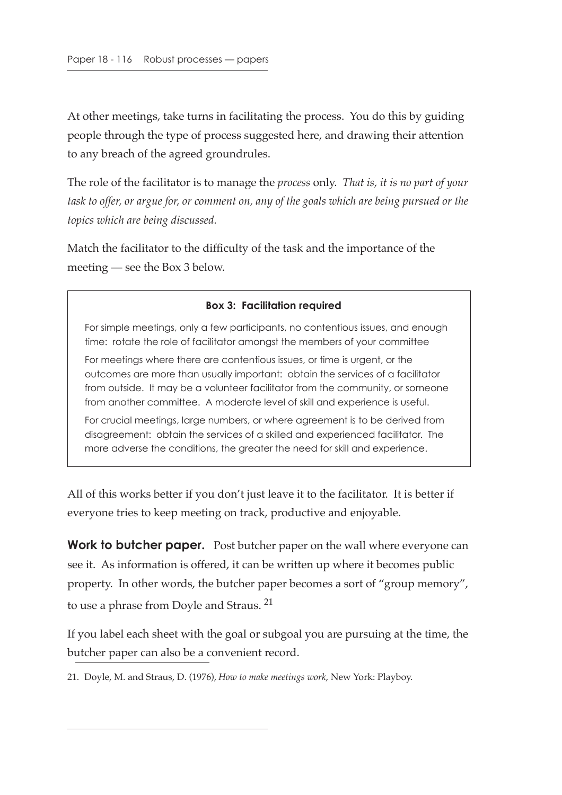At other meetings, take turns in facilitating the process. You do this by guiding people through the type of process suggested here, and drawing their attention to any breach of the agreed groundrules.

The role of the facilitator is to manage the *process* only. *That is, it is no part of your task to offer, or argue for, or comment on, any of the goals which are being pursued or the topics which are being discussed.*

Match the facilitator to the difficulty of the task and the importance of the meeting — see the Box 3 below.

#### **Box 3: Facilitation required**

For simple meetings, only a few participants, no contentious issues, and enough time: rotate the role of facilitator amongst the members of your committee

For meetings where there are contentious issues, or time is urgent, or the outcomes are more than usually important: obtain the services of a facilitator from outside. It may be a volunteer facilitator from the community, or someone from another committee. A moderate level of skill and experience is useful.

For crucial meetings, large numbers, or where agreement is to be derived from disagreement: obtain the services of a skilled and experienced facilitator. The more adverse the conditions, the greater the need for skill and experience.

All of this works better if you don't just leave it to the facilitator. It is better if everyone tries to keep meeting on track, productive and enjoyable.

**Work to butcher paper.** Post butcher paper on the wall where everyone can see it. As information is offered, it can be written up where it becomes public property. In other words, the butcher paper becomes a sort of "group memory", to use a phrase from Doyle and Straus. 21

If you label each sheet with the goal or subgoal you are pursuing at the time, the butcher paper can also be a convenient record.

21. Doyle, M. and Straus, D. (1976), *How to make meetings work*, New York: Playboy.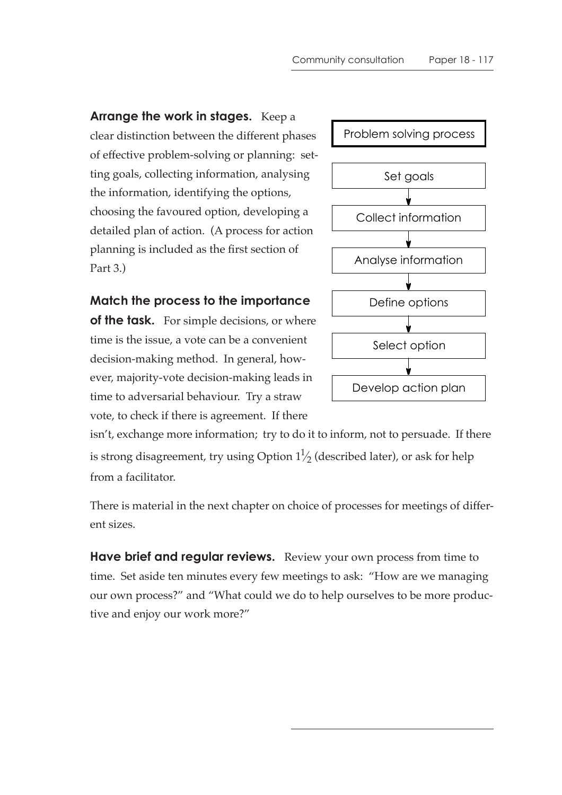**Arrange the work in stages.** Keep a clear distinction between the different phases of effective problem-solving or planning: setting goals, collecting information, analysing the information, identifying the options, choosing the favoured option, developing a detailed plan of action. (A process for action planning is included as the first section of Part 3.)

### **Match the process to the importance**

**of the task.** For simple decisions, or where time is the issue, a vote can be a convenient decision-making method. In general, however, majority-vote decision-making leads in time to adversarial behaviour. Try a straw vote, to check if there is agreement. If there



isn't, exchange more information; try to do it to inform, not to persuade. If there is strong disagreement, try using Option  $1\frac{1}{2}$  (described later), or ask for help from a facilitator.

There is material in the next chapter on choice of processes for meetings of different sizes.

**Have brief and regular reviews.** Review your own process from time to time. Set aside ten minutes every few meetings to ask: "How are we managing our own process?" and "What could we do to help ourselves to be more productive and enjoy our work more?"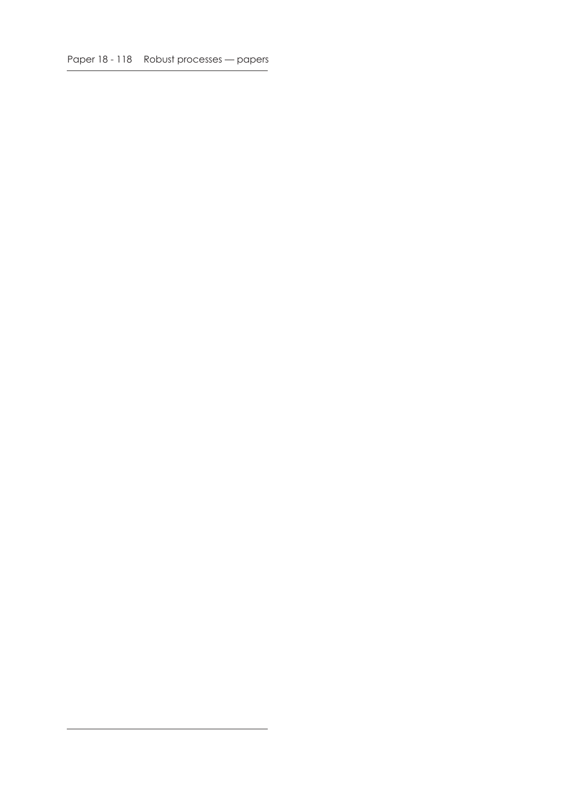Paper 18 - 118 Robust processes — papers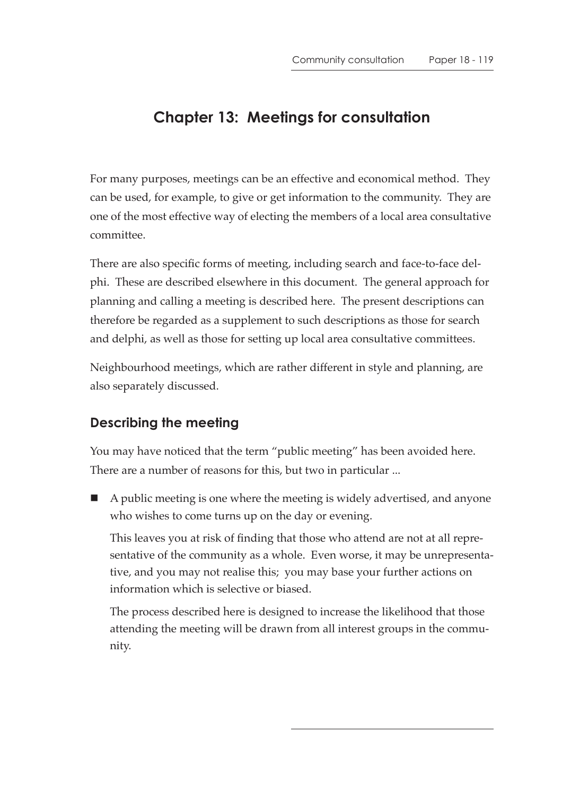## **Chapter 13: Meetings for consultation**

For many purposes, meetings can be an effective and economical method. They can be used, for example, to give or get information to the community. They are one of the most effective way of electing the members of a local area consultative committee.

There are also specific forms of meeting, including search and face-to-face delphi. These are described elsewhere in this document. The general approach for planning and calling a meeting is described here. The present descriptions can therefore be regarded as a supplement to such descriptions as those for search and delphi, as well as those for setting up local area consultative committees.

Neighbourhood meetings, which are rather different in style and planning, are also separately discussed.

### **Describing the meeting**

You may have noticed that the term "public meeting" has been avoided here. There are a number of reasons for this, but two in particular ...

■ A public meeting is one where the meeting is widely advertised, and anyone who wishes to come turns up on the day or evening.

This leaves you at risk of finding that those who attend are not at all representative of the community as a whole. Even worse, it may be unrepresentative, and you may not realise this; you may base your further actions on information which is selective or biased.

The process described here is designed to increase the likelihood that those attending the meeting will be drawn from all interest groups in the community.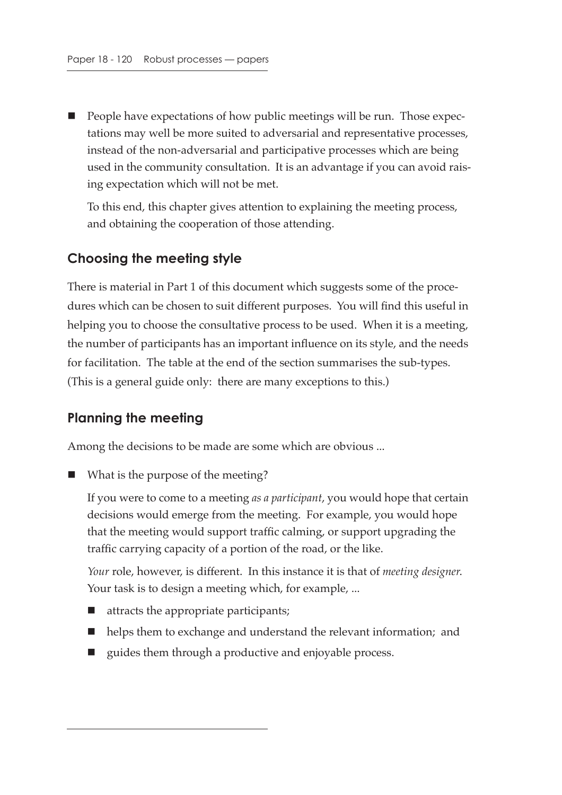People have expectations of how public meetings will be run. Those expectations may well be more suited to adversarial and representative processes, instead of the non-adversarial and participative processes which are being used in the community consultation. It is an advantage if you can avoid raising expectation which will not be met.

To this end, this chapter gives attention to explaining the meeting process, and obtaining the cooperation of those attending.

#### **Choosing the meeting style**

There is material in Part 1 of this document which suggests some of the procedures which can be chosen to suit different purposes. You will find this useful in helping you to choose the consultative process to be used. When it is a meeting, the number of participants has an important influence on its style, and the needs for facilitation. The table at the end of the section summarises the sub-types. (This is a general guide only: there are many exceptions to this.)

### **Planning the meeting**

Among the decisions to be made are some which are obvious ...

What is the purpose of the meeting?

If you were to come to a meeting *as a participant*, you would hope that certain decisions would emerge from the meeting. For example, you would hope that the meeting would support traffic calming, or support upgrading the traffic carrying capacity of a portion of the road, or the like.

*Your* role, however, is different. In this instance it is that of *meeting designer*. Your task is to design a meeting which, for example, ...

- attracts the appropriate participants;
- helps them to exchange and understand the relevant information; and
- guides them through a productive and enjoyable process.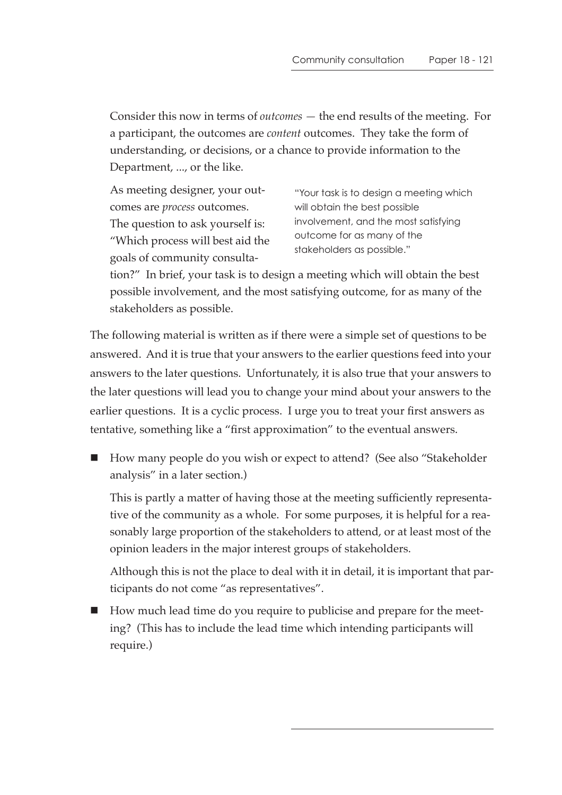Consider this now in terms of *outcomes —* the end results of the meeting. For a participant, the outcomes are *content* outcomes. They take the form of understanding, or decisions, or a chance to provide information to the Department, ..., or the like.

As meeting designer, your outcomes are *process* outcomes. The question to ask yourself is: "Which process will best aid the goals of community consulta-

"Your task is to design a meeting which will obtain the best possible involvement, and the most satisfying outcome for as many of the stakeholders as possible."

tion?" In brief, your task is to design a meeting which will obtain the best possible involvement, and the most satisfying outcome, for as many of the stakeholders as possible.

The following material is written as if there were a simple set of questions to be answered. And it is true that your answers to the earlier questions feed into your answers to the later questions. Unfortunately, it is also true that your answers to the later questions will lead you to change your mind about your answers to the earlier questions. It is a cyclic process. I urge you to treat your first answers as tentative, something like a "first approximation" to the eventual answers.

 How many people do you wish or expect to attend? (See also "Stakeholder analysis" in a later section.)

This is partly a matter of having those at the meeting sufficiently representative of the community as a whole. For some purposes, it is helpful for a reasonably large proportion of the stakeholders to attend, or at least most of the opinion leaders in the major interest groups of stakeholders.

Although this is not the place to deal with it in detail, it is important that participants do not come "as representatives".

 How much lead time do you require to publicise and prepare for the meeting? (This has to include the lead time which intending participants will require.)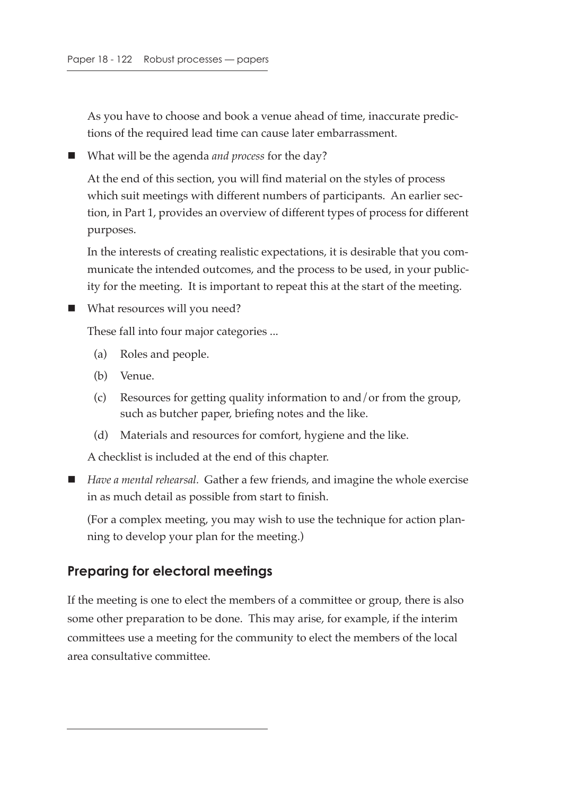As you have to choose and book a venue ahead of time, inaccurate predictions of the required lead time can cause later embarrassment.

■ What will be the agenda *and process* for the day?

At the end of this section, you will find material on the styles of process which suit meetings with different numbers of participants. An earlier section, in Part 1, provides an overview of different types of process for different purposes.

In the interests of creating realistic expectations, it is desirable that you communicate the intended outcomes, and the process to be used, in your publicity for the meeting. It is important to repeat this at the start of the meeting.

■ What resources will you need?

These fall into four major categories ...

- (a) Roles and people.
- (b) Venue.
- (c) Resources for getting quality information to and/or from the group, such as butcher paper, briefing notes and the like.
- (d) Materials and resources for comfort, hygiene and the like.

A checklist is included at the end of this chapter.

■ *Have a mental rehearsal.* Gather a few friends, and imagine the whole exercise in as much detail as possible from start to finish.

(For a complex meeting, you may wish to use the technique for action planning to develop your plan for the meeting.)

#### **Preparing for electoral meetings**

If the meeting is one to elect the members of a committee or group, there is also some other preparation to be done. This may arise, for example, if the interim committees use a meeting for the community to elect the members of the local area consultative committee.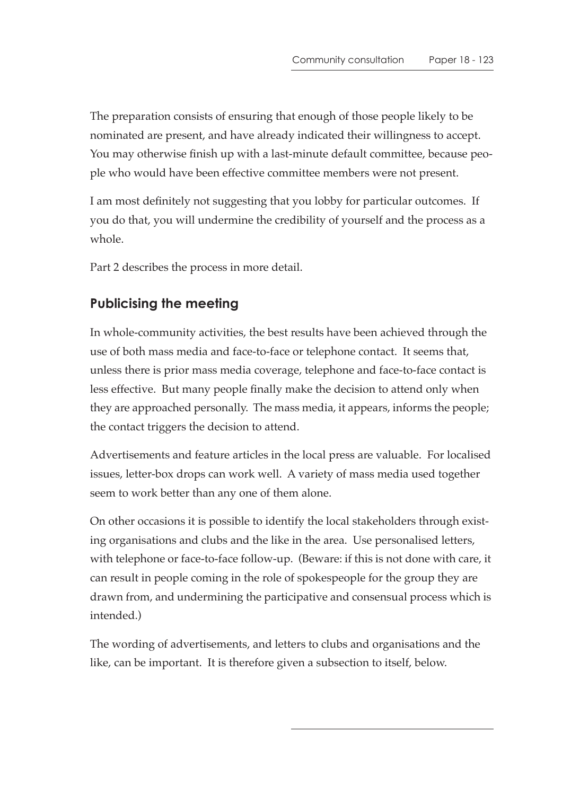The preparation consists of ensuring that enough of those people likely to be nominated are present, and have already indicated their willingness to accept. You may otherwise finish up with a last-minute default committee, because people who would have been effective committee members were not present.

I am most definitely not suggesting that you lobby for particular outcomes. If you do that, you will undermine the credibility of yourself and the process as a whole.

Part 2 describes the process in more detail.

## **Publicising the meeting**

In whole-community activities, the best results have been achieved through the use of both mass media and face-to-face or telephone contact. It seems that, unless there is prior mass media coverage, telephone and face-to-face contact is less effective. But many people finally make the decision to attend only when they are approached personally. The mass media, it appears, informs the people; the contact triggers the decision to attend.

Advertisements and feature articles in the local press are valuable. For localised issues, letter-box drops can work well. A variety of mass media used together seem to work better than any one of them alone.

On other occasions it is possible to identify the local stakeholders through existing organisations and clubs and the like in the area. Use personalised letters, with telephone or face-to-face follow-up. (Beware: if this is not done with care, it can result in people coming in the role of spokespeople for the group they are drawn from, and undermining the participative and consensual process which is intended.)

The wording of advertisements, and letters to clubs and organisations and the like, can be important. It is therefore given a subsection to itself, below.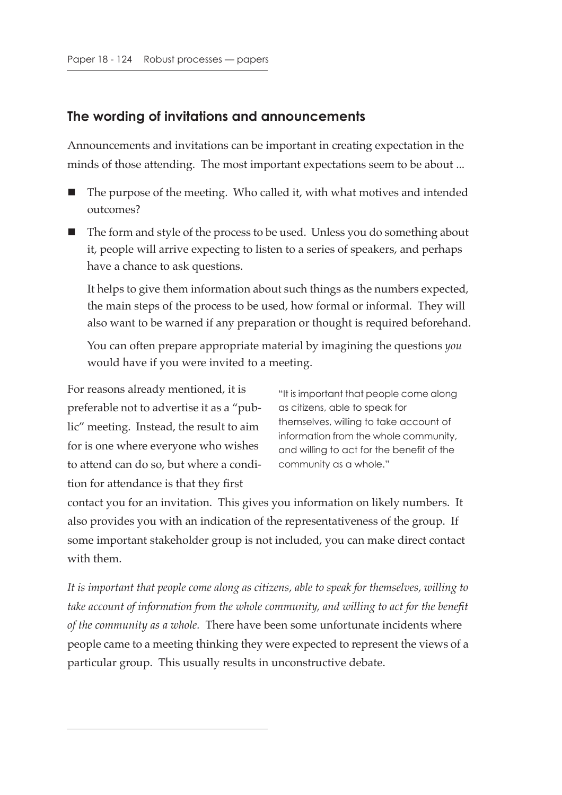#### **The wording of invitations and announcements**

Announcements and invitations can be important in creating expectation in the minds of those attending. The most important expectations seem to be about ...

- $\blacksquare$  The purpose of the meeting. Who called it, with what motives and intended outcomes?
- The form and style of the process to be used. Unless you do something about it, people will arrive expecting to listen to a series of speakers, and perhaps have a chance to ask questions.

It helps to give them information about such things as the numbers expected, the main steps of the process to be used, how formal or informal. They will also want to be warned if any preparation or thought is required beforehand.

You can often prepare appropriate material by imagining the questions *you* would have if you were invited to a meeting.

For reasons already mentioned, it is preferable not to advertise it as a "public" meeting. Instead, the result to aim for is one where everyone who wishes to attend can do so, but where a condition for attendance is that they first

"It is important that people come along as citizens, able to speak for themselves, willing to take account of information from the whole community, and willing to act for the benefit of the community as a whole."

contact you for an invitation. This gives you information on likely numbers. It also provides you with an indication of the representativeness of the group. If some important stakeholder group is not included, you can make direct contact with them.

*It is important that people come along as citizens, able to speak for themselves, willing to take account of information from the whole community, and willing to act for the benefit of the community as a whole.*There have been some unfortunate incidents where people came to a meeting thinking they were expected to represent the views of a particular group. This usually results in unconstructive debate.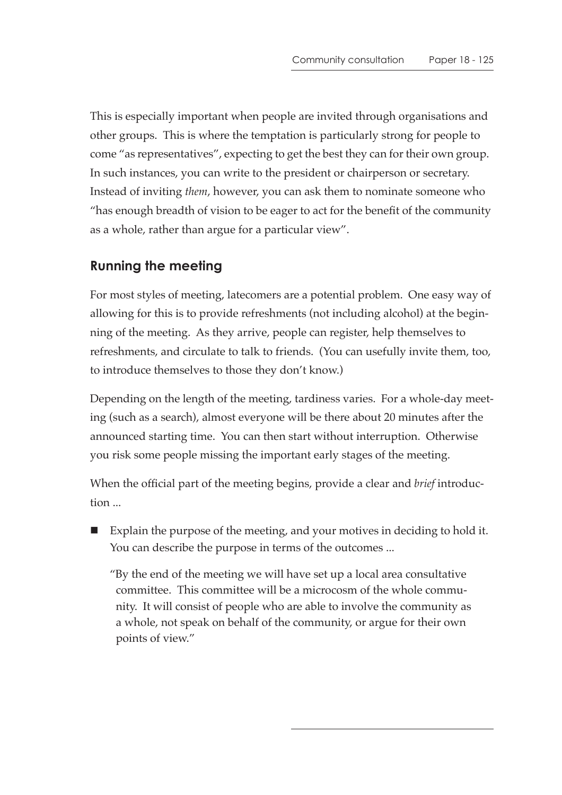This is especially important when people are invited through organisations and other groups. This is where the temptation is particularly strong for people to come "as representatives", expecting to get the best they can for their own group. In such instances, you can write to the president or chairperson or secretary. Instead of inviting *them*, however, you can ask them to nominate someone who "has enough breadth of vision to be eager to act for the benefit of the community as a whole, rather than argue for a particular view".

## **Running the meeting**

For most styles of meeting, latecomers are a potential problem. One easy way of allowing for this is to provide refreshments (not including alcohol) at the beginning of the meeting. As they arrive, people can register, help themselves to refreshments, and circulate to talk to friends. (You can usefully invite them, too, to introduce themselves to those they don't know.)

Depending on the length of the meeting, tardiness varies. For a whole-day meeting (such as a search), almost everyone will be there about 20 minutes after the announced starting time. You can then start without interruption. Otherwise you risk some people missing the important early stages of the meeting.

When the official part of the meeting begins, provide a clear and *brief* introduction ...

■ Explain the purpose of the meeting, and your motives in deciding to hold it. You can describe the purpose in terms of the outcomes ...

"By the end of the meeting we will have set up a local area consultative committee. This committee will be a microcosm of the whole community. It will consist of people who are able to involve the community as a whole, not speak on behalf of the community, or argue for their own points of view."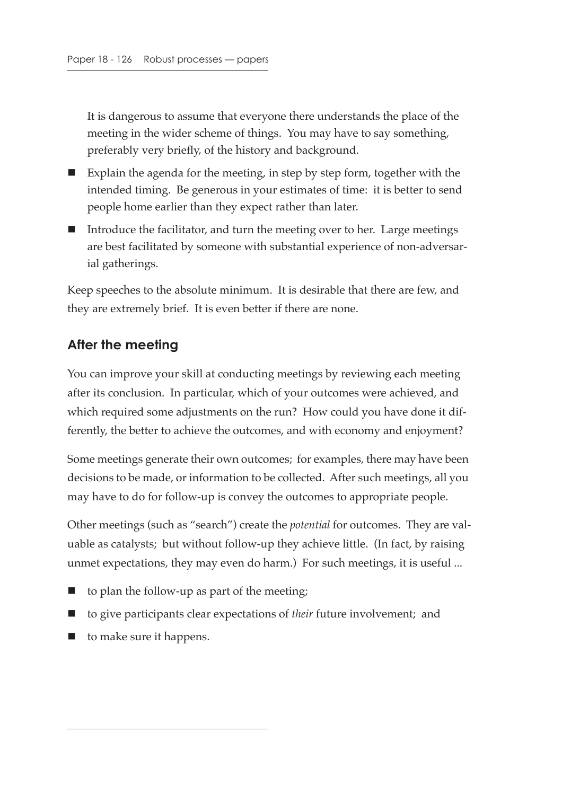It is dangerous to assume that everyone there understands the place of the meeting in the wider scheme of things. You may have to say something, preferably very briefly, of the history and background.

- Explain the agenda for the meeting, in step by step form, together with the intended timing. Be generous in your estimates of time: it is better to send people home earlier than they expect rather than later.
- Introduce the facilitator, and turn the meeting over to her. Large meetings are best facilitated by someone with substantial experience of non-adversarial gatherings.

Keep speeches to the absolute minimum. It is desirable that there are few, and they are extremely brief. It is even better if there are none.

### **After the meeting**

You can improve your skill at conducting meetings by reviewing each meeting after its conclusion. In particular, which of your outcomes were achieved, and which required some adjustments on the run? How could you have done it differently, the better to achieve the outcomes, and with economy and enjoyment?

Some meetings generate their own outcomes; for examples, there may have been decisions to be made, or information to be collected. After such meetings, all you may have to do for follow-up is convey the outcomes to appropriate people.

Other meetings (such as "search") create the *potential* for outcomes. They are valuable as catalysts; but without follow-up they achieve little. (In fact, by raising unmet expectations, they may even do harm.) For such meetings, it is useful ...

- to plan the follow-up as part of the meeting;
- to give participants clear expectations of *their* future involvement; and
- $\blacksquare$  to make sure it happens.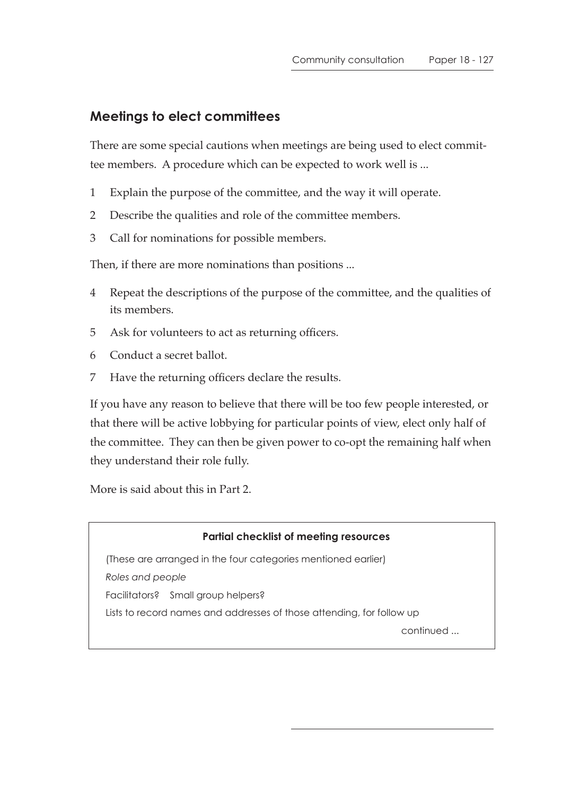## **Meetings to elect committees**

There are some special cautions when meetings are being used to elect committee members. A procedure which can be expected to work well is ...

- 1 Explain the purpose of the committee, and the way it will operate.
- 2 Describe the qualities and role of the committee members.
- 3 Call for nominations for possible members.

Then, if there are more nominations than positions ...

- 4 Repeat the descriptions of the purpose of the committee, and the qualities of its members.
- 5 Ask for volunteers to act as returning officers.
- 6 Conduct a secret ballot.
- 7 Have the returning officers declare the results.

If you have any reason to believe that there will be too few people interested, or that there will be active lobbying for particular points of view, elect only half of the committee. They can then be given power to co-opt the remaining half when they understand their role fully.

More is said about this in Part 2.

#### **Partial checklist of meeting resources**

(These are arranged in the four categories mentioned earlier)

*Roles and people*

Facilitators? Small group helpers?

Lists to record names and addresses of those attending, for follow up

continued ...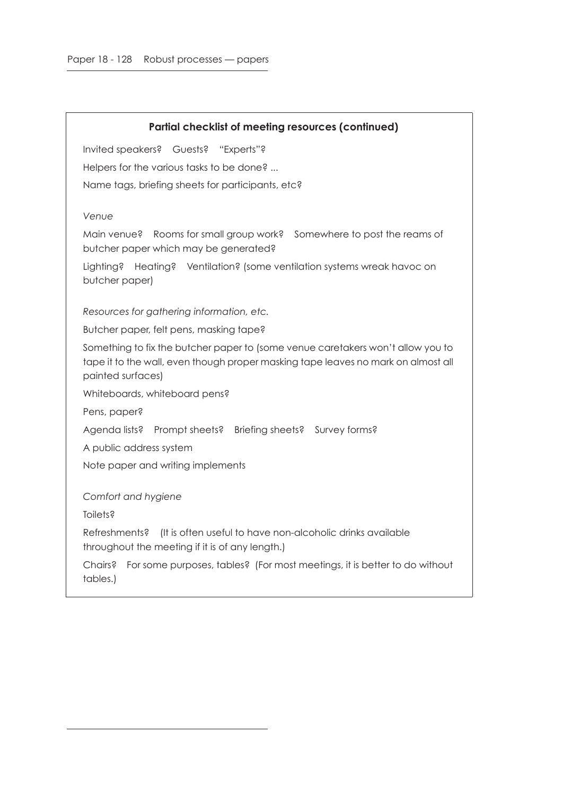$\overline{\phantom{a}}$ 

| <b>Partial checklist of meeting resources (continued)</b>                                                                                                                                 |
|-------------------------------------------------------------------------------------------------------------------------------------------------------------------------------------------|
|                                                                                                                                                                                           |
| Invited speakers? Guests?<br>"Experts"?                                                                                                                                                   |
| Helpers for the various tasks to be done?                                                                                                                                                 |
| Name tags, briefing sheets for participants, etc?                                                                                                                                         |
| Venue                                                                                                                                                                                     |
| Main venue?<br>Rooms for small group work?<br>Somewhere to post the reams of<br>butcher paper which may be generated?                                                                     |
| Lighting?<br>Heating? Ventilation? (some ventilation systems wreak havoc on<br>butcher paper)                                                                                             |
| Resources for gathering information, etc.                                                                                                                                                 |
| Butcher paper, felt pens, masking tape?                                                                                                                                                   |
| Something to fix the butcher paper to (some venue caretakers won't allow you to<br>tape it to the wall, even though proper masking tape leaves no mark on almost all<br>painted surfaces) |
| Whiteboards, whiteboard pens?                                                                                                                                                             |
| Pens, paper?                                                                                                                                                                              |
| Agenda lists?<br>Prompt sheets? Briefing sheets? Survey forms?                                                                                                                            |
| A public address system                                                                                                                                                                   |
| Note paper and writing implements                                                                                                                                                         |
|                                                                                                                                                                                           |
| Comfort and hygiene                                                                                                                                                                       |
| Toilets?                                                                                                                                                                                  |
| (It is often useful to have non-alcoholic drinks available<br>Refreshments?<br>throughout the meeting if it is of any length.)                                                            |
| Chairs?<br>For some purposes, tables? (For most meetings, it is better to do without<br>tables.)                                                                                          |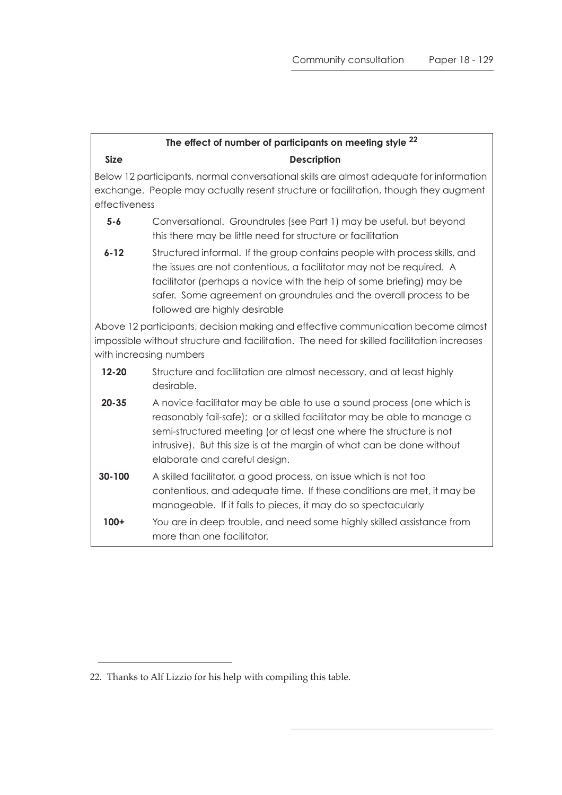| The effect of number of participants on meeting style <sup>22</sup>                                                                                                                                       |                                                                                                                                                                                                                                                                                                                                    |  |
|-----------------------------------------------------------------------------------------------------------------------------------------------------------------------------------------------------------|------------------------------------------------------------------------------------------------------------------------------------------------------------------------------------------------------------------------------------------------------------------------------------------------------------------------------------|--|
| <b>Size</b>                                                                                                                                                                                               | <b>Description</b>                                                                                                                                                                                                                                                                                                                 |  |
| Below 12 participants, normal conversational skills are almost adequate for information<br>exchange. People may actually resent structure or facilitation, though they augment<br>effectiveness           |                                                                                                                                                                                                                                                                                                                                    |  |
| $5 - 6$                                                                                                                                                                                                   | Conversational. Groundrules (see Part 1) may be useful, but beyond<br>this there may be little need for structure or facilitation                                                                                                                                                                                                  |  |
| $6 - 12$                                                                                                                                                                                                  | Structured informal. If the group contains people with process skills, and<br>the issues are not contentious, a facilitator may not be required. A<br>facilitator (perhaps a novice with the help of some briefing) may be<br>safer. Some agreement on groundrules and the overall process to be<br>followed are highly desirable  |  |
| Above 12 participants, decision making and effective communication become almost<br>impossible without structure and facilitation. The need for skilled facilitation increases<br>with increasing numbers |                                                                                                                                                                                                                                                                                                                                    |  |
| $12 - 20$                                                                                                                                                                                                 | Structure and facilitation are almost necessary, and at least highly<br>desirable.                                                                                                                                                                                                                                                 |  |
| $20 - 35$                                                                                                                                                                                                 | A novice facilitator may be able to use a sound process (one which is<br>reasonably fail-safe); or a skilled facilitator may be able to manage a<br>semi-structured meeting (or at least one where the structure is not<br>intrusive). But this size is at the margin of what can be done without<br>elaborate and careful design. |  |
| 30-100                                                                                                                                                                                                    | A skilled facilitator, a good process, an issue which is not too<br>contentious, and adequate time. If these conditions are met, it may be<br>manageable. If it falls to pieces, it may do so spectacularly                                                                                                                        |  |
| $100+$                                                                                                                                                                                                    | You are in deep trouble, and need some highly skilled assistance from<br>more than one facilitator.                                                                                                                                                                                                                                |  |

<sup>22.</sup> Thanks to Alf Lizzio for his help with compiling this table.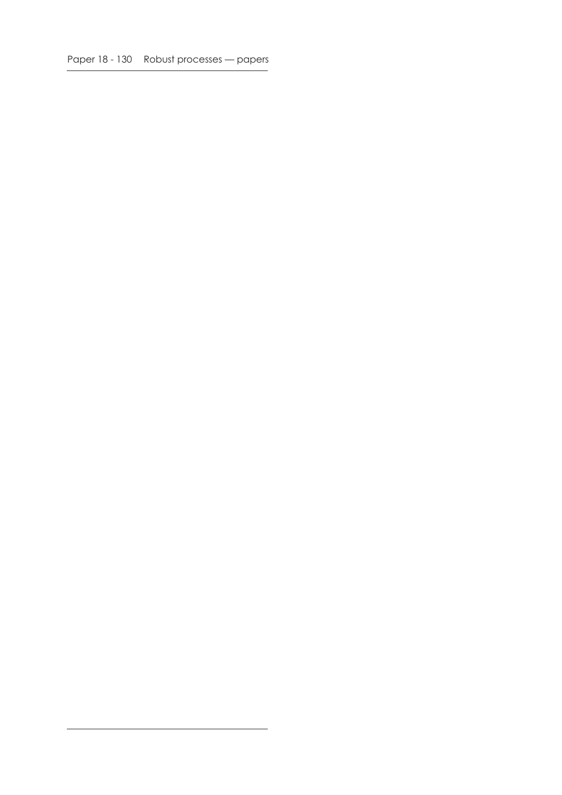Paper 18 - 130 Robust processes — papers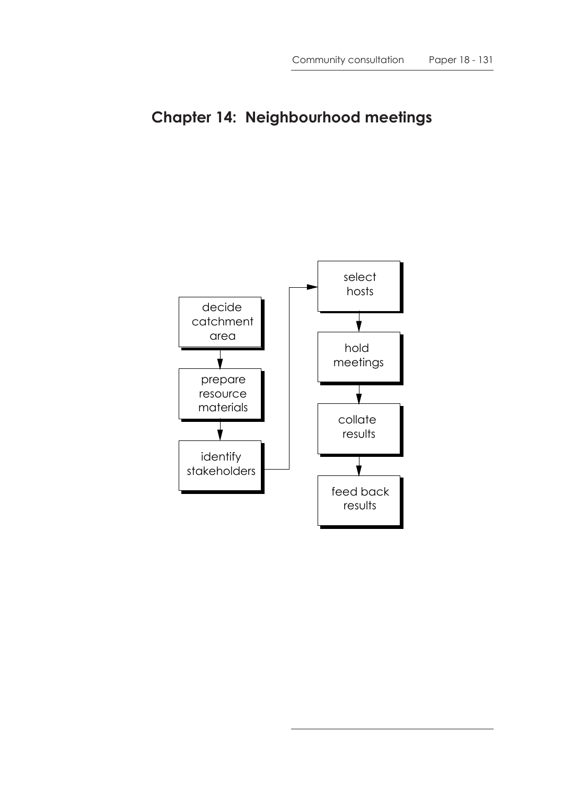# **Chapter 14: Neighbourhood meetings**

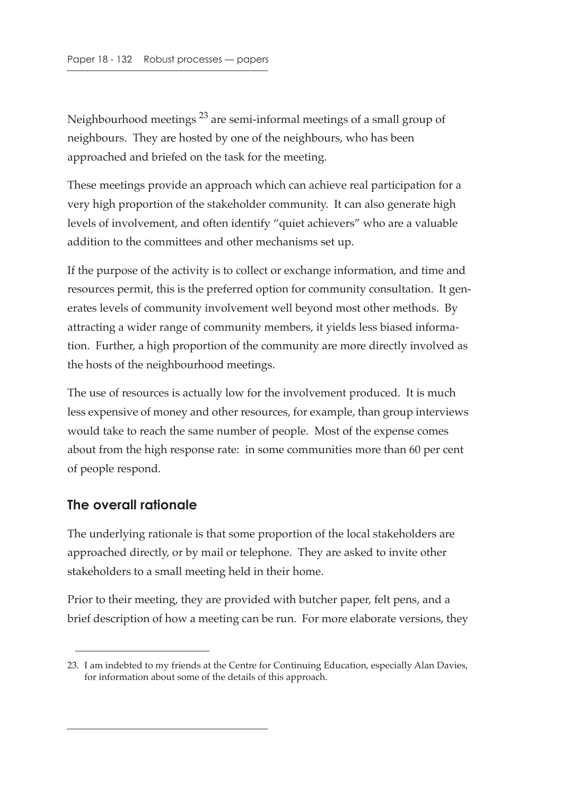Neighbourhood meetings 23 are semi-informal meetings of a small group of neighbours. They are hosted by one of the neighbours, who has been approached and briefed on the task for the meeting.

These meetings provide an approach which can achieve real participation for a very high proportion of the stakeholder community. It can also generate high levels of involvement, and often identify "quiet achievers" who are a valuable addition to the committees and other mechanisms set up.

If the purpose of the activity is to collect or exchange information, and time and resources permit, this is the preferred option for community consultation. It generates levels of community involvement well beyond most other methods. By attracting a wider range of community members, it yields less biased information. Further, a high proportion of the community are more directly involved as the hosts of the neighbourhood meetings.

The use of resources is actually low for the involvement produced. It is much less expensive of money and other resources, for example, than group interviews would take to reach the same number of people. Most of the expense comes about from the high response rate: in some communities more than 60 per cent of people respond.

## **The overall rationale**

The underlying rationale is that some proportion of the local stakeholders are approached directly, or by mail or telephone. They are asked to invite other stakeholders to a small meeting held in their home.

Prior to their meeting, they are provided with butcher paper, felt pens, and a brief description of how a meeting can be run. For more elaborate versions, they

<sup>23.</sup> I am indebted to my friends at the Centre for Continuing Education, especially Alan Davies, for information about some of the details of this approach.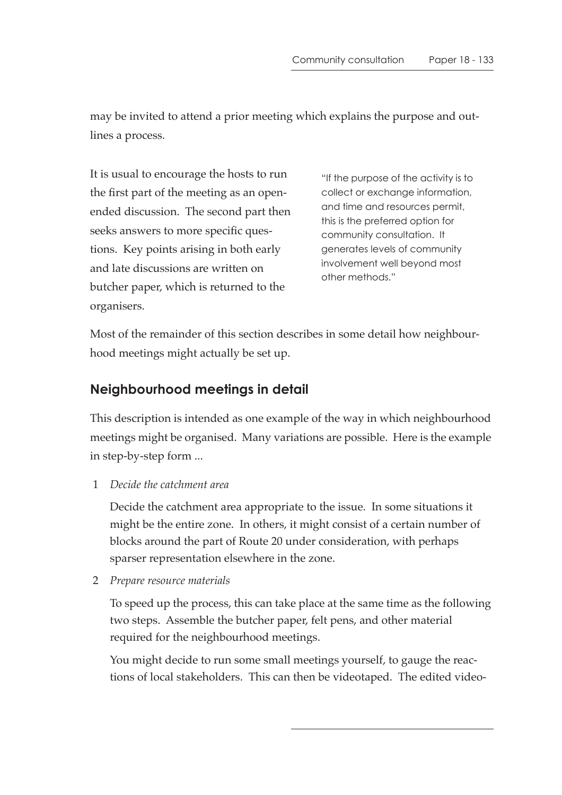may be invited to attend a prior meeting which explains the purpose and outlines a process.

It is usual to encourage the hosts to run the first part of the meeting as an openended discussion. The second part then seeks answers to more specific questions. Key points arising in both early and late discussions are written on butcher paper, which is returned to the organisers.

"If the purpose of the activity is to collect or exchange information, and time and resources permit, this is the preferred option for community consultation. It generates levels of community involvement well beyond most other methods."

Most of the remainder of this section describes in some detail how neighbourhood meetings might actually be set up.

## **Neighbourhood meetings in detail**

This description is intended as one example of the way in which neighbourhood meetings might be organised. Many variations are possible. Here is the example in step-by-step form ...

1 *Decide the catchment area*

Decide the catchment area appropriate to the issue. In some situations it might be the entire zone. In others, it might consist of a certain number of blocks around the part of Route 20 under consideration, with perhaps sparser representation elsewhere in the zone.

2 *Prepare resource materials*

To speed up the process, this can take place at the same time as the following two steps. Assemble the butcher paper, felt pens, and other material required for the neighbourhood meetings.

You might decide to run some small meetings yourself, to gauge the reactions of local stakeholders. This can then be videotaped. The edited video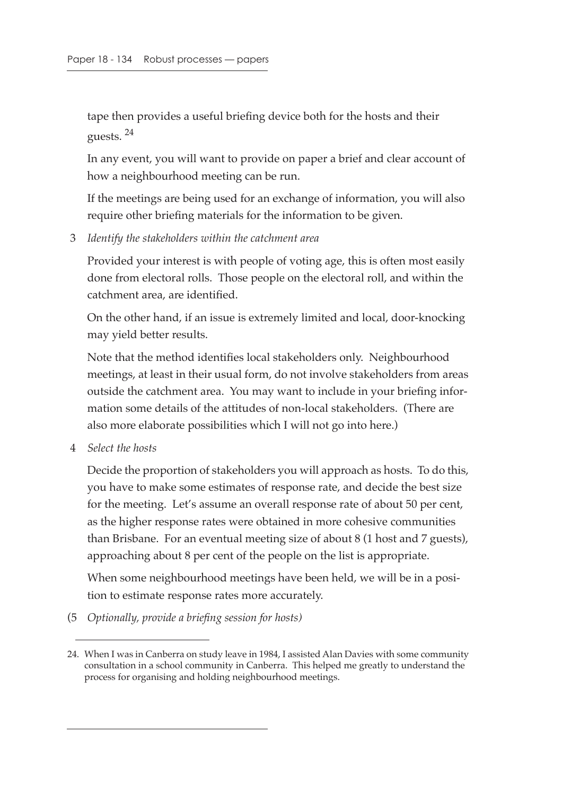tape then provides a useful briefing device both for the hosts and their guests. 24

In any event, you will want to provide on paper a brief and clear account of how a neighbourhood meeting can be run.

If the meetings are being used for an exchange of information, you will also require other briefing materials for the information to be given.

3 *Identify the stakeholders within the catchment area*

Provided your interest is with people of voting age, this is often most easily done from electoral rolls. Those people on the electoral roll, and within the catchment area, are identified.

On the other hand, if an issue is extremely limited and local, door-knocking may yield better results.

Note that the method identifies local stakeholders only. Neighbourhood meetings, at least in their usual form, do not involve stakeholders from areas outside the catchment area. You may want to include in your briefing information some details of the attitudes of non-local stakeholders. (There are also more elaborate possibilities which I will not go into here.)

4 *Select the hosts*

Decide the proportion of stakeholders you will approach as hosts. To do this, you have to make some estimates of response rate, and decide the best size for the meeting. Let's assume an overall response rate of about 50 per cent, as the higher response rates were obtained in more cohesive communities than Brisbane. For an eventual meeting size of about 8 (1 host and 7 guests), approaching about 8 per cent of the people on the list is appropriate.

When some neighbourhood meetings have been held, we will be in a position to estimate response rates more accurately.

(5 *Optionally, provide a briefing session for hosts)*

<sup>24.</sup> When I was in Canberra on study leave in 1984, I assisted Alan Davies with some community consultation in a school community in Canberra. This helped me greatly to understand the process for organising and holding neighbourhood meetings.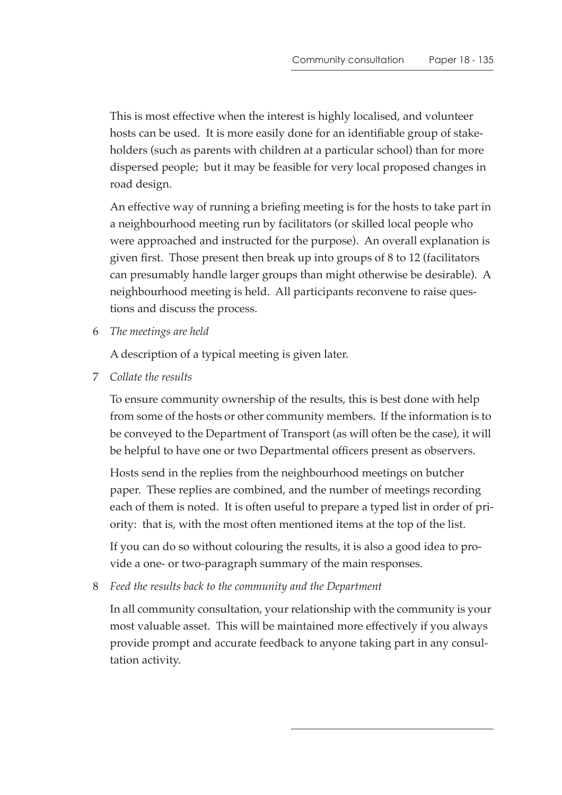This is most effective when the interest is highly localised, and volunteer hosts can be used. It is more easily done for an identifiable group of stakeholders (such as parents with children at a particular school) than for more dispersed people; but it may be feasible for very local proposed changes in road design.

An effective way of running a briefing meeting is for the hosts to take part in a neighbourhood meeting run by facilitators (or skilled local people who were approached and instructed for the purpose). An overall explanation is given first. Those present then break up into groups of 8 to 12 (facilitators can presumably handle larger groups than might otherwise be desirable). A neighbourhood meeting is held. All participants reconvene to raise questions and discuss the process.

6 *The meetings are held*

A description of a typical meeting is given later.

7 *Collate the results*

To ensure community ownership of the results, this is best done with help from some of the hosts or other community members. If the information is to be conveyed to the Department of Transport (as will often be the case), it will be helpful to have one or two Departmental officers present as observers.

Hosts send in the replies from the neighbourhood meetings on butcher paper. These replies are combined, and the number of meetings recording each of them is noted. It is often useful to prepare a typed list in order of priority: that is, with the most often mentioned items at the top of the list.

If you can do so without colouring the results, it is also a good idea to provide a one- or two-paragraph summary of the main responses.

8 *Feed the results back to the community and the Department*

In all community consultation, your relationship with the community is your most valuable asset. This will be maintained more effectively if you always provide prompt and accurate feedback to anyone taking part in any consultation activity.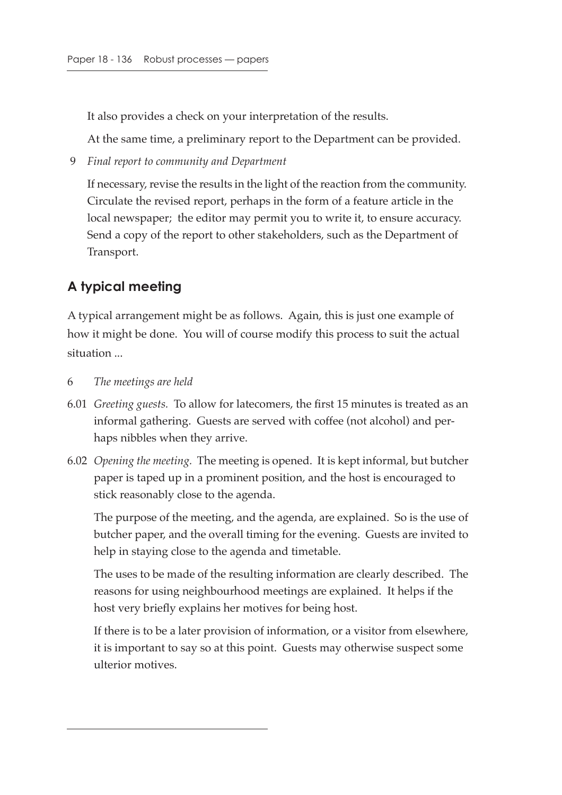It also provides a check on your interpretation of the results.

At the same time, a preliminary report to the Department can be provided.

9 *Final report to community and Department*

If necessary, revise the results in the light of the reaction from the community. Circulate the revised report, perhaps in the form of a feature article in the local newspaper; the editor may permit you to write it, to ensure accuracy. Send a copy of the report to other stakeholders, such as the Department of Transport.

## **A typical meeting**

A typical arrangement might be as follows. Again, this is just one example of how it might be done. You will of course modify this process to suit the actual situation ...

- 6 *The meetings are held*
- 6.01 *Greeting guests.* To allow for latecomers, the first 15 minutes is treated as an informal gathering. Guests are served with coffee (not alcohol) and perhaps nibbles when they arrive.
- 6.02 *Opening the meeting.* The meeting is opened. It is kept informal, but butcher paper is taped up in a prominent position, and the host is encouraged to stick reasonably close to the agenda.

The purpose of the meeting, and the agenda, are explained. So is the use of butcher paper, and the overall timing for the evening. Guests are invited to help in staying close to the agenda and timetable.

The uses to be made of the resulting information are clearly described. The reasons for using neighbourhood meetings are explained. It helps if the host very briefly explains her motives for being host.

If there is to be a later provision of information, or a visitor from elsewhere, it is important to say so at this point. Guests may otherwise suspect some ulterior motives.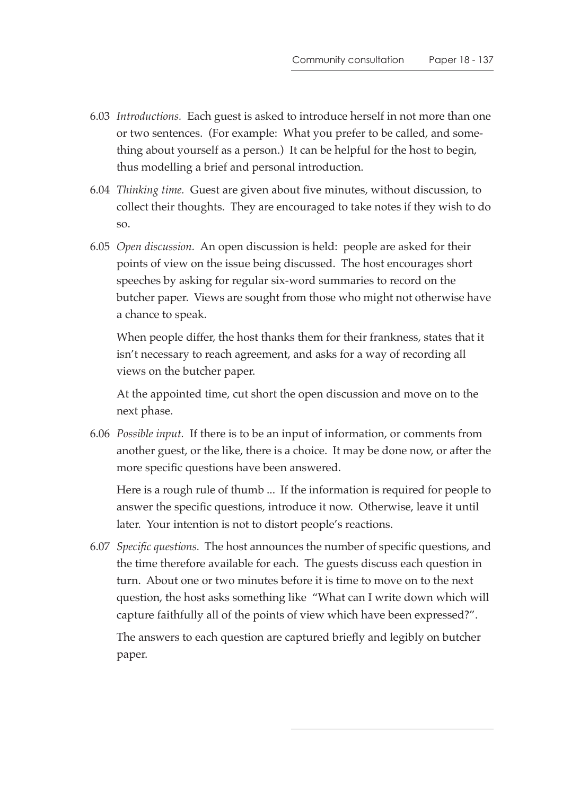- 6.03 *Introductions.* Each guest is asked to introduce herself in not more than one or two sentences. (For example: What you prefer to be called, and something about yourself as a person.) It can be helpful for the host to begin, thus modelling a brief and personal introduction.
- 6.04 *Thinking time.* Guest are given about five minutes, without discussion, to collect their thoughts. They are encouraged to take notes if they wish to do so.
- 6.05 *Open discussion.* An open discussion is held: people are asked for their points of view on the issue being discussed. The host encourages short speeches by asking for regular six-word summaries to record on the butcher paper. Views are sought from those who might not otherwise have a chance to speak.

When people differ, the host thanks them for their frankness, states that it isn't necessary to reach agreement, and asks for a way of recording all views on the butcher paper.

At the appointed time, cut short the open discussion and move on to the next phase.

6.06 *Possible input.* If there is to be an input of information, or comments from another guest, or the like, there is a choice. It may be done now, or after the more specific questions have been answered.

Here is a rough rule of thumb ... If the information is required for people to answer the specific questions, introduce it now. Otherwise, leave it until later. Your intention is not to distort people's reactions.

6.07 *Specific questions.* The host announces the number of specific questions, and the time therefore available for each. The guests discuss each question in turn. About one or two minutes before it is time to move on to the next question, the host asks something like "What can I write down which will capture faithfully all of the points of view which have been expressed?".

The answers to each question are captured briefly and legibly on butcher paper.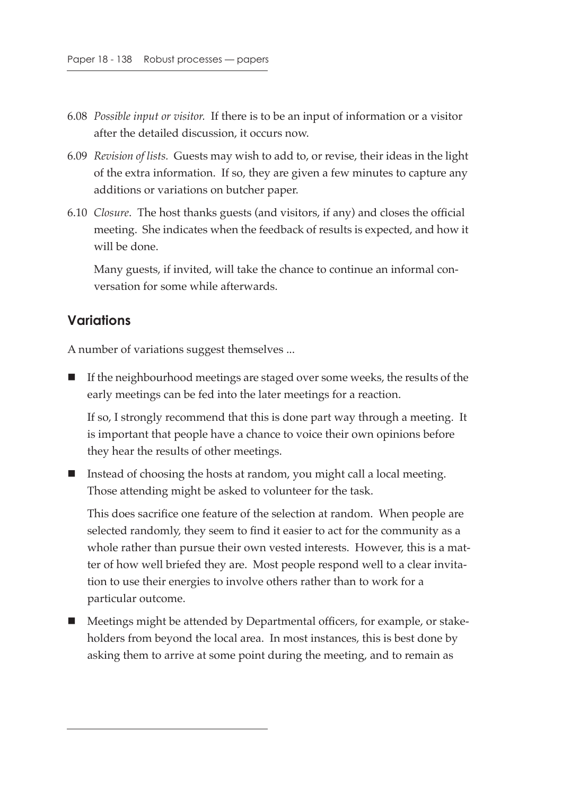- 6.08 *Possible input or visitor.* If there is to be an input of information or a visitor after the detailed discussion, it occurs now.
- 6.09 *Revision of lists.* Guests may wish to add to, or revise, their ideas in the light of the extra information. If so, they are given a few minutes to capture any additions or variations on butcher paper.
- 6.10 *Closure*. The host thanks guests (and visitors, if any) and closes the official meeting. She indicates when the feedback of results is expected, and how it will be done.

Many guests, if invited, will take the chance to continue an informal conversation for some while afterwards.

#### **Variations**

A number of variations suggest themselves ...

 If the neighbourhood meetings are staged over some weeks, the results of the early meetings can be fed into the later meetings for a reaction.

If so, I strongly recommend that this is done part way through a meeting. It is important that people have a chance to voice their own opinions before they hear the results of other meetings.

■ Instead of choosing the hosts at random, you might call a local meeting. Those attending might be asked to volunteer for the task.

This does sacrifice one feature of the selection at random. When people are selected randomly, they seem to find it easier to act for the community as a whole rather than pursue their own vested interests. However, this is a matter of how well briefed they are. Most people respond well to a clear invitation to use their energies to involve others rather than to work for a particular outcome.

■ Meetings might be attended by Departmental officers, for example, or stakeholders from beyond the local area. In most instances, this is best done by asking them to arrive at some point during the meeting, and to remain as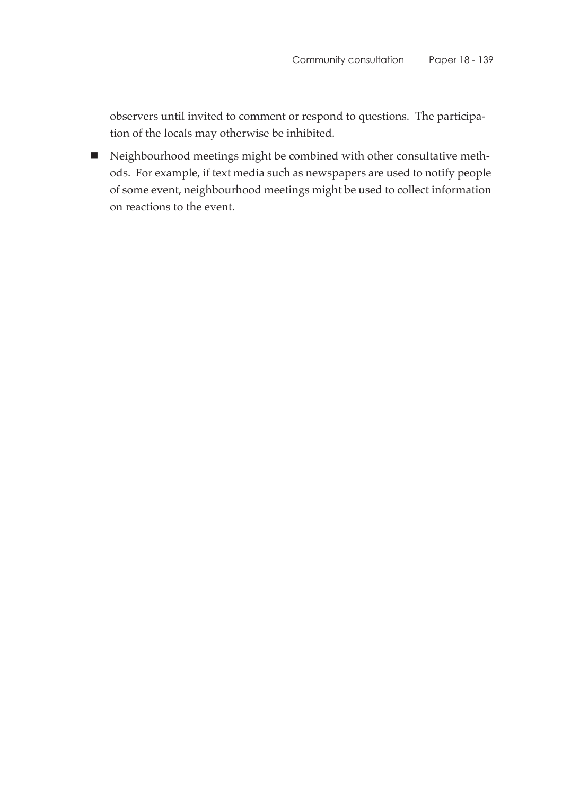observers until invited to comment or respond to questions. The participation of the locals may otherwise be inhibited.

■ Neighbourhood meetings might be combined with other consultative methods. For example, if text media such as newspapers are used to notify people of some event, neighbourhood meetings might be used to collect information on reactions to the event.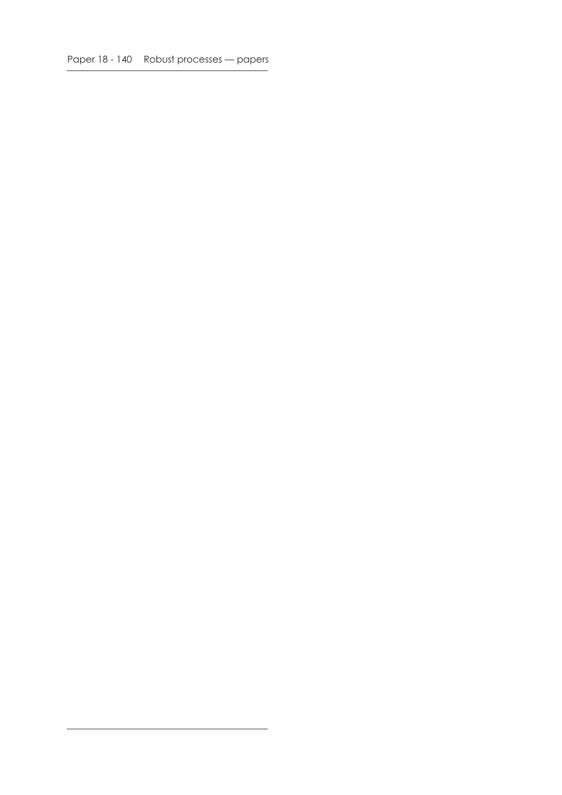Paper 18 - 140 Robust processes — papers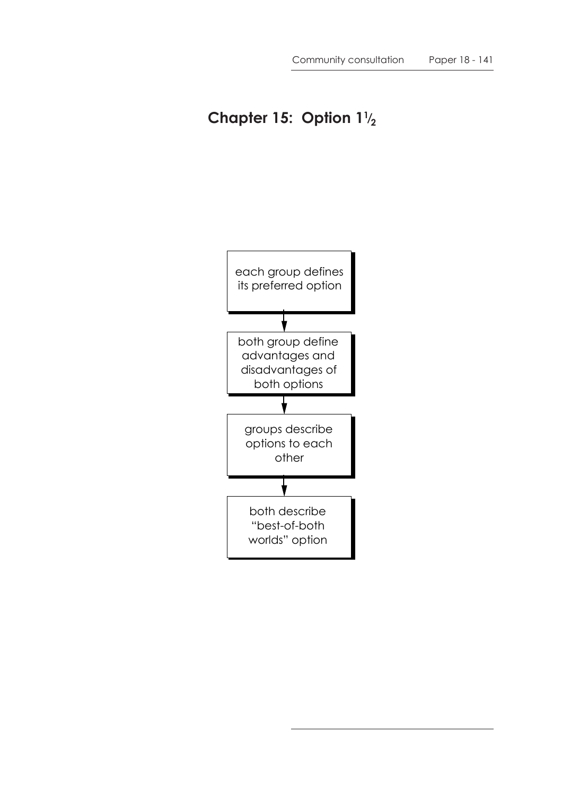# **Chapter 15: Option 11⁄ 2**

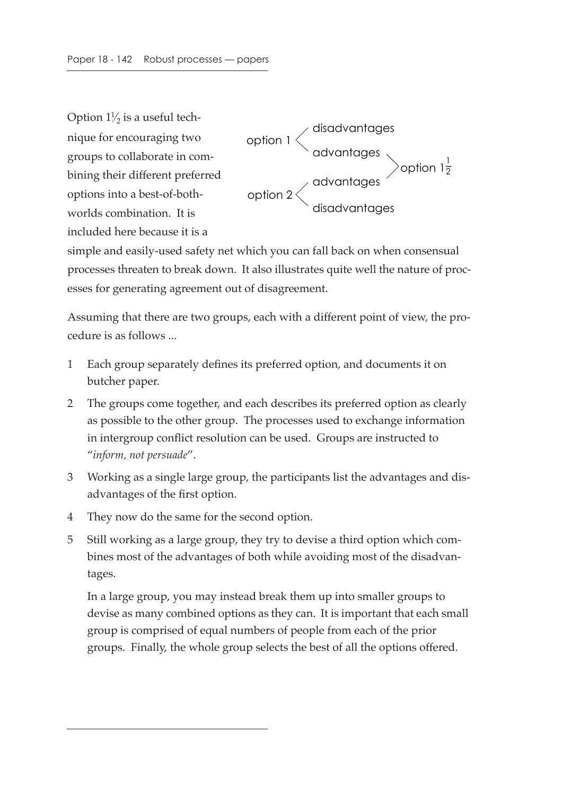Option  $1\frac{1}{2}$  is a useful technique for encouraging two groups to collaborate in combining their different preferred options into a best-of-bothworlds combination. It is included here because it is a option 1 option 2 advantages disadvantages advantages disadvantages option  $1\frac{1}{2}$  $\frac{1}{2}$ 

simple and easily-used safety net which you can fall back on when consensual processes threaten to break down. It also illustrates quite well the nature of processes for generating agreement out of disagreement.

Assuming that there are two groups, each with a different point of view, the procedure is as follows ...

- 1 Each group separately defines its preferred option, and documents it on butcher paper.
- 2 The groups come together, and each describes its preferred option as clearly as possible to the other group. The processes used to exchange information in intergroup conflict resolution can be used. Groups are instructed to "*inform, not persuade*".
- 3 Working as a single large group, the participants list the advantages and disadvantages of the first option.
- 4 They now do the same for the second option.
- 5 Still working as a large group, they try to devise a third option which combines most of the advantages of both while avoiding most of the disadvantages.

In a large group, you may instead break them up into smaller groups to devise as many combined options as they can. It is important that each small group is comprised of equal numbers of people from each of the prior groups. Finally, the whole group selects the best of all the options offered.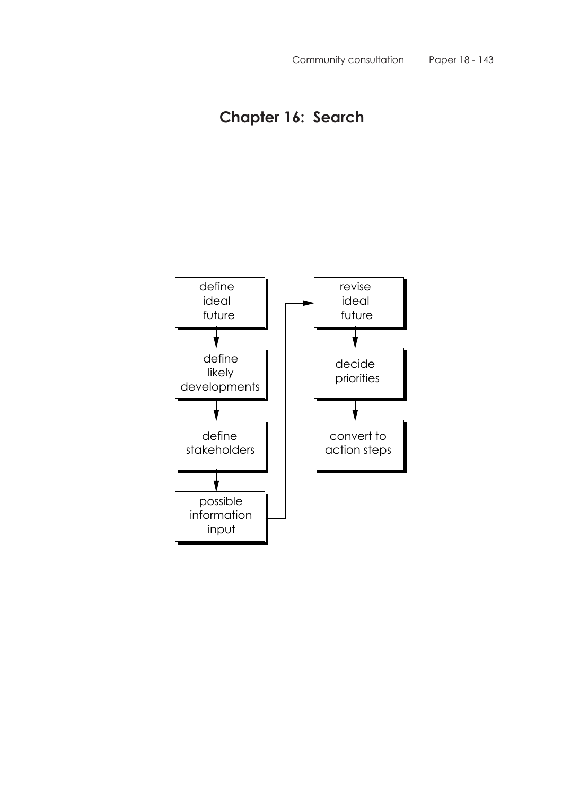# **Chapter 16: Search**

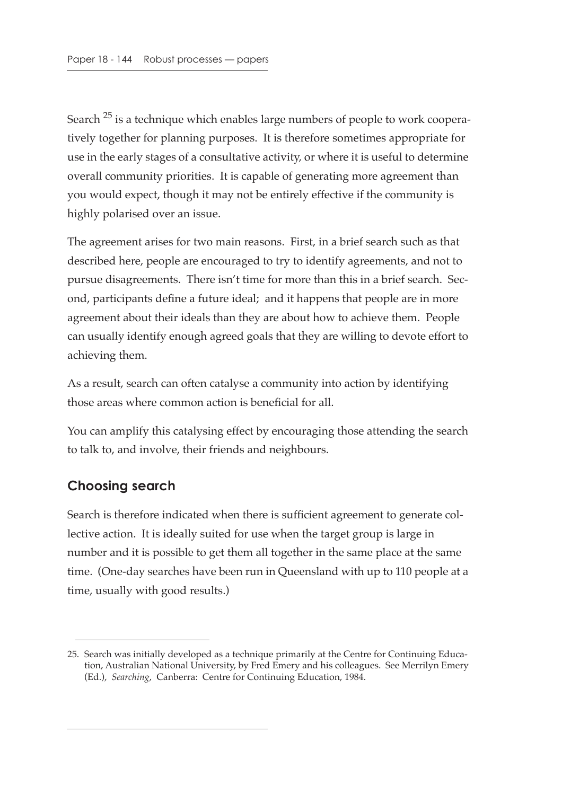Search <sup>25</sup> is a technique which enables large numbers of people to work cooperatively together for planning purposes. It is therefore sometimes appropriate for use in the early stages of a consultative activity, or where it is useful to determine overall community priorities. It is capable of generating more agreement than you would expect, though it may not be entirely effective if the community is highly polarised over an issue.

The agreement arises for two main reasons. First, in a brief search such as that described here, people are encouraged to try to identify agreements, and not to pursue disagreements. There isn't time for more than this in a brief search. Second, participants define a future ideal; and it happens that people are in more agreement about their ideals than they are about how to achieve them. People can usually identify enough agreed goals that they are willing to devote effort to achieving them.

As a result, search can often catalyse a community into action by identifying those areas where common action is beneficial for all.

You can amplify this catalysing effect by encouraging those attending the search to talk to, and involve, their friends and neighbours.

### **Choosing search**

Search is therefore indicated when there is sufficient agreement to generate collective action. It is ideally suited for use when the target group is large in number and it is possible to get them all together in the same place at the same time. (One-day searches have been run in Queensland with up to 110 people at a time, usually with good results.)

<sup>25.</sup> Search was initially developed as a technique primarily at the Centre for Continuing Education, Australian National University, by Fred Emery and his colleagues. See Merrilyn Emery (Ed.), *Searching*, Canberra: Centre for Continuing Education, 1984.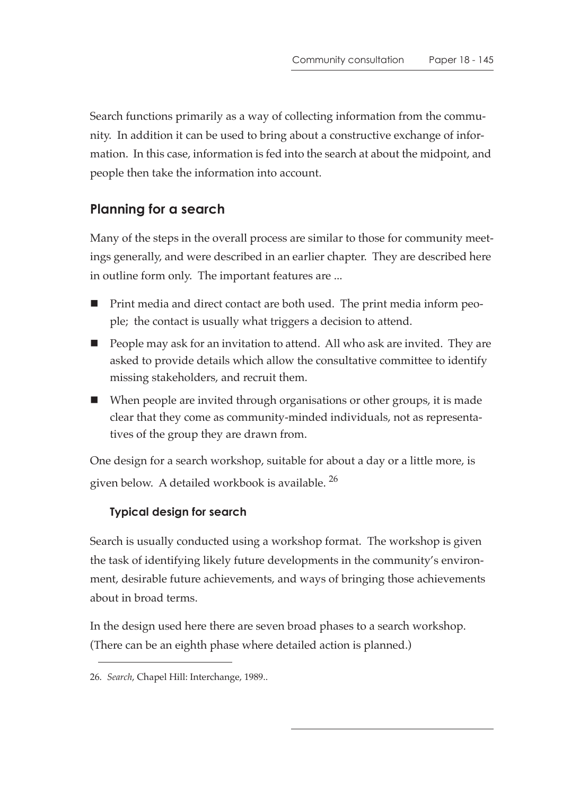Search functions primarily as a way of collecting information from the community. In addition it can be used to bring about a constructive exchange of information. In this case, information is fed into the search at about the midpoint, and people then take the information into account.

# **Planning for a search**

Many of the steps in the overall process are similar to those for community meetings generally, and were described in an earlier chapter. They are described here in outline form only. The important features are ...

- Print media and direct contact are both used. The print media inform people; the contact is usually what triggers a decision to attend.
- People may ask for an invitation to attend. All who ask are invited. They are asked to provide details which allow the consultative committee to identify missing stakeholders, and recruit them.
- $\blacksquare$  When people are invited through organisations or other groups, it is made clear that they come as community-minded individuals, not as representatives of the group they are drawn from.

One design for a search workshop, suitable for about a day or a little more, is given below. A detailed workbook is available. <sup>26</sup>

## **Typical design for search**

Search is usually conducted using a workshop format. The workshop is given the task of identifying likely future developments in the community's environment, desirable future achievements, and ways of bringing those achievements about in broad terms.

In the design used here there are seven broad phases to a search workshop. (There can be an eighth phase where detailed action is planned.)

<sup>26.</sup> *Search*, Chapel Hill: Interchange, 1989..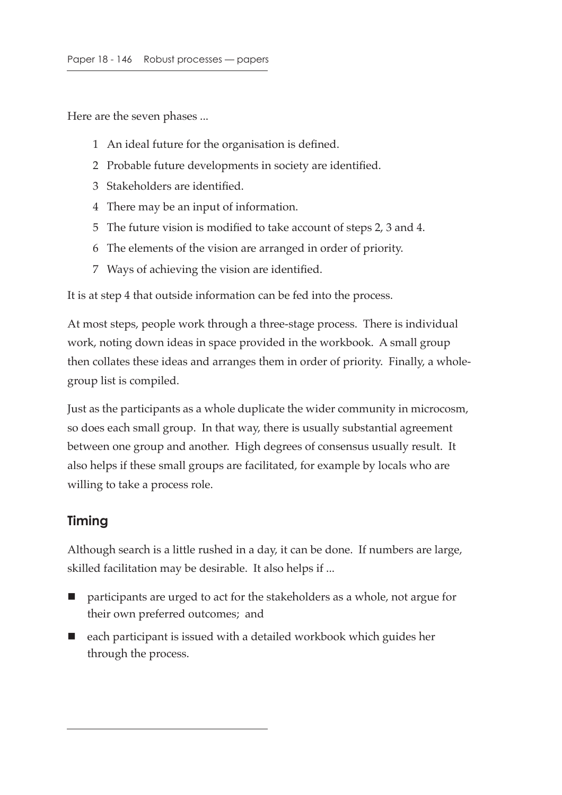Here are the seven phases ...

- 1 An ideal future for the organisation is defined.
- 2 Probable future developments in society are identified.
- 3 Stakeholders are identified.
- 4 There may be an input of information.
- 5 The future vision is modified to take account of steps 2, 3 and 4.
- 6 The elements of the vision are arranged in order of priority.
- 7 Ways of achieving the vision are identified.

It is at step 4 that outside information can be fed into the process.

At most steps, people work through a three-stage process. There is individual work, noting down ideas in space provided in the workbook. A small group then collates these ideas and arranges them in order of priority. Finally, a wholegroup list is compiled.

Just as the participants as a whole duplicate the wider community in microcosm, so does each small group. In that way, there is usually substantial agreement between one group and another. High degrees of consensus usually result. It also helps if these small groups are facilitated, for example by locals who are willing to take a process role.

## **Timing**

Although search is a little rushed in a day, it can be done. If numbers are large, skilled facilitation may be desirable. It also helps if ...

- participants are urged to act for the stakeholders as a whole, not argue for their own preferred outcomes; and
- each participant is issued with a detailed workbook which guides her through the process.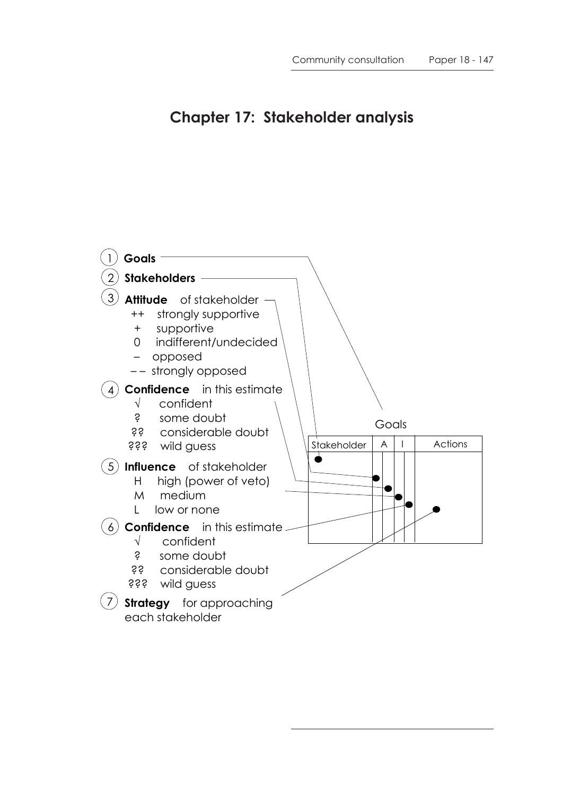# **Chapter 17: Stakeholder analysis**

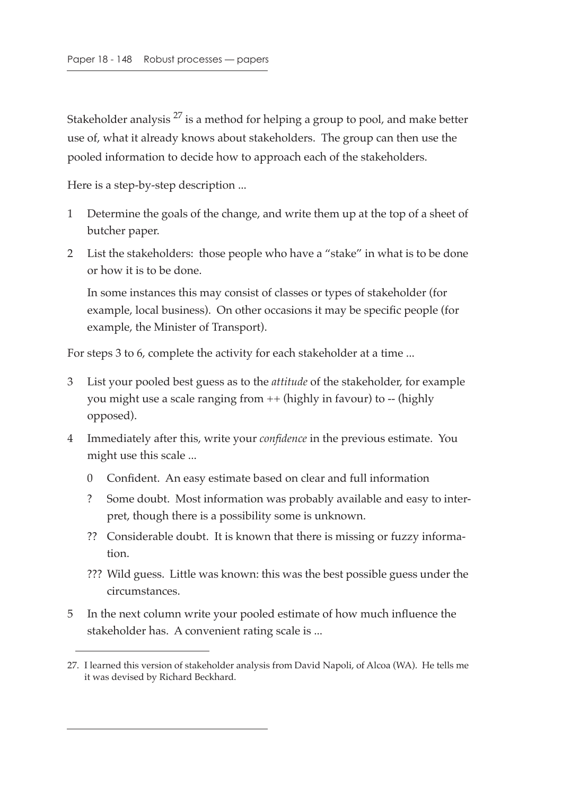Stakeholder analysis<sup>27</sup> is a method for helping a group to pool, and make better use of, what it already knows about stakeholders. The group can then use the pooled information to decide how to approach each of the stakeholders.

Here is a step-by-step description ...

- 1 Determine the goals of the change, and write them up at the top of a sheet of butcher paper.
- 2 List the stakeholders: those people who have a "stake" in what is to be done or how it is to be done.

In some instances this may consist of classes or types of stakeholder (for example, local business). On other occasions it may be specific people (for example, the Minister of Transport).

For steps 3 to 6, complete the activity for each stakeholder at a time ...

- 3 List your pooled best guess as to the *attitude* of the stakeholder, for example you might use a scale ranging from ++ (highly in favour) to -- (highly opposed).
- 4 Immediately after this, write your *confidence* in the previous estimate. You might use this scale ...
	- 0 Confident. An easy estimate based on clear and full information
	- ? Some doubt. Most information was probably available and easy to interpret, though there is a possibility some is unknown.
	- ?? Considerable doubt. It is known that there is missing or fuzzy information.
	- ??? Wild guess. Little was known: this was the best possible guess under the circumstances.
- 5 In the next column write your pooled estimate of how much influence the stakeholder has. A convenient rating scale is ...

<sup>27.</sup> I learned this version of stakeholder analysis from David Napoli, of Alcoa (WA). He tells me it was devised by Richard Beckhard.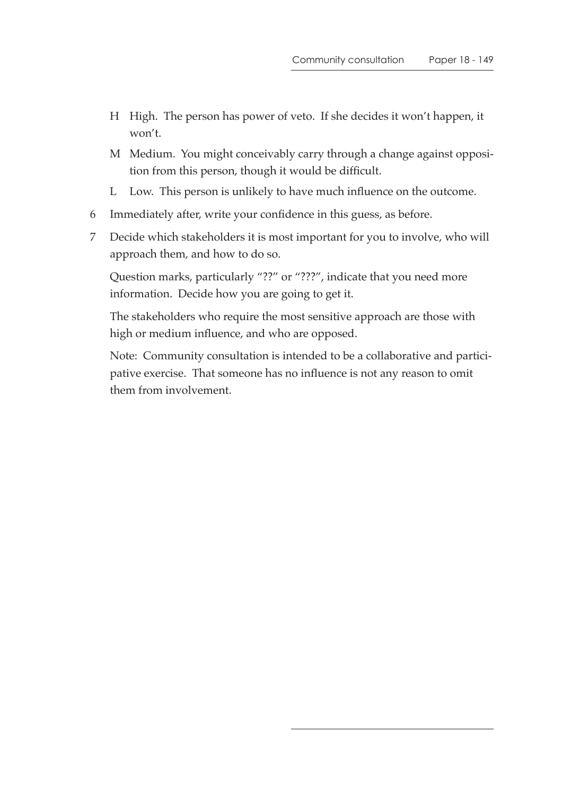- H High. The person has power of veto. If she decides it won't happen, it won't.
- M Medium. You might conceivably carry through a change against opposition from this person, though it would be difficult.
- L Low. This person is unlikely to have much influence on the outcome.
- 6 Immediately after, write your confidence in this guess, as before.
- 7 Decide which stakeholders it is most important for you to involve, who will approach them, and how to do so.

Question marks, particularly "??" or "???", indicate that you need more information. Decide how you are going to get it.

The stakeholders who require the most sensitive approach are those with high or medium influence, and who are opposed.

Note: Community consultation is intended to be a collaborative and participative exercise. That someone has no influence is not any reason to omit them from involvement.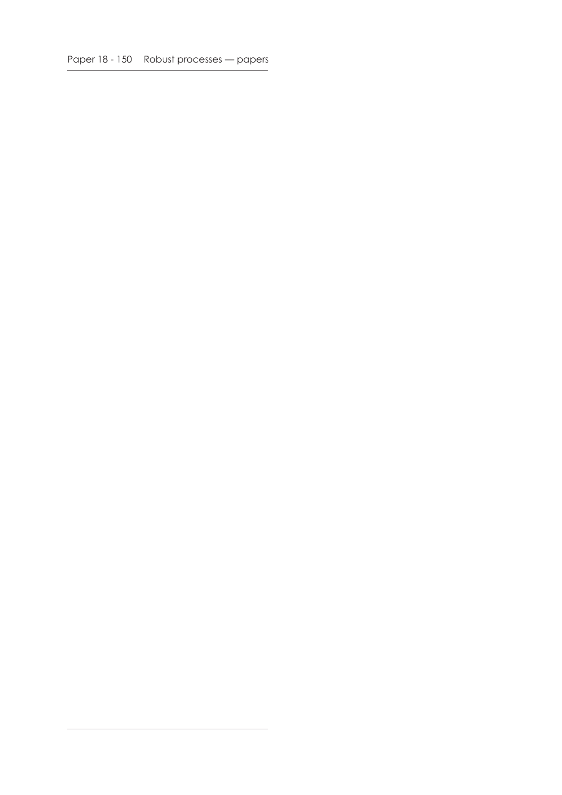Paper 18 - 150 Robust processes — papers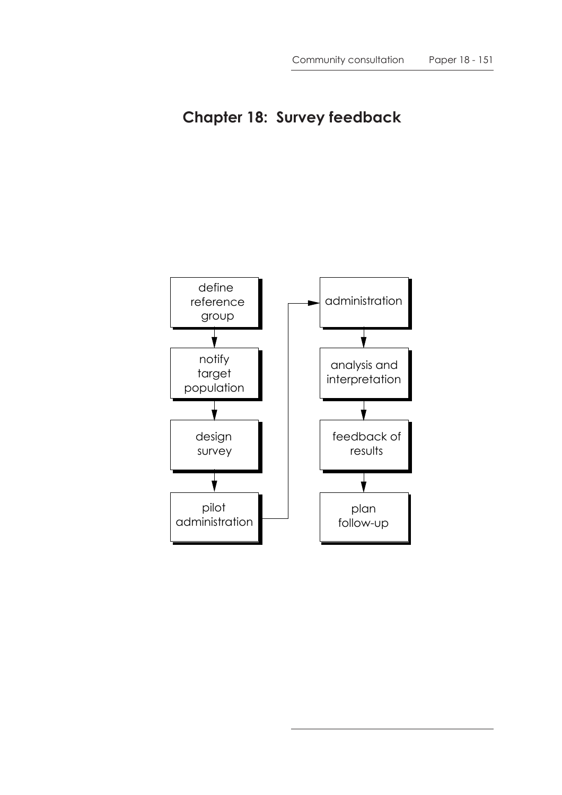# **Chapter 18: Survey feedback**

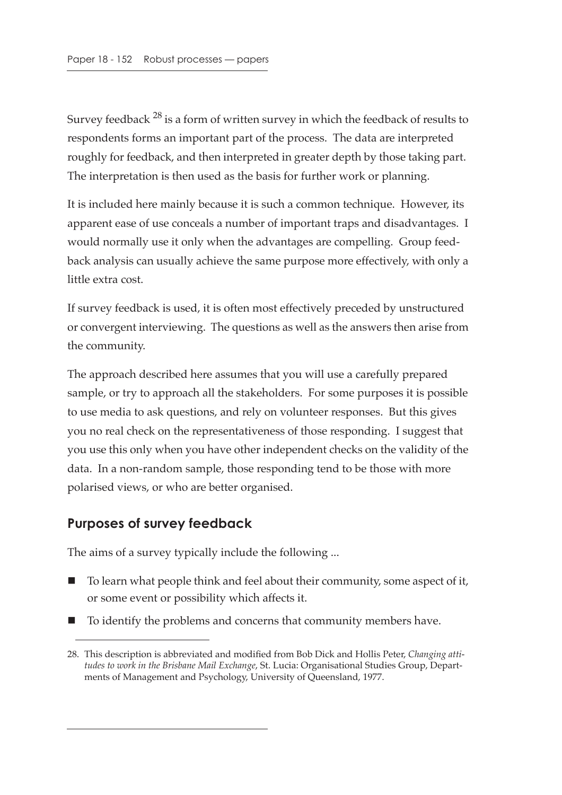Survey feedback  $^{28}$  is a form of written survey in which the feedback of results to respondents forms an important part of the process. The data are interpreted roughly for feedback, and then interpreted in greater depth by those taking part. The interpretation is then used as the basis for further work or planning.

It is included here mainly because it is such a common technique. However, its apparent ease of use conceals a number of important traps and disadvantages. I would normally use it only when the advantages are compelling. Group feedback analysis can usually achieve the same purpose more effectively, with only a little extra cost.

If survey feedback is used, it is often most effectively preceded by unstructured or convergent interviewing. The questions as well as the answers then arise from the community.

The approach described here assumes that you will use a carefully prepared sample, or try to approach all the stakeholders. For some purposes it is possible to use media to ask questions, and rely on volunteer responses. But this gives you no real check on the representativeness of those responding. I suggest that you use this only when you have other independent checks on the validity of the data. In a non-random sample, those responding tend to be those with more polarised views, or who are better organised.

## **Purposes of survey feedback**

The aims of a survey typically include the following ...

- $\blacksquare$  To learn what people think and feel about their community, some aspect of it, or some event or possibility which affects it.
- To identify the problems and concerns that community members have.

<sup>28.</sup> This description is abbreviated and modified from Bob Dick and Hollis Peter, *Changing attitudes to work in the Brisbane Mail Exchange*, St. Lucia: Organisational Studies Group, Departments of Management and Psychology, University of Queensland, 1977.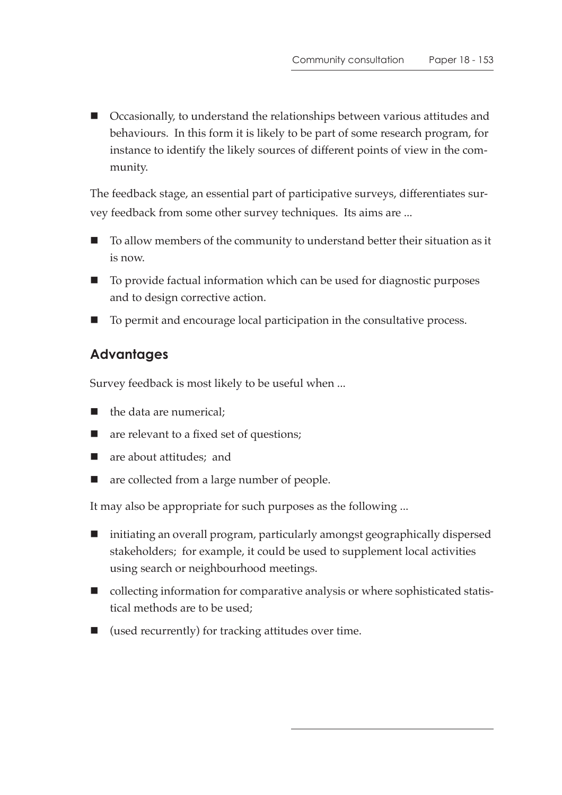■ Occasionally, to understand the relationships between various attitudes and behaviours. In this form it is likely to be part of some research program, for instance to identify the likely sources of different points of view in the community.

The feedback stage, an essential part of participative surveys, differentiates survey feedback from some other survey techniques. Its aims are ...

- To allow members of the community to understand better their situation as it is now.
- To provide factual information which can be used for diagnostic purposes and to design corrective action.
- To permit and encourage local participation in the consultative process.

## **Advantages**

Survey feedback is most likely to be useful when ...

- $\blacksquare$  the data are numerical;
- are relevant to a fixed set of questions;
- are about attitudes; and
- are collected from a large number of people.

It may also be appropriate for such purposes as the following ...

- initiating an overall program, particularly amongst geographically dispersed stakeholders; for example, it could be used to supplement local activities using search or neighbourhood meetings.
- collecting information for comparative analysis or where sophisticated statistical methods are to be used;
- (used recurrently) for tracking attitudes over time.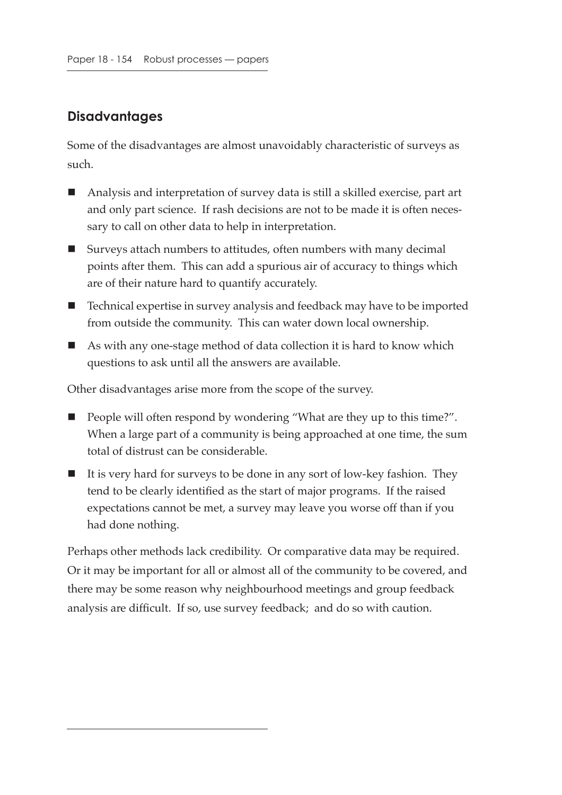# **Disadvantages**

Some of the disadvantages are almost unavoidably characteristic of surveys as such.

- Analysis and interpretation of survey data is still a skilled exercise, part art and only part science. If rash decisions are not to be made it is often necessary to call on other data to help in interpretation.
- Surveys attach numbers to attitudes, often numbers with many decimal points after them. This can add a spurious air of accuracy to things which are of their nature hard to quantify accurately.
- Technical expertise in survey analysis and feedback may have to be imported from outside the community. This can water down local ownership.
- As with any one-stage method of data collection it is hard to know which questions to ask until all the answers are available.

Other disadvantages arise more from the scope of the survey.

- People will often respond by wondering "What are they up to this time?". When a large part of a community is being approached at one time, the sum total of distrust can be considerable.
- $\blacksquare$  It is very hard for surveys to be done in any sort of low-key fashion. They tend to be clearly identified as the start of major programs. If the raised expectations cannot be met, a survey may leave you worse off than if you had done nothing.

Perhaps other methods lack credibility. Or comparative data may be required. Or it may be important for all or almost all of the community to be covered, and there may be some reason why neighbourhood meetings and group feedback analysis are difficult. If so, use survey feedback; and do so with caution.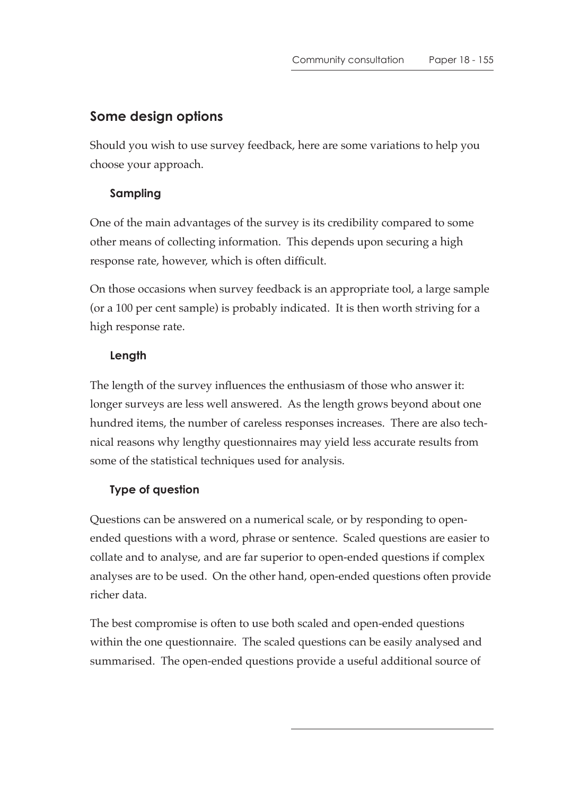# **Some design options**

Should you wish to use survey feedback, here are some variations to help you choose your approach.

#### **Sampling**

One of the main advantages of the survey is its credibility compared to some other means of collecting information. This depends upon securing a high response rate, however, which is often difficult.

On those occasions when survey feedback is an appropriate tool, a large sample (or a 100 per cent sample) is probably indicated. It is then worth striving for a high response rate.

#### **Length**

The length of the survey influences the enthusiasm of those who answer it: longer surveys are less well answered. As the length grows beyond about one hundred items, the number of careless responses increases. There are also technical reasons why lengthy questionnaires may yield less accurate results from some of the statistical techniques used for analysis.

## **Type of question**

Questions can be answered on a numerical scale, or by responding to openended questions with a word, phrase or sentence. Scaled questions are easier to collate and to analyse, and are far superior to open-ended questions if complex analyses are to be used. On the other hand, open-ended questions often provide richer data.

The best compromise is often to use both scaled and open-ended questions within the one questionnaire. The scaled questions can be easily analysed and summarised. The open-ended questions provide a useful additional source of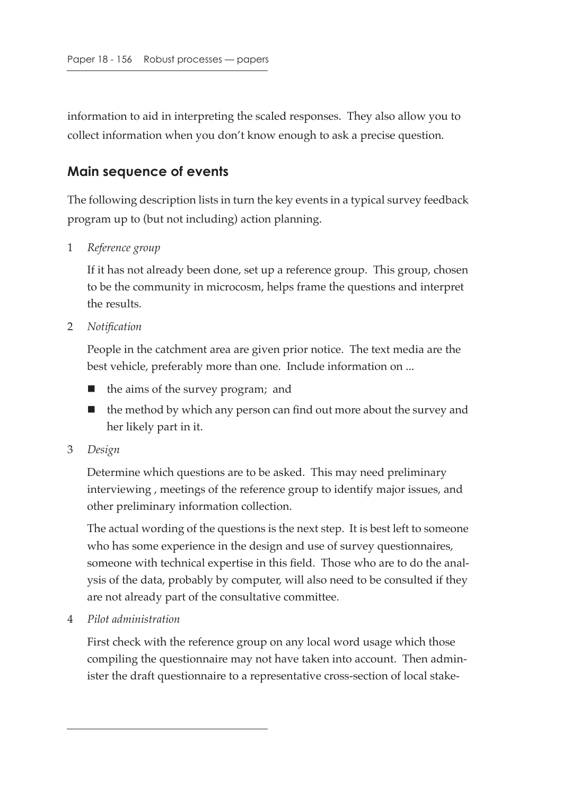information to aid in interpreting the scaled responses. They also allow you to collect information when you don't know enough to ask a precise question.

#### **Main sequence of events**

The following description lists in turn the key events in a typical survey feedback program up to (but not including) action planning.

1 *Reference group*

If it has not already been done, set up a reference group. This group, chosen to be the community in microcosm, helps frame the questions and interpret the results.

2 *Notification*

People in the catchment area are given prior notice. The text media are the best vehicle, preferably more than one. Include information on ...

- the aims of the survey program; and
- the method by which any person can find out more about the survey and her likely part in it.
- 3 *Design*

Determine which questions are to be asked. This may need preliminary interviewing , meetings of the reference group to identify major issues, and other preliminary information collection.

The actual wording of the questions is the next step. It is best left to someone who has some experience in the design and use of survey questionnaires, someone with technical expertise in this field. Those who are to do the analysis of the data, probably by computer, will also need to be consulted if they are not already part of the consultative committee.

4 *Pilot administration*

First check with the reference group on any local word usage which those compiling the questionnaire may not have taken into account. Then administer the draft questionnaire to a representative cross-section of local stake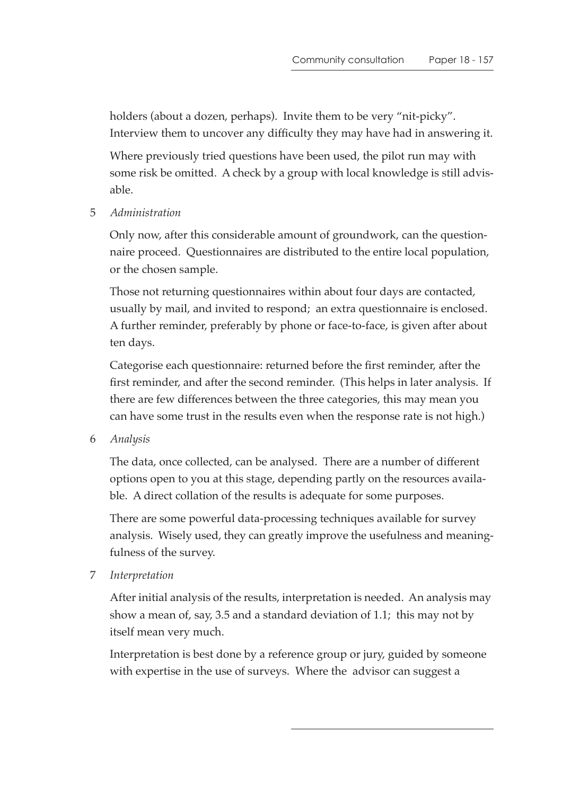holders (about a dozen, perhaps). Invite them to be very "nit-picky". Interview them to uncover any difficulty they may have had in answering it.

Where previously tried questions have been used, the pilot run may with some risk be omitted. A check by a group with local knowledge is still advisable.

5 *Administration*

Only now, after this considerable amount of groundwork, can the questionnaire proceed. Questionnaires are distributed to the entire local population, or the chosen sample.

Those not returning questionnaires within about four days are contacted, usually by mail, and invited to respond; an extra questionnaire is enclosed. A further reminder, preferably by phone or face-to-face, is given after about ten days.

Categorise each questionnaire: returned before the first reminder, after the first reminder, and after the second reminder. (This helps in later analysis. If there are few differences between the three categories, this may mean you can have some trust in the results even when the response rate is not high.)

6 *Analysis*

The data, once collected, can be analysed. There are a number of different options open to you at this stage, depending partly on the resources available. A direct collation of the results is adequate for some purposes.

There are some powerful data-processing techniques available for survey analysis. Wisely used, they can greatly improve the usefulness and meaningfulness of the survey.

7 *Interpretation*

After initial analysis of the results, interpretation is needed. An analysis may show a mean of, say, 3.5 and a standard deviation of 1.1; this may not by itself mean very much.

Interpretation is best done by a reference group or jury, guided by someone with expertise in the use of surveys. Where the advisor can suggest a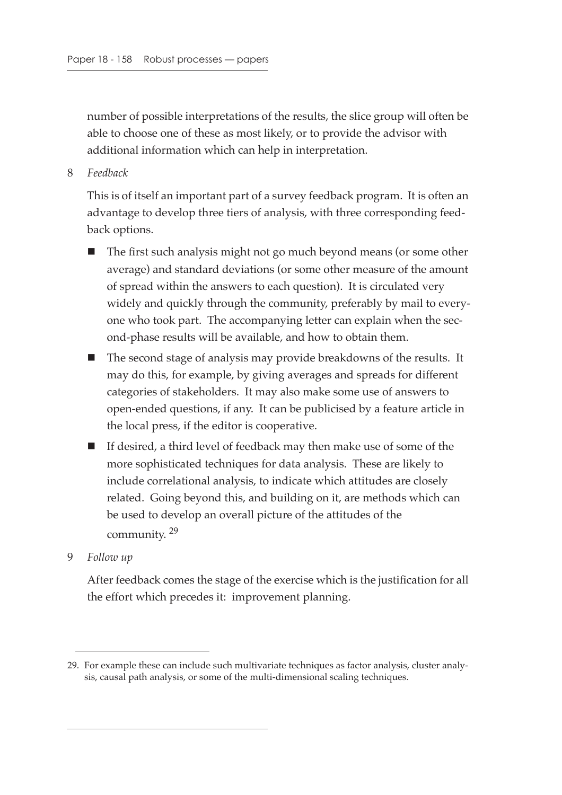number of possible interpretations of the results, the slice group will often be able to choose one of these as most likely, or to provide the advisor with additional information which can help in interpretation.

8 *Feedback*

This is of itself an important part of a survey feedback program. It is often an advantage to develop three tiers of analysis, with three corresponding feedback options.

- The first such analysis might not go much beyond means (or some other average) and standard deviations (or some other measure of the amount of spread within the answers to each question). It is circulated very widely and quickly through the community, preferably by mail to everyone who took part. The accompanying letter can explain when the second-phase results will be available, and how to obtain them.
- The second stage of analysis may provide breakdowns of the results. It may do this, for example, by giving averages and spreads for different categories of stakeholders. It may also make some use of answers to open-ended questions, if any. It can be publicised by a feature article in the local press, if the editor is cooperative.
- $\blacksquare$  If desired, a third level of feedback may then make use of some of the more sophisticated techniques for data analysis. These are likely to include correlational analysis, to indicate which attitudes are closely related. Going beyond this, and building on it, are methods which can be used to develop an overall picture of the attitudes of the community.<sup>29</sup>

9 *Follow up*

After feedback comes the stage of the exercise which is the justification for all the effort which precedes it: improvement planning.

<sup>29.</sup> For example these can include such multivariate techniques as factor analysis, cluster analysis, causal path analysis, or some of the multi-dimensional scaling techniques.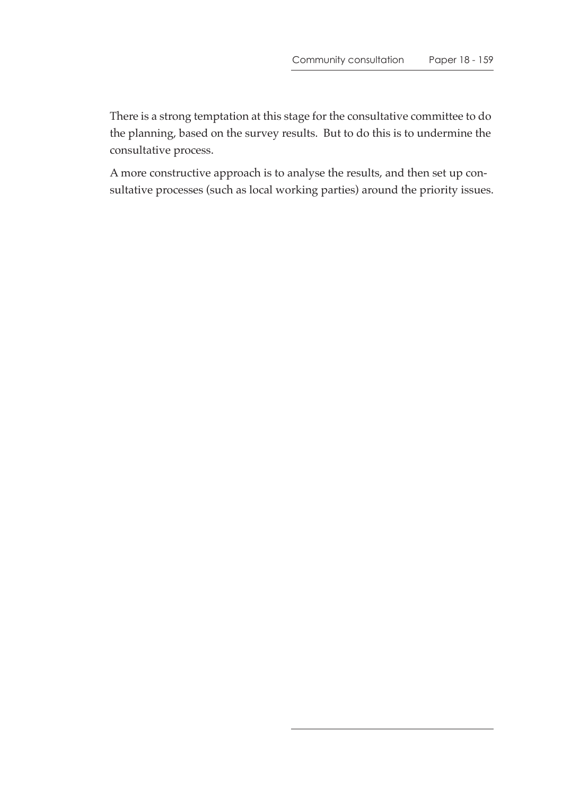There is a strong temptation at this stage for the consultative committee to do the planning, based on the survey results. But to do this is to undermine the consultative process.

A more constructive approach is to analyse the results, and then set up consultative processes (such as local working parties) around the priority issues.